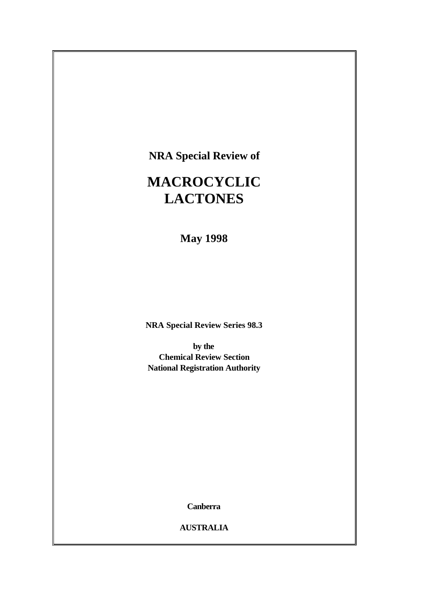**NRA Special Review of**

# **MACROCYCLIC LACTONES**

**May 1998**

**NRA Special Review Series 98.3**

**by the Chemical Review Section National Registration Authority**

**Canberra**

**AUSTRALIA**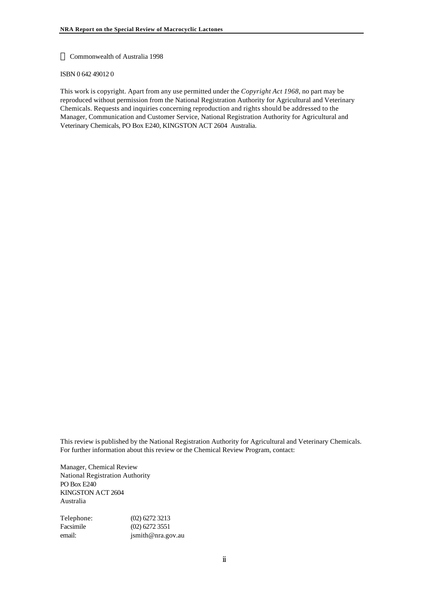#### **ã** Commonwealth of Australia 1998

#### ISBN 0 642 49012 0

This work is copyright. Apart from any use permitted under the *Copyright Act 1968*, no part may be reproduced without permission from the National Registration Authority for Agricultural and Veterinary Chemicals. Requests and inquiries concerning reproduction and rights should be addressed to the Manager, Communication and Customer Service, National Registration Authority for Agricultural and Veterinary Chemicals, PO Box E240, KINGSTON ACT 2604 Australia.

This review is published by the National Registration Authority for Agricultural and Veterinary Chemicals. For further information about this review or the Chemical Review Program, contact:

Manager, Chemical Review National Registration Authority PO Box E240 KINGSTON ACT 2604 Australia

Telephone: (02) 6272 3213 Facsimile (02) 6272 3551 email: jsmith@nra.gov.au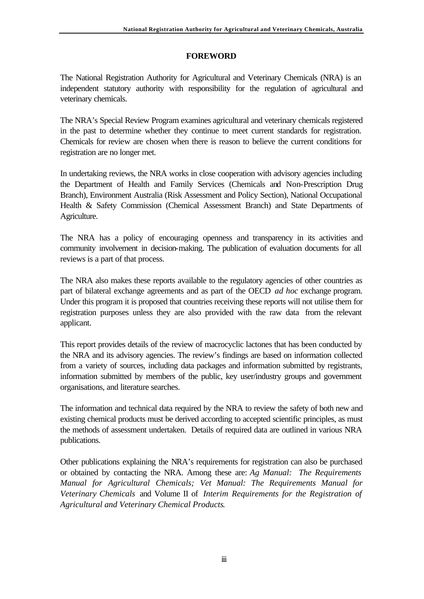#### **FOREWORD**

The National Registration Authority for Agricultural and Veterinary Chemicals (NRA) is an independent statutory authority with responsibility for the regulation of agricultural and veterinary chemicals.

The NRA's Special Review Program examines agricultural and veterinary chemicals registered in the past to determine whether they continue to meet current standards for registration. Chemicals for review are chosen when there is reason to believe the current conditions for registration are no longer met.

In undertaking reviews, the NRA works in close cooperation with advisory agencies including the Department of Health and Family Services (Chemicals and Non-Prescription Drug Branch), Environment Australia (Risk Assessment and Policy Section), National Occupational Health & Safety Commission (Chemical Assessment Branch) and State Departments of Agriculture.

The NRA has a policy of encouraging openness and transparency in its activities and community involvement in decision-making. The publication of evaluation documents for all reviews is a part of that process.

The NRA also makes these reports available to the regulatory agencies of other countries as part of bilateral exchange agreements and as part of the OECD *ad hoc* exchange program. Under this program it is proposed that countries receiving these reports will not utilise them for registration purposes unless they are also provided with the raw data from the relevant applicant.

This report provides details of the review of macrocyclic lactones that has been conducted by the NRA and its advisory agencies. The review's findings are based on information collected from a variety of sources, including data packages and information submitted by registrants, information submitted by members of the public, key user/industry groups and government organisations, and literature searches.

The information and technical data required by the NRA to review the safety of both new and existing chemical products must be derived according to accepted scientific principles, as must the methods of assessment undertaken. Details of required data are outlined in various NRA publications.

Other publications explaining the NRA's requirements for registration can also be purchased or obtained by contacting the NRA. Among these are: *Ag Manual: The Requirements Manual for Agricultural Chemicals; Vet Manual: The Requirements Manual for Veterinary Chemicals* and Volume II of *Interim Requirements for the Registration of Agricultural and Veterinary Chemical Products*.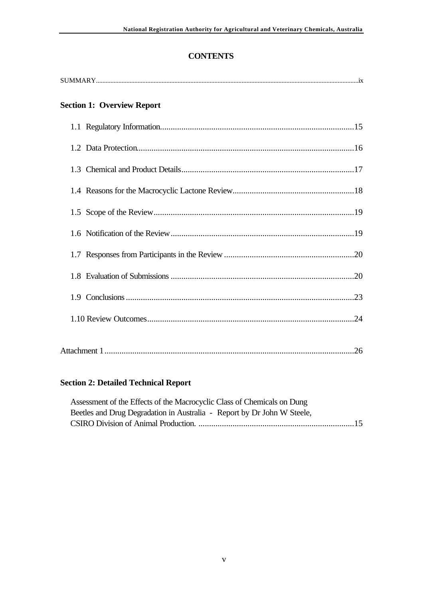# **CONTENTS**

| <b>Section 1: Overview Report</b> |
|-----------------------------------|
|                                   |
|                                   |
|                                   |
|                                   |
|                                   |
|                                   |
|                                   |
|                                   |
|                                   |
|                                   |
|                                   |

# **Section 2: Detailed Technical Report**

| Assessment of the Effects of the Macrocyclic Class of Chemicals on Dung |  |
|-------------------------------------------------------------------------|--|
| Beetles and Drug Degradation in Australia - Report by Dr John W Steele, |  |
|                                                                         |  |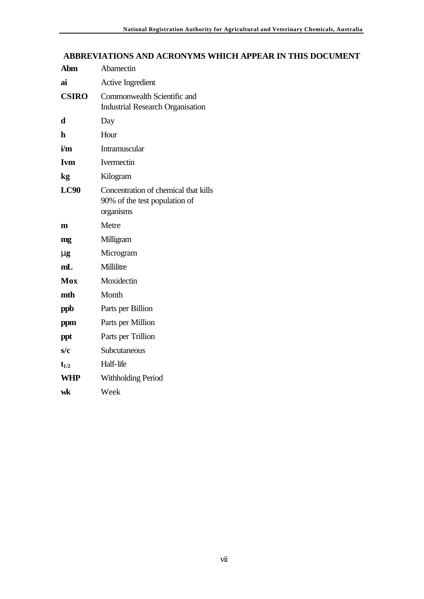# **ABBREVIATIONS AND ACRONYMS WHICH APPEAR IN THIS DOCUMENT**

| Abm          | Abamectin                                                                          |  |  |
|--------------|------------------------------------------------------------------------------------|--|--|
| ai           | <b>Active Ingredient</b>                                                           |  |  |
| <b>CSIRO</b> | Commonwealth Scientific and<br><b>Industrial Research Organisation</b>             |  |  |
| d            | Day                                                                                |  |  |
| h            | Hour                                                                               |  |  |
| i/m          | <b>Intramuscular</b>                                                               |  |  |
| <b>Ivm</b>   | Ivermectin                                                                         |  |  |
| kg           | Kilogram                                                                           |  |  |
| <b>LC90</b>  | Concentration of chemical that kills<br>90% of the test population of<br>organisms |  |  |
| m            | Metre                                                                              |  |  |
| mg           | Milligram                                                                          |  |  |
| mg           | Microgram                                                                          |  |  |
| mL           | Millilitre                                                                         |  |  |
| Mox          | Moxidectin                                                                         |  |  |
| mth          | Month                                                                              |  |  |
| ppb          | Parts per Billion                                                                  |  |  |
| ppm          | Parts per Million                                                                  |  |  |
| ppt          | Parts per Trillion                                                                 |  |  |
| s/c          | Subcutaneous                                                                       |  |  |
| $t_{1/2}$    | Half-life                                                                          |  |  |
| <b>WHP</b>   | <b>Withholding Period</b>                                                          |  |  |
| wk           | Week                                                                               |  |  |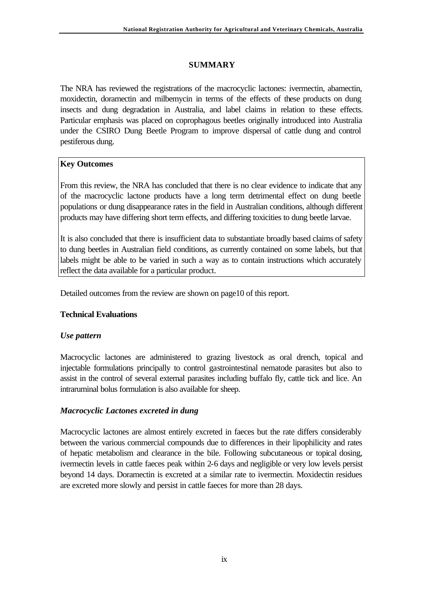# **SUMMARY**

The NRA has reviewed the registrations of the macrocyclic lactones: ivermectin, abamectin, moxidectin, doramectin and milbemycin in terms of the effects of these products on dung insects and dung degradation in Australia, and label claims in relation to these effects. Particular emphasis was placed on coprophagous beetles originally introduced into Australia under the CSIRO Dung Beetle Program to improve dispersal of cattle dung and control pestiferous dung.

## **Key Outcomes**

From this review, the NRA has concluded that there is no clear evidence to indicate that any of the macrocyclic lactone products have a long term detrimental effect on dung beetle populations or dung disappearance rates in the field in Australian conditions, although different products may have differing short term effects, and differing toxicities to dung beetle larvae.

It is also concluded that there is insufficient data to substantiate broadly based claims of safety to dung beetles in Australian field conditions, as currently contained on some labels, but that labels might be able to be varied in such a way as to contain instructions which accurately reflect the data available for a particular product.

Detailed outcomes from the review are shown on page10 of this report.

#### **Technical Evaluations**

#### *Use pattern*

Macrocyclic lactones are administered to grazing livestock as oral drench, topical and injectable formulations principally to control gastrointestinal nematode parasites but also to assist in the control of several external parasites including buffalo fly, cattle tick and lice. An intraruminal bolus formulation is also available for sheep.

#### *Macrocyclic Lactones excreted in dung*

Macrocyclic lactones are almost entirely excreted in faeces but the rate differs considerably between the various commercial compounds due to differences in their lipophilicity and rates of hepatic metabolism and clearance in the bile. Following subcutaneous or topical dosing, ivermectin levels in cattle faeces peak within 2-6 days and negligible or very low levels persist beyond 14 days. Doramectin is excreted at a similar rate to ivermectin. Moxidectin residues are excreted more slowly and persist in cattle faeces for more than 28 days.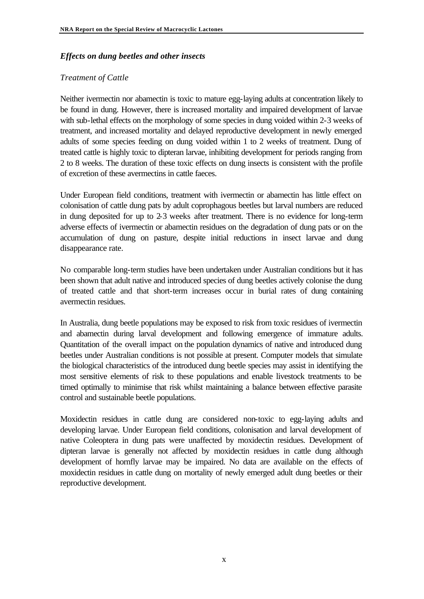#### *Effects on dung beetles and other insects*

#### *Treatment of Cattle*

Neither ivermectin nor abamectin is toxic to mature egg-laying adults at concentration likely to be found in dung. However, there is increased mortality and impaired development of larvae with sub-lethal effects on the morphology of some species in dung voided within 2-3 weeks of treatment, and increased mortality and delayed reproductive development in newly emerged adults of some species feeding on dung voided within 1 to 2 weeks of treatment. Dung of treated cattle is highly toxic to dipteran larvae, inhibiting development for periods ranging from 2 to 8 weeks. The duration of these toxic effects on dung insects is consistent with the profile of excretion of these avermectins in cattle faeces.

Under European field conditions, treatment with ivermectin or abamectin has little effect on colonisation of cattle dung pats by adult coprophagous beetles but larval numbers are reduced in dung deposited for up to 2-3 weeks after treatment. There is no evidence for long-term adverse effects of ivermectin or abamectin residues on the degradation of dung pats or on the accumulation of dung on pasture, despite initial reductions in insect larvae and dung disappearance rate.

No comparable long-term studies have been undertaken under Australian conditions but it has been shown that adult native and introduced species of dung beetles actively colonise the dung of treated cattle and that short-term increases occur in burial rates of dung containing avermectin residues.

In Australia, dung beetle populations may be exposed to risk from toxic residues of ivermectin and abamectin during larval development and following emergence of immature adults. Quantitation of the overall impact on the population dynamics of native and introduced dung beetles under Australian conditions is not possible at present. Computer models that simulate the biological characteristics of the introduced dung beetle species may assist in identifying the most sensitive elements of risk to these populations and enable livestock treatments to be timed optimally to minimise that risk whilst maintaining a balance between effective parasite control and sustainable beetle populations.

Moxidectin residues in cattle dung are considered non-toxic to egg-laying adults and developing larvae. Under European field conditions, colonisation and larval development of native Coleoptera in dung pats were unaffected by moxidectin residues. Development of dipteran larvae is generally not affected by moxidectin residues in cattle dung although development of hornfly larvae may be impaired. No data are available on the effects of moxidectin residues in cattle dung on mortality of newly emerged adult dung beetles or their reproductive development.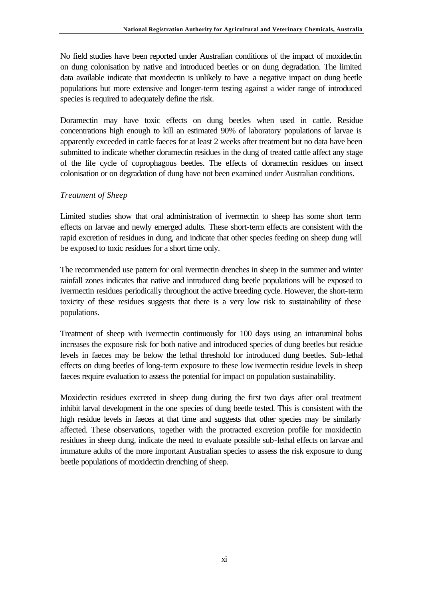No field studies have been reported under Australian conditions of the impact of moxidectin on dung colonisation by native and introduced beetles or on dung degradation. The limited data available indicate that moxidectin is unlikely to have a negative impact on dung beetle populations but more extensive and longer-term testing against a wider range of introduced species is required to adequately define the risk.

Doramectin may have toxic effects on dung beetles when used in cattle. Residue concentrations high enough to kill an estimated 90% of laboratory populations of larvae is apparently exceeded in cattle faeces for at least 2 weeks after treatment but no data have been submitted to indicate whether doramectin residues in the dung of treated cattle affect any stage of the life cycle of coprophagous beetles. The effects of doramectin residues on insect colonisation or on degradation of dung have not been examined under Australian conditions.

#### *Treatment of Sheep*

Limited studies show that oral administration of ivermectin to sheep has some short term effects on larvae and newly emerged adults. These short-term effects are consistent with the rapid excretion of residues in dung, and indicate that other species feeding on sheep dung will be exposed to toxic residues for a short time only.

The recommended use pattern for oral ivermectin drenches in sheep in the summer and winter rainfall zones indicates that native and introduced dung beetle populations will be exposed to ivermectin residues periodically throughout the active breeding cycle. However, the short-term toxicity of these residues suggests that there is a very low risk to sustainability of these populations.

Treatment of sheep with ivermectin continuously for 100 days using an intraruminal bolus increases the exposure risk for both native and introduced species of dung beetles but residue levels in faeces may be below the lethal threshold for introduced dung beetles. Sub-lethal effects on dung beetles of long-term exposure to these low ivermectin residue levels in sheep faeces require evaluation to assess the potential for impact on population sustainability.

Moxidectin residues excreted in sheep dung during the first two days after oral treatment inhibit larval development in the one species of dung beetle tested. This is consistent with the high residue levels in faeces at that time and suggests that other species may be similarly affected. These observations, together with the protracted excretion profile for moxidectin residues in sheep dung, indicate the need to evaluate possible sub-lethal effects on larvae and immature adults of the more important Australian species to assess the risk exposure to dung beetle populations of moxidectin drenching of sheep.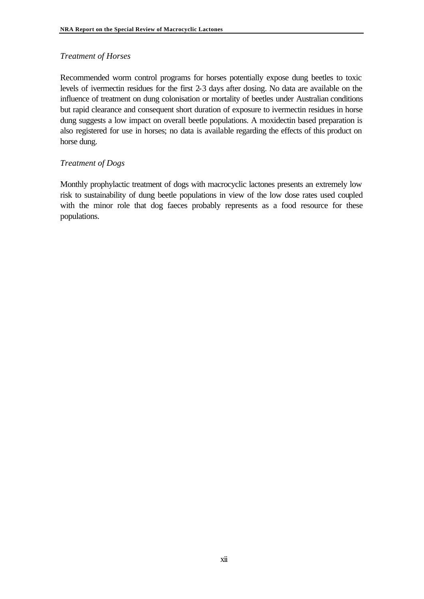#### *Treatment of Horses*

Recommended worm control programs for horses potentially expose dung beetles to toxic levels of ivermectin residues for the first 2-3 days after dosing. No data are available on the influence of treatment on dung colonisation or mortality of beetles under Australian conditions but rapid clearance and consequent short duration of exposure to ivermectin residues in horse dung suggests a low impact on overall beetle populations. A moxidectin based preparation is also registered for use in horses; no data is available regarding the effects of this product on horse dung.

#### *Treatment of Dogs*

Monthly prophylactic treatment of dogs with macrocyclic lactones presents an extremely low risk to sustainability of dung beetle populations in view of the low dose rates used coupled with the minor role that dog faeces probably represents as a food resource for these populations.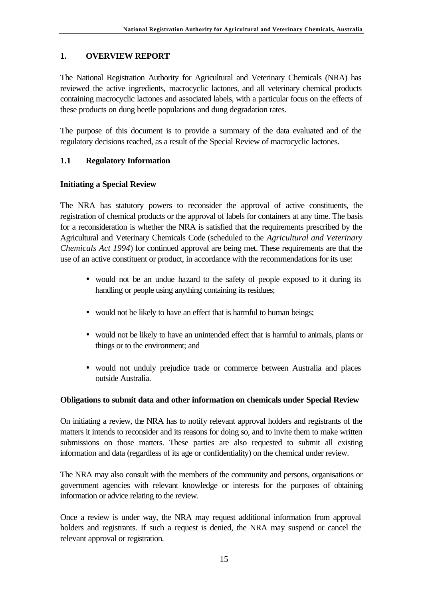# **1. OVERVIEW REPORT**

The National Registration Authority for Agricultural and Veterinary Chemicals (NRA) has reviewed the active ingredients, macrocyclic lactones, and all veterinary chemical products containing macrocyclic lactones and associated labels, with a particular focus on the effects of these products on dung beetle populations and dung degradation rates.

The purpose of this document is to provide a summary of the data evaluated and of the regulatory decisions reached, as a result of the Special Review of macrocyclic lactones.

# **1.1 Regulatory Information**

## **Initiating a Special Review**

The NRA has statutory powers to reconsider the approval of active constituents, the registration of chemical products or the approval of labels for containers at any time. The basis for a reconsideration is whether the NRA is satisfied that the requirements prescribed by the Agricultural and Veterinary Chemicals Code (scheduled to the *Agricultural and Veterinary Chemicals Act 1994*) for continued approval are being met. These requirements are that the use of an active constituent or product, in accordance with the recommendations for its use:

- would not be an undue hazard to the safety of people exposed to it during its handling or people using anything containing its residues;
- would not be likely to have an effect that is harmful to human beings;
- would not be likely to have an unintended effect that is harmful to animals, plants or things or to the environment; and
- would not unduly prejudice trade or commerce between Australia and places outside Australia.

## **Obligations to submit data and other information on chemicals under Special Review**

On initiating a review, the NRA has to notify relevant approval holders and registrants of the matters it intends to reconsider and its reasons for doing so, and to invite them to make written submissions on those matters. These parties are also requested to submit all existing information and data (regardless of its age or confidentiality) on the chemical under review.

The NRA may also consult with the members of the community and persons, organisations or government agencies with relevant knowledge or interests for the purposes of obtaining information or advice relating to the review.

Once a review is under way, the NRA may request additional information from approval holders and registrants. If such a request is denied, the NRA may suspend or cancel the relevant approval or registration.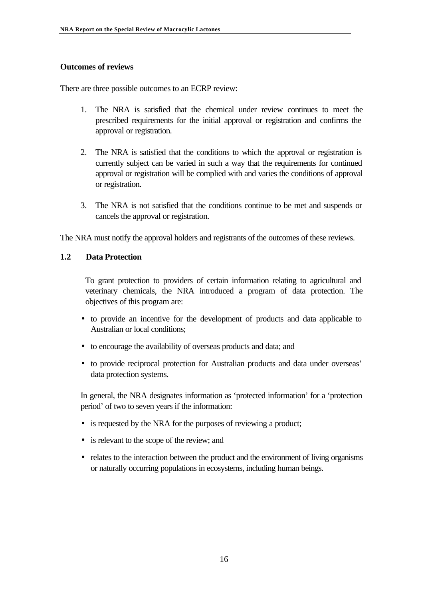#### **Outcomes of reviews**

There are three possible outcomes to an ECRP review:

- 1. The NRA is satisfied that the chemical under review continues to meet the prescribed requirements for the initial approval or registration and confirms the approval or registration.
- 2. The NRA is satisfied that the conditions to which the approval or registration is currently subject can be varied in such a way that the requirements for continued approval or registration will be complied with and varies the conditions of approval or registration.
- 3. The NRA is not satisfied that the conditions continue to be met and suspends or cancels the approval or registration.

The NRA must notify the approval holders and registrants of the outcomes of these reviews.

#### **1.2 Data Protection**

To grant protection to providers of certain information relating to agricultural and veterinary chemicals, the NRA introduced a program of data protection. The objectives of this program are:

- to provide an incentive for the development of products and data applicable to Australian or local conditions;
- to encourage the availability of overseas products and data; and
- to provide reciprocal protection for Australian products and data under overseas' data protection systems.

In general, the NRA designates information as 'protected information' for a 'protection period' of two to seven years if the information:

- is requested by the NRA for the purposes of reviewing a product;
- is relevant to the scope of the review; and
- relates to the interaction between the product and the environment of living organisms or naturally occurring populations in ecosystems, including human beings.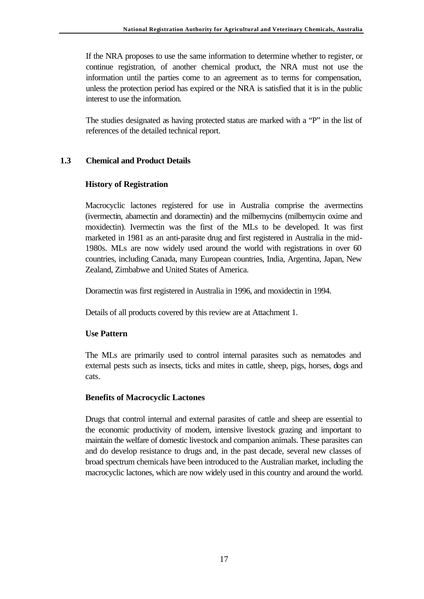If the NRA proposes to use the same information to determine whether to register, or continue registration, of another chemical product, the NRA must not use the information until the parties come to an agreement as to terms for compensation, unless the protection period has expired or the NRA is satisfied that it is in the public interest to use the information.

The studies designated as having protected status are marked with a "P" in the list of references of the detailed technical report.

#### **1.3 Chemical and Product Details**

#### **History of Registration**

Macrocyclic lactones registered for use in Australia comprise the avermectins (ivermectin, abamectin and doramectin) and the milbemycins (milbemycin oxime and moxidectin). Ivermectin was the first of the MLs to be developed. It was first marketed in 1981 as an anti-parasite drug and first registered in Australia in the mid-1980s. MLs are now widely used around the world with registrations in over 60 countries, including Canada, many European countries, India, Argentina, Japan, New Zealand, Zimbabwe and United States of America.

Doramectin was first registered in Australia in 1996, and moxidectin in 1994.

Details of all products covered by this review are at Attachment 1.

#### **Use Pattern**

The MLs are primarily used to control internal parasites such as nematodes and external pests such as insects, ticks and mites in cattle, sheep, pigs, horses, dogs and cats.

#### **Benefits of Macrocyclic Lactones**

Drugs that control internal and external parasites of cattle and sheep are essential to the economic productivity of modern, intensive livestock grazing and important to maintain the welfare of domestic livestock and companion animals. These parasites can and do develop resistance to drugs and, in the past decade, several new classes of broad spectrum chemicals have been introduced to the Australian market, including the macrocyclic lactones, which are now widely used in this country and around the world.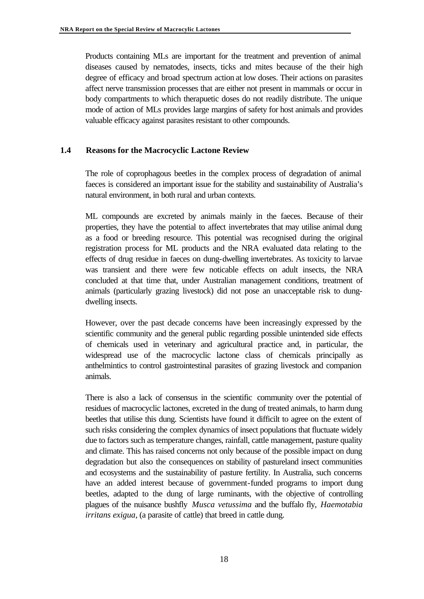Products containing MLs are important for the treatment and prevention of animal diseases caused by nematodes, insects, ticks and mites because of the their high degree of efficacy and broad spectrum action at low doses. Their actions on parasites affect nerve transmission processes that are either not present in mammals or occur in body compartments to which therapuetic doses do not readily distribute. The unique mode of action of MLs provides large margins of safety for host animals and provides valuable efficacy against parasites resistant to other compounds.

#### **1.4 Reasons for the Macrocyclic Lactone Review**

The role of coprophagous beetles in the complex process of degradation of animal faeces is considered an important issue for the stability and sustainability of Australia's natural environment, in both rural and urban contexts.

ML compounds are excreted by animals mainly in the faeces. Because of their properties, they have the potential to affect invertebrates that may utilise animal dung as a food or breeding resource. This potential was recognised during the original registration process for ML products and the NRA evaluated data relating to the effects of drug residue in faeces on dung-dwelling invertebrates. As toxicity to larvae was transient and there were few noticable effects on adult insects, the NRA concluded at that time that, under Australian management conditions, treatment of animals (particularly grazing livestock) did not pose an unacceptable risk to dungdwelling insects.

However, over the past decade concerns have been increasingly expressed by the scientific community and the general public regarding possible unintended side effects of chemicals used in veterinary and agricultural practice and, in particular, the widespread use of the macrocyclic lactone class of chemicals principally as anthelmintics to control gastrointestinal parasites of grazing livestock and companion animals.

There is also a lack of consensus in the scientific community over the potential of residues of macrocyclic lactones, excreted in the dung of treated animals, to harm dung beetles that utilise this dung. Scientists have found it difficilt to agree on the extent of such risks considering the complex dynamics of insect populations that fluctuate widely due to factors such as temperature changes, rainfall, cattle management, pasture quality and climate. This has raised concerns not only because of the possible impact on dung degradation but also the consequences on stability of pastureland insect communities and ecosystems and the sustainability of pasture fertility. In Australia, such concerns have an added interest because of government-funded programs to import dung beetles, adapted to the dung of large ruminants, with the objective of controlling plagues of the nuisance bushfly *Musca vetussima* and the buffalo fly, *Haemotabia irritans exigua*, (a parasite of cattle) that breed in cattle dung.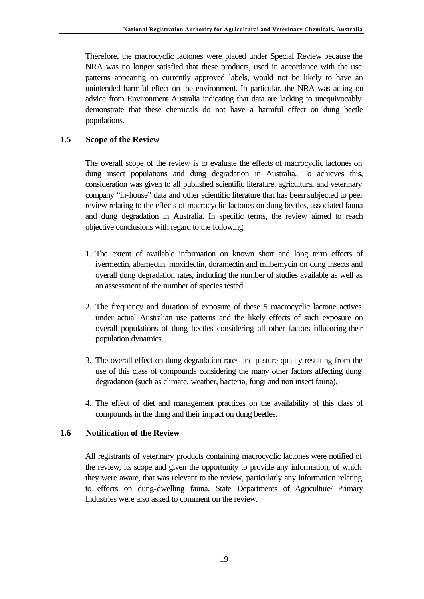Therefore, the macrocyclic lactones were placed under Special Review because the NRA was no longer satisfied that these products, used in accordance with the use patterns appearing on currently approved labels, would not be likely to have an unintended harmful effect on the environment. In particular, the NRA was acting on advice from Environment Australia indicating that data are lacking to unequivocably demonstrate that these chemicals do not have a harmful effect on dung beetle populations.

#### **1.5 Scope of the Review**

The overall scope of the review is to evaluate the effects of macrocyclic lactones on dung insect populations and dung degradation in Australia. To achieves this, consideration was given to all published scientific literature, agricultural and veterinary company "in-house" data and other scientific literature that has been subjected to peer review relating to the effects of macrocyclic lactones on dung beetles, associated fauna and dung degradation in Australia. In specific terms, the review aimed to reach objective conclusions with regard to the following:

- 1. The extent of available information on known short and long term effects of ivermectin, abamectin, moxidectin, doramectin and milbemycin on dung insects and overall dung degradation rates, including the number of studies available as well as an assessment of the number of species tested.
- 2. The frequency and duration of exposure of these 5 macrocyclic lactone actives under actual Australian use patterns and the likely effects of such exposure on overall populations of dung beetles considering all other factors influencing their population dynamics.
- 3. The overall effect on dung degradation rates and pasture quality resulting from the use of this class of compounds considering the many other factors affecting dung degradation (such as climate, weather, bacteria, fungi and non insect fauna).
- 4. The effect of diet and management practices on the availability of this class of compounds in the dung and their impact on dung beetles.

#### **1.6 Notification of the Review**

All registrants of veterinary products containing macrocyclic lactones were notified of the review, its scope and given the opportunity to provide any information, of which they were aware, that was relevant to the review, particularly any information relating to effects on dung-dwelling fauna. State Departments of Agriculture/ Primary Industries were also asked to comment on the review.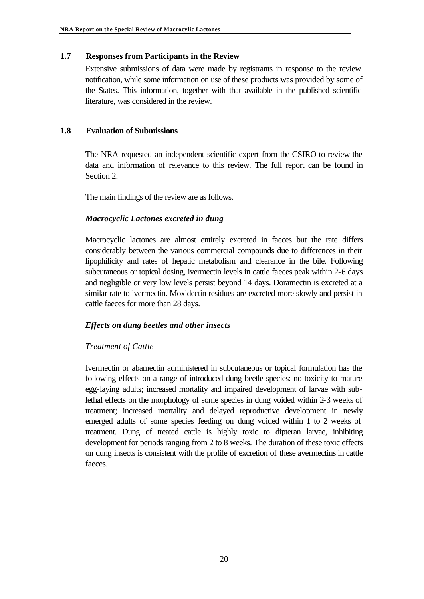#### **1.7 Responses from Participants in the Review**

Extensive submissions of data were made by registrants in response to the review notification, while some information on use of these products was provided by some of the States. This information, together with that available in the published scientific literature, was considered in the review.

#### **1.8 Evaluation of Submissions**

The NRA requested an independent scientific expert from the CSIRO to review the data and information of relevance to this review. The full report can be found in Section 2.

The main findings of the review are as follows.

#### *Macrocyclic Lactones excreted in dung*

Macrocyclic lactones are almost entirely excreted in faeces but the rate differs considerably between the various commercial compounds due to differences in their lipophilicity and rates of hepatic metabolism and clearance in the bile. Following subcutaneous or topical dosing, ivermectin levels in cattle faeces peak within 2-6 days and negligible or very low levels persist beyond 14 days. Doramectin is excreted at a similar rate to ivermectin. Moxidectin residues are excreted more slowly and persist in cattle faeces for more than 28 days.

#### *Effects on dung beetles and other insects*

#### *Treatment of Cattle*

Ivermectin or abamectin administered in subcutaneous or topical formulation has the following effects on a range of introduced dung beetle species: no toxicity to mature egg-laying adults; increased mortality and impaired development of larvae with sublethal effects on the morphology of some species in dung voided within 2-3 weeks of treatment; increased mortality and delayed reproductive development in newly emerged adults of some species feeding on dung voided within 1 to 2 weeks of treatment. Dung of treated cattle is highly toxic to dipteran larvae, inhibiting development for periods ranging from 2 to 8 weeks. The duration of these toxic effects on dung insects is consistent with the profile of excretion of these avermectins in cattle faeces.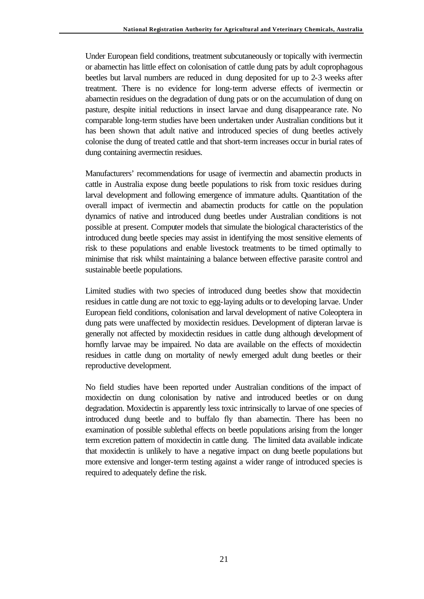Under European field conditions, treatment subcutaneously or topically with ivermectin or abamectin has little effect on colonisation of cattle dung pats by adult coprophagous beetles but larval numbers are reduced in dung deposited for up to 2-3 weeks after treatment. There is no evidence for long-term adverse effects of ivermectin or abamectin residues on the degradation of dung pats or on the accumulation of dung on pasture, despite initial reductions in insect larvae and dung disappearance rate. No comparable long-term studies have been undertaken under Australian conditions but it has been shown that adult native and introduced species of dung beetles actively colonise the dung of treated cattle and that short-term increases occur in burial rates of dung containing avermectin residues.

Manufacturers' recommendations for usage of ivermectin and abamectin products in cattle in Australia expose dung beetle populations to risk from toxic residues during larval development and following emergence of immature adults. Quantitation of the overall impact of ivermectin and abamectin products for cattle on the population dynamics of native and introduced dung beetles under Australian conditions is not possible at present. Computer models that simulate the biological characteristics of the introduced dung beetle species may assist in identifying the most sensitive elements of risk to these populations and enable livestock treatments to be timed optimally to minimise that risk whilst maintaining a balance between effective parasite control and sustainable beetle populations.

Limited studies with two species of introduced dung beetles show that moxidectin residues in cattle dung are not toxic to egg-laying adults or to developing larvae. Under European field conditions, colonisation and larval development of native Coleoptera in dung pats were unaffected by moxidectin residues. Development of dipteran larvae is generally not affected by moxidectin residues in cattle dung although development of hornfly larvae may be impaired. No data are available on the effects of moxidectin residues in cattle dung on mortality of newly emerged adult dung beetles or their reproductive development.

No field studies have been reported under Australian conditions of the impact of moxidectin on dung colonisation by native and introduced beetles or on dung degradation. Moxidectin is apparently less toxic intrinsically to larvae of one species of introduced dung beetle and to buffalo fly than abamectin. There has been no examination of possible sublethal effects on beetle populations arising from the longer term excretion pattern of moxidectin in cattle dung. The limited data available indicate that moxidectin is unlikely to have a negative impact on dung beetle populations but more extensive and longer-term testing against a wider range of introduced species is required to adequately define the risk.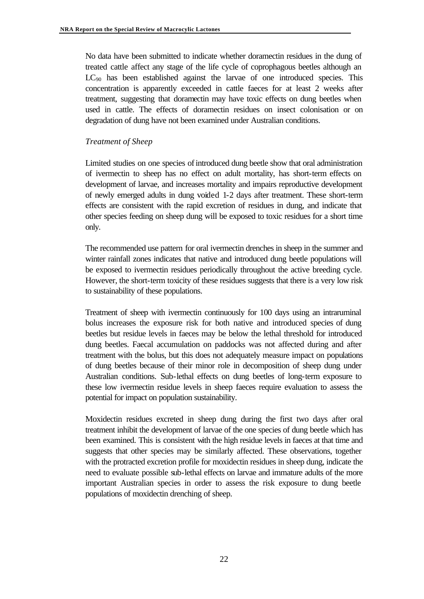No data have been submitted to indicate whether doramectin residues in the dung of treated cattle affect any stage of the life cycle of coprophagous beetles although an  $LC_{90}$  has been established against the larvae of one introduced species. This concentration is apparently exceeded in cattle faeces for at least 2 weeks after treatment, suggesting that doramectin may have toxic effects on dung beetles when used in cattle. The effects of doramectin residues on insect colonisation or on degradation of dung have not been examined under Australian conditions.

#### *Treatment of Sheep*

Limited studies on one species of introduced dung beetle show that oral administration of ivermectin to sheep has no effect on adult mortality, has short-term effects on development of larvae, and increases mortality and impairs reproductive development of newly emerged adults in dung voided 1-2 days after treatment. These short-term effects are consistent with the rapid excretion of residues in dung, and indicate that other species feeding on sheep dung will be exposed to toxic residues for a short time only.

The recommended use pattern for oral ivermectin drenches in sheep in the summer and winter rainfall zones indicates that native and introduced dung beetle populations will be exposed to ivermectin residues periodically throughout the active breeding cycle. However, the short-term toxicity of these residues suggests that there is a very low risk to sustainability of these populations.

Treatment of sheep with ivermectin continuously for 100 days using an intraruminal bolus increases the exposure risk for both native and introduced species of dung beetles but residue levels in faeces may be below the lethal threshold for introduced dung beetles. Faecal accumulation on paddocks was not affected during and after treatment with the bolus, but this does not adequately measure impact on populations of dung beetles because of their minor role in decomposition of sheep dung under Australian conditions. Sub-lethal effects on dung beetles of long-term exposure to these low ivermectin residue levels in sheep faeces require evaluation to assess the potential for impact on population sustainability.

Moxidectin residues excreted in sheep dung during the first two days after oral treatment inhibit the development of larvae of the one species of dung beetle which has been examined. This is consistent with the high residue levels in faeces at that time and suggests that other species may be similarly affected. These observations, together with the protracted excretion profile for moxidectin residues in sheep dung, indicate the need to evaluate possible sub-lethal effects on larvae and immature adults of the more important Australian species in order to assess the risk exposure to dung beetle populations of moxidectin drenching of sheep.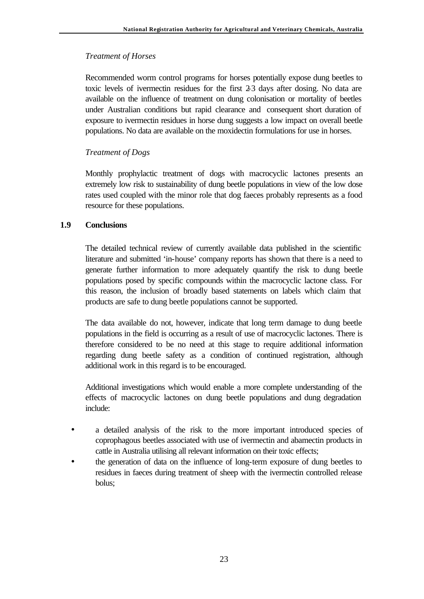#### *Treatment of Horses*

Recommended worm control programs for horses potentially expose dung beetles to toxic levels of ivermectin residues for the first 2-3 days after dosing. No data are available on the influence of treatment on dung colonisation or mortality of beetles under Australian conditions but rapid clearance and consequent short duration of exposure to ivermectin residues in horse dung suggests a low impact on overall beetle populations. No data are available on the moxidectin formulations for use in horses.

#### *Treatment of Dogs*

Monthly prophylactic treatment of dogs with macrocyclic lactones presents an extremely low risk to sustainability of dung beetle populations in view of the low dose rates used coupled with the minor role that dog faeces probably represents as a food resource for these populations.

#### **1.9 Conclusions**

The detailed technical review of currently available data published in the scientific literature and submitted 'in-house' company reports has shown that there is a need to generate further information to more adequately quantify the risk to dung beetle populations posed by specific compounds within the macrocyclic lactone class. For this reason, the inclusion of broadly based statements on labels which claim that products are safe to dung beetle populations cannot be supported.

The data available do not, however, indicate that long term damage to dung beetle populations in the field is occurring as a result of use of macrocyclic lactones. There is therefore considered to be no need at this stage to require additional information regarding dung beetle safety as a condition of continued registration, although additional work in this regard is to be encouraged.

Additional investigations which would enable a more complete understanding of the effects of macrocyclic lactones on dung beetle populations and dung degradation include:

- a detailed analysis of the risk to the more important introduced species of coprophagous beetles associated with use of ivermectin and abamectin products in cattle in Australia utilising all relevant information on their toxic effects;
- the generation of data on the influence of long-term exposure of dung beetles to residues in faeces during treatment of sheep with the ivermectin controlled release bolus;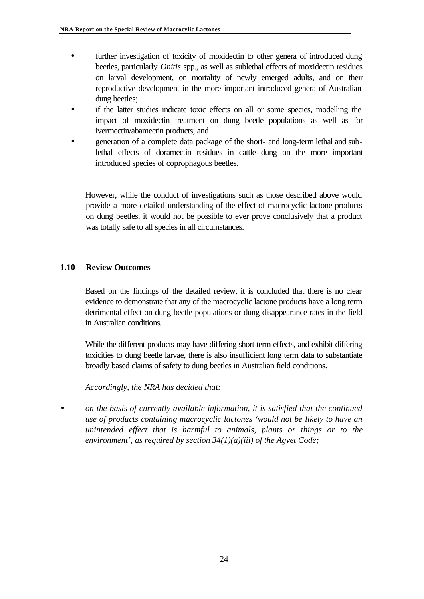- further investigation of toxicity of moxidectin to other genera of introduced dung beetles, particularly *Onitis* spp., as well as sublethal effects of moxidectin residues on larval development, on mortality of newly emerged adults, and on their reproductive development in the more important introduced genera of Australian dung beetles;
- if the latter studies indicate toxic effects on all or some species, modelling the impact of moxidectin treatment on dung beetle populations as well as for ivermectin/abamectin products; and
- generation of a complete data package of the short- and long-term lethal and sublethal effects of doramectin residues in cattle dung on the more important introduced species of coprophagous beetles.

However, while the conduct of investigations such as those described above would provide a more detailed understanding of the effect of macrocyclic lactone products on dung beetles, it would not be possible to ever prove conclusively that a product was totally safe to all species in all circumstances.

#### **1.10 Review Outcomes**

Based on the findings of the detailed review, it is concluded that there is no clear evidence to demonstrate that any of the macrocyclic lactone products have a long term detrimental effect on dung beetle populations or dung disappearance rates in the field in Australian conditions.

While the different products may have differing short term effects, and exhibit differing toxicities to dung beetle larvae, there is also insufficient long term data to substantiate broadly based claims of safety to dung beetles in Australian field conditions.

*Accordingly, the NRA has decided that:*

• *on the basis of currently available information, it is satisfied that the continued use of products containing macrocyclic lactones 'would not be likely to have an unintended effect that is harmful to animals, plants or things or to the environment', as required by section 34(1)(a)(iii) of the Agvet Code;*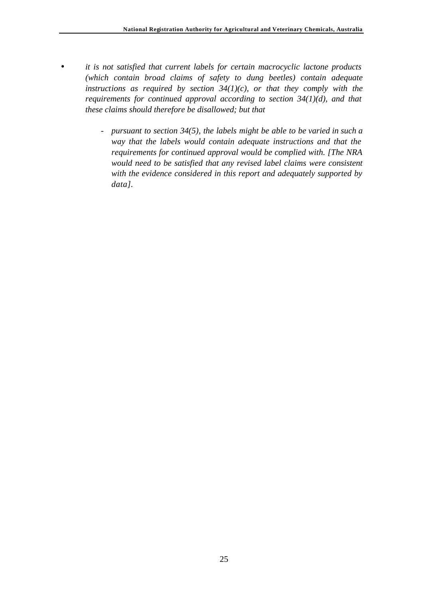- *it is not satisfied that current labels for certain macrocyclic lactone products (which contain broad claims of safety to dung beetles) contain adequate instructions as required by section 34(1)(c), or that they comply with the requirements for continued approval according to section 34(1)(d), and that these claims should therefore be disallowed; but that*
	- *- pursuant to section 34(5), the labels might be able to be varied in such a way that the labels would contain adequate instructions and that the requirements for continued approval would be complied with. [The NRA would need to be satisfied that any revised label claims were consistent with the evidence considered in this report and adequately supported by data].*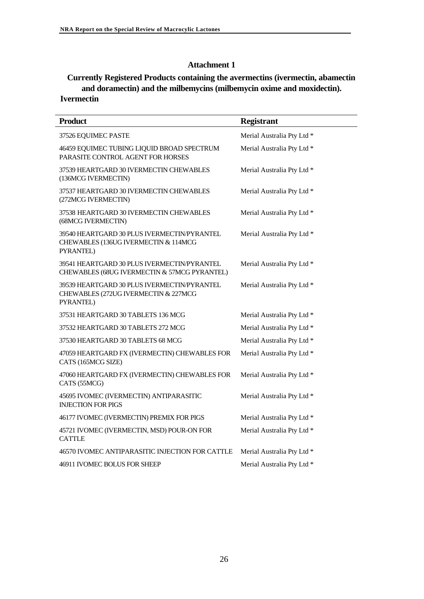#### **Attachment 1**

#### **Currently Registered Products containing the avermectins (ivermectin, abamectin and doramectin) and the milbemycins (milbemycin oxime and moxidectin). Ivermectin**

| <b>Product</b>                                                                                   | <b>Registrant</b>          |
|--------------------------------------------------------------------------------------------------|----------------------------|
| 37526 EQUIMEC PASTE                                                                              | Merial Australia Pty Ltd * |
| 46459 EQUIMEC TUBING LIQUID BROAD SPECTRUM<br>PARASITE CONTROL AGENT FOR HORSES                  | Merial Australia Pty Ltd * |
| 37539 HEARTGARD 30 IVERMECTIN CHEWABLES<br>(136MCG IVERMECTIN)                                   | Merial Australia Pty Ltd * |
| 37537 HEARTGARD 30 IVERMECTIN CHEWABLES<br>(272MCG IVERMECTIN)                                   | Merial Australia Pty Ltd * |
| 37538 HEARTGARD 30 IVERMECTIN CHEWABLES<br>(68MCG IVERMECTIN)                                    | Merial Australia Pty Ltd * |
| 39540 HEARTGARD 30 PLUS IVERMECTIN/PYRANTEL<br>CHEWABLES (136UG IVERMECTIN & 114MCG<br>PYRANTEL) | Merial Australia Pty Ltd * |
| 39541 HEARTGARD 30 PLUS IVERMECTIN/PYRANTEL<br>CHEWABLES (68UG IVERMECTIN & 57MCG PYRANTEL)      | Merial Australia Pty Ltd * |
| 39539 HEARTGARD 30 PLUS IVERMECTIN/PYRANTEL<br>CHEWABLES (272UG IVERMECTIN & 227MCG<br>PYRANTEL) | Merial Australia Pty Ltd * |
| 37531 HEARTGARD 30 TABLETS 136 MCG                                                               | Merial Australia Pty Ltd * |
| 37532 HEARTGARD 30 TABLETS 272 MCG                                                               | Merial Australia Pty Ltd * |
| 37530 HEARTGARD 30 TABLETS 68 MCG                                                                | Merial Australia Pty Ltd * |
| 47059 HEARTGARD FX (IVERMECTIN) CHEWABLES FOR<br>CATS (165MCG SIZE)                              | Merial Australia Pty Ltd * |
| 47060 HEARTGARD FX (IVERMECTIN) CHEWABLES FOR<br>CATS (55MCG)                                    | Merial Australia Pty Ltd * |
| 45695 IVOMEC (IVERMECTIN) ANTIPARASITIC<br><b>INJECTION FOR PIGS</b>                             | Merial Australia Pty Ltd * |
| 46177 IVOMEC (IVERMECTIN) PREMIX FOR PIGS                                                        | Merial Australia Pty Ltd * |
| 45721 IVOMEC (IVERMECTIN, MSD) POUR-ON FOR<br><b>CATTLE</b>                                      | Merial Australia Pty Ltd * |
| 46570 IVOMEC ANTIPARASITIC INJECTION FOR CATTLE                                                  | Merial Australia Pty Ltd * |
| 46911 IVOMEC BOLUS FOR SHEEP                                                                     | Merial Australia Pty Ltd * |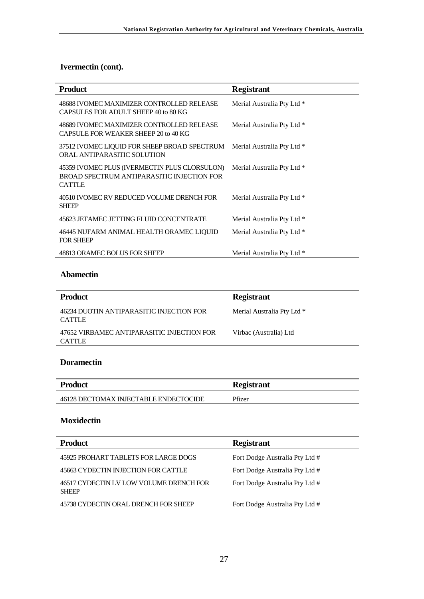# **Ivermectin (cont).**

| <b>Product</b>                                                                                               | <b>Registrant</b>          |
|--------------------------------------------------------------------------------------------------------------|----------------------------|
| 48688 IVOMEC MAXIMIZER CONTROLLED RELEASE<br>CAPSULES FOR ADULT SHEEP 40 to 80 KG                            | Merial Australia Pty Ltd * |
| 48689 IVOMEC MAXIMIZER CONTROLLED RELEASE<br>CAPSULE FOR WEAKER SHEEP 20 to 40 KG                            | Merial Australia Pty Ltd * |
| 37512 IVOMEC LIQUID FOR SHEEP BROAD SPECTRUM<br>ORAL ANTIPARASITIC SOLUTION                                  | Merial Australia Pty Ltd * |
| 45359 IVOMEC PLUS (IVERMECTIN PLUS CLORSULON)<br>BROAD SPECTRUM ANTIPARASITIC INJECTION FOR<br><b>CATTLE</b> | Merial Australia Pty Ltd * |
| 40510 IVOMEC RV REDUCED VOLUME DRENCH FOR<br><b>SHEEP</b>                                                    | Merial Australia Pty Ltd * |
| 45623 JETAMEC JETTING FLUID CONCENTRATE                                                                      | Merial Australia Pty Ltd * |
| 46445 NUFARM ANIMAL HEALTH ORAMEC LIQUID<br><b>FOR SHEEP</b>                                                 | Merial Australia Pty Ltd * |
| 48813 ORAMEC BOLUS FOR SHEEP                                                                                 | Merial Australia Pty Ltd * |

#### **Abamectin**

| <b>Product</b>                                            | <b>Registrant</b>          |
|-----------------------------------------------------------|----------------------------|
| 46234 DUOTIN ANTIPARASITIC INJECTION FOR<br><b>CATTLE</b> | Merial Australia Pty Ltd * |
| 47652 VIRBAMEC ANTIPARASITIC INJECTION FOR<br>CATTI E     | Virbac (Australia) Ltd     |

## **Doramectin**

| <b>Product</b>                        | <b>Registrant</b> |
|---------------------------------------|-------------------|
| 46128 DECTOMAX INJECTABLE ENDECTOCIDE | Pfizer            |

# **Moxidectin**

| <b>Product</b>                                          | <b>Registrant</b>              |
|---------------------------------------------------------|--------------------------------|
| 45925 PROHART TABLETS FOR LARGE DOGS                    | Fort Dodge Australia Pty Ltd # |
| 45663 CYDECTIN INJECTION FOR CATTLE                     | Fort Dodge Australia Pty Ltd # |
| 46517 CYDECTIN LV LOW VOLUME DRENCH FOR<br><b>SHEEP</b> | Fort Dodge Australia Pty Ltd # |
| 45738 CYDECTIN ORAL DRENCH FOR SHEEP                    | Fort Dodge Australia Pty Ltd # |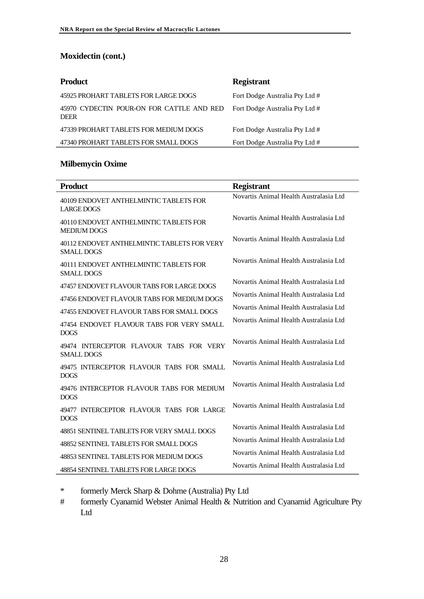# **Moxidectin (cont.)**

| <b>Product</b>                                           | <b>Registrant</b>              |
|----------------------------------------------------------|--------------------------------|
| 45925 PROHART TABLETS FOR LARGE DOGS                     | Fort Dodge Australia Pty Ltd # |
| 45970 CYDECTIN POUR-ON FOR CATTLE AND RED<br><b>DEER</b> | Fort Dodge Australia Pty Ltd # |
| 47339 PROHART TABLETS FOR MEDIUM DOGS                    | Fort Dodge Australia Pty Ltd # |
| 47340 PROHART TABLETS FOR SMALL DOGS                     | Fort Dodge Australia Pty Ltd # |

#### **Milbemycin Oxime**

| <b>Product</b>                                                   | <b>Registrant</b>                      |
|------------------------------------------------------------------|----------------------------------------|
| 40109 ENDOVET ANTHELMINTIC TABLETS FOR<br><b>LARGE DOGS</b>      | Novartis Animal Health Australasia Ltd |
| 40110 ENDOVET ANTHELMINTIC TABLETS FOR<br><b>MEDIUM DOGS</b>     | Novartis Animal Health Australasia Ltd |
| 40112 ENDOVET ANTHELMINTIC TABLETS FOR VERY<br><b>SMALL DOGS</b> | Novartis Animal Health Australasia Ltd |
| 40111 ENDOVET ANTHELMINTIC TABLETS FOR<br>SMALL DOGS             | Novartis Animal Health Australasia Ltd |
| 47457 ENDOVET FLAVOUR TABS FOR LARGE DOGS                        | Novartis Animal Health Australasia Ltd |
| 47456 ENDOVET FLAVOUR TABS FOR MEDIUM DOGS                       | Novartis Animal Health Australasia Ltd |
| 47455 ENDOVET FLAVOUR TABS FOR SMALL DOGS                        | Novartis Animal Health Australasia Ltd |
| 47454 ENDOVET FLAVOUR TABS FOR VERY SMALL<br><b>DOGS</b>         | Novartis Animal Health Australasia Ltd |
| 49474 INTERCEPTOR FLAVOUR TABS FOR VERY<br><b>SMALL DOGS</b>     | Novartis Animal Health Australasia Ltd |
| 49475 INTERCEPTOR FLAVOUR TABS FOR SMALL<br><b>DOGS</b>          | Novartis Animal Health Australasia Ltd |
| 49476 INTERCEPTOR FLAVOUR TABS FOR MEDIUM<br><b>DOGS</b>         | Novartis Animal Health Australasia Ltd |
| 49477 INTERCEPTOR FLAVOUR TABS FOR LARGE<br><b>DOGS</b>          | Novartis Animal Health Australasia Ltd |
| 48851 SENTINEL TABLETS FOR VERY SMALL DOGS                       | Novartis Animal Health Australasia Ltd |
| 48852 SENTINEL TABLETS FOR SMALL DOGS                            | Novartis Animal Health Australasia Ltd |
| 48853 SENTINEL TABLETS FOR MEDIUM DOGS                           | Novartis Animal Health Australasia Ltd |
| 48854 SENTINEL TABLETS FOR LARGE DOGS                            | Novartis Animal Health Australasia Ltd |

\* formerly Merck Sharp & Dohme (Australia) Pty Ltd

# formerly Cyanamid Webster Animal Health & Nutrition and Cyanamid Agriculture Pty Ltd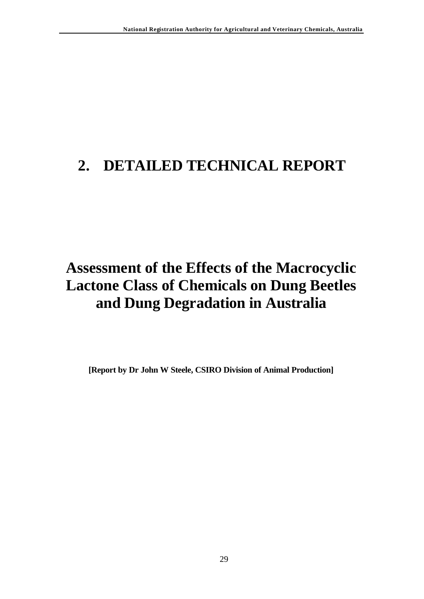# **2. DETAILED TECHNICAL REPORT**

# **Assessment of the Effects of the Macrocyclic Lactone Class of Chemicals on Dung Beetles and Dung Degradation in Australia**

**[Report by Dr John W Steele, CSIRO Division of Animal Production]**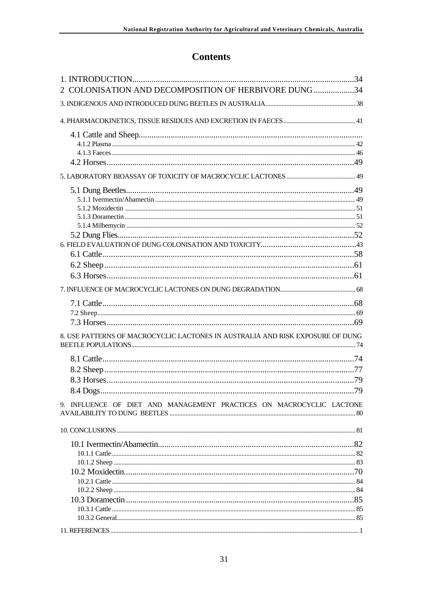# **Contents**

| 2 COLONISATION AND DECOMPOSITION OF HERBIVORE DUNG 34                          |     |
|--------------------------------------------------------------------------------|-----|
|                                                                                |     |
|                                                                                |     |
|                                                                                |     |
|                                                                                |     |
|                                                                                |     |
|                                                                                |     |
|                                                                                |     |
|                                                                                |     |
|                                                                                |     |
|                                                                                |     |
|                                                                                |     |
|                                                                                |     |
|                                                                                |     |
|                                                                                |     |
|                                                                                |     |
|                                                                                |     |
|                                                                                |     |
|                                                                                |     |
|                                                                                |     |
|                                                                                |     |
|                                                                                |     |
| 8. USE PATTERNS OF MACROCYCLIC LACTONES IN AUSTRALIA AND RISK EXPOSURE OF DUNG |     |
|                                                                                |     |
|                                                                                |     |
|                                                                                |     |
| 8.4 Dogs                                                                       | .79 |
|                                                                                |     |
| 9. INFLUENCE OF DIET AND MANAGEMENT PRACTICES ON MACROCYCLIC LACTONE           |     |
|                                                                                |     |
|                                                                                |     |
|                                                                                |     |
|                                                                                |     |
|                                                                                |     |
|                                                                                |     |
|                                                                                |     |
|                                                                                |     |
|                                                                                |     |
|                                                                                |     |
|                                                                                |     |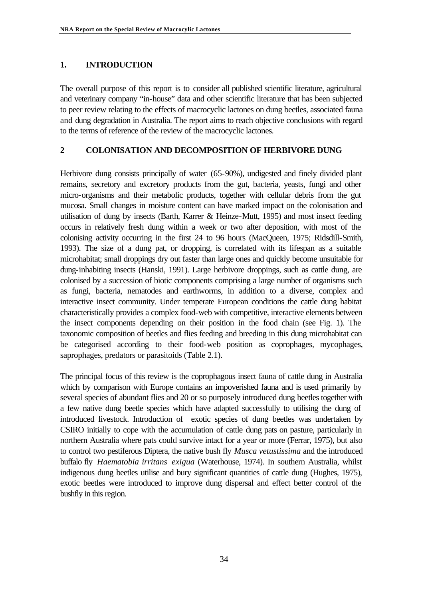#### **1. INTRODUCTION**

The overall purpose of this report is to consider all published scientific literature, agricultural and veterinary company "in-house" data and other scientific literature that has been subjected to peer review relating to the effects of macrocyclic lactones on dung beetles, associated fauna and dung degradation in Australia. The report aims to reach objective conclusions with regard to the terms of reference of the review of the macrocyclic lactones.

#### **2 COLONISATION AND DECOMPOSITION OF HERBIVORE DUNG**

Herbivore dung consists principally of water (65-90%), undigested and finely divided plant remains, secretory and excretory products from the gut, bacteria, yeasts, fungi and other micro-organisms and their metabolic products, together with cellular debris from the gut mucosa. Small changes in moisture content can have marked impact on the colonisation and utilisation of dung by insects (Barth, Karrer & Heinze-Mutt, 1995) and most insect feeding occurs in relatively fresh dung within a week or two after deposition, with most of the colonising activity occurring in the first 24 to 96 hours (MacQueen, 1975; Ridsdill-Smith, 1993). The size of a dung pat, or dropping, is correlated with its lifespan as a suitable microhabitat; small droppings dry out faster than large ones and quickly become unsuitable for dung-inhabiting insects (Hanski, 1991). Large herbivore droppings, such as cattle dung, are colonised by a succession of biotic components comprising a large number of organisms such as fungi, bacteria, nematodes and earthworms, in addition to a diverse, complex and interactive insect community. Under temperate European conditions the cattle dung habitat characteristically provides a complex food-web with competitive, interactive elements between the insect components depending on their position in the food chain (see Fig. 1). The taxonomic composition of beetles and flies feeding and breeding in this dung microhabitat can be categorised according to their food-web position as coprophages, mycophages, saprophages, predators or parasitoids (Table 2.1).

The principal focus of this review is the coprophagous insect fauna of cattle dung in Australia which by comparison with Europe contains an impoverished fauna and is used primarily by several species of abundant flies and 20 or so purposely introduced dung beetles together with a few native dung beetle species which have adapted successfully to utilising the dung of introduced livestock. Introduction of exotic species of dung beetles was undertaken by CSIRO initially to cope with the accumulation of cattle dung pats on pasture, particularly in northern Australia where pats could survive intact for a year or more (Ferrar, 1975), but also to control two pestiferous Diptera, the native bush fly *Musca vetustissima* and the introduced buffalo fly *Haematobia irritans exigua* (Waterhouse, 1974). In southern Australia, whilst indigenous dung beetles utilise and bury significant quantities of cattle dung (Hughes, 1975), exotic beetles were introduced to improve dung dispersal and effect better control of the bushfly in this region.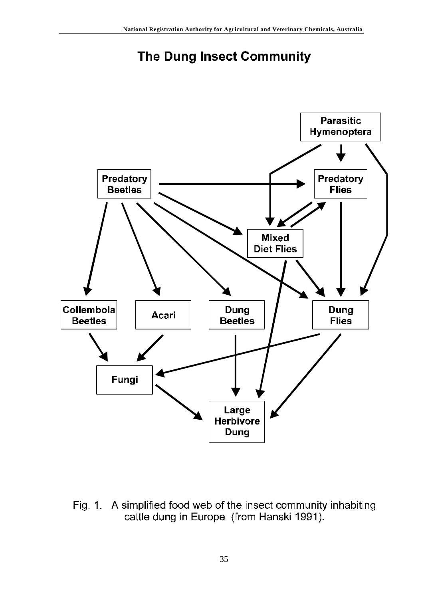# The Dung Insect Community



Fig. 1. A simplified food web of the insect community inhabiting cattle dung in Europe (from Hanski 1991).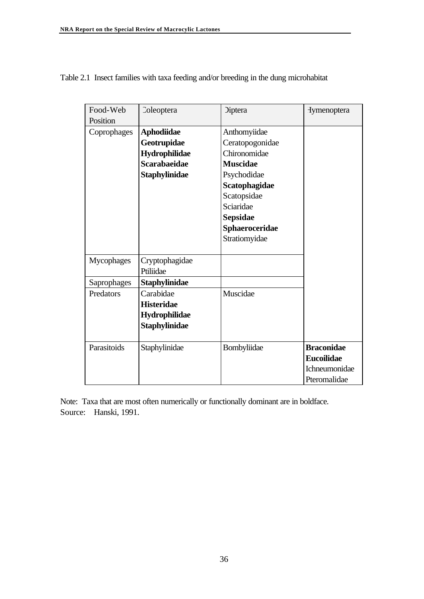| Food-Web    | Coleoptera          | <b>Diptera</b>  | <b>Hymenoptera</b> |
|-------------|---------------------|-----------------|--------------------|
| Position    |                     |                 |                    |
| Coprophages | <b>Aphodiidae</b>   | Anthomyiidae    |                    |
|             | Geotrupidae         | Ceratopogonidae |                    |
|             | Hydrophilidae       | Chironomidae    |                    |
|             | <b>Scarabaeidae</b> | <b>Muscidae</b> |                    |
|             | Staphylinidae       | Psychodidae     |                    |
|             |                     | Scatophagidae   |                    |
|             |                     | Scatopsidae     |                    |
|             |                     | Sciaridae       |                    |
|             |                     | Sepsidae        |                    |
|             |                     | Sphaeroceridae  |                    |
|             |                     | Stratiomyidae   |                    |
|             |                     |                 |                    |
| Mycophages  | Cryptophagidae      |                 |                    |
|             | Ptiliidae           |                 |                    |
| Saprophages | Staphylinidae       |                 |                    |
| Predators   | Carabidae           | Muscidae        |                    |
|             | <b>Histeridae</b>   |                 |                    |
|             | Hydrophilidae       |                 |                    |
|             | Staphylinidae       |                 |                    |
|             |                     |                 |                    |
| Parasitoids | Staphylinidae       | Bombyliidae     | <b>Braconidae</b>  |
|             |                     |                 | <b>Eucoilidae</b>  |
|             |                     |                 | Ichneumonidae      |
|             |                     |                 | Pteromalidae       |

Table 2.1 Insect families with taxa feeding and/or breeding in the dung microhabitat

Note: Taxa that are most often numerically or functionally dominant are in boldface. Source: Hanski, 1991.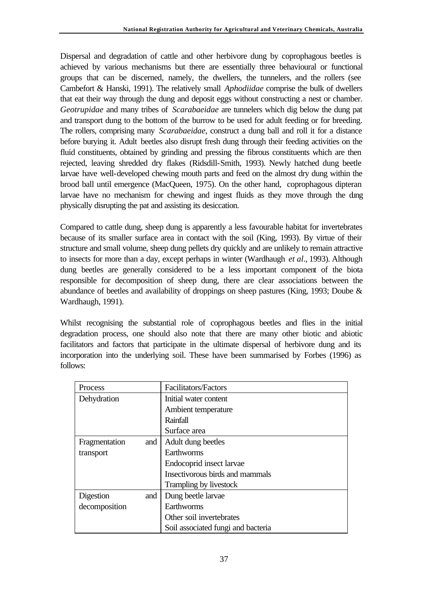Dispersal and degradation of cattle and other herbivore dung by coprophagous beetles is achieved by various mechanisms but there are essentially three behavioural or functional groups that can be discerned, namely, the dwellers, the tunnelers, and the rollers (see Cambefort & Hanski, 1991). The relatively small *Aphodiidae* comprise the bulk of dwellers that eat their way through the dung and deposit eggs without constructing a nest or chamber. *Geotrupidae* and many tribes of *Scarabaeidae* are tunnelers which dig below the dung pat and transport dung to the bottom of the burrow to be used for adult feeding or for breeding. The rollers, comprising many *Scarabaeidae*, construct a dung ball and roll it for a distance before burying it. Adult beetles also disrupt fresh dung through their feeding activities on the fluid constituents, obtained by grinding and pressing the fibrous constituents which are then rejected, leaving shredded dry flakes (Ridsdill-Smith, 1993). Newly hatched dung beetle larvae have well-developed chewing mouth parts and feed on the almost dry dung within the brood ball until emergence (MacQueen, 1975). On the other hand, coprophagous dipteran larvae have no mechanism for chewing and ingest fluids as they move through the dung physically disrupting the pat and assisting its desiccation.

Compared to cattle dung, sheep dung is apparently a less favourable habitat for invertebrates because of its smaller surface area in contact with the soil (King, 1993). By virtue of their structure and small volume, sheep dung pellets dry quickly and are unlikely to remain attractive to insects for more than a day, except perhaps in winter (Wardhaugh *et al*., 1993). Although dung beetles are generally considered to be a less important component of the biota responsible for decomposition of sheep dung, there are clear associations between the abundance of beetles and availability of droppings on sheep pastures (King, 1993; Doube & Wardhaugh, 1991).

Whilst recognising the substantial role of coprophagous beetles and flies in the initial degradation process, one should also note that there are many other biotic and abiotic facilitators and factors that participate in the ultimate dispersal of herbivore dung and its incorporation into the underlying soil. These have been summarised by Forbes (1996) as follows:

| Process              | Facilitators/Factors               |
|----------------------|------------------------------------|
| Dehydration          | Initial water content              |
|                      | Ambient temperature                |
|                      | Rainfall                           |
|                      | Surface area                       |
| Fragmentation<br>and | Adult dung beetles                 |
| transport            | Earthworms                         |
|                      | Endocoprid insect larvae           |
|                      | Insectivorous birds and mammals    |
|                      | Trampling by livestock             |
| Digestion<br>and     | Dung beetle larvae                 |
| decomposition        | Earthworms                         |
|                      | Other soil invertebrates           |
|                      | Soil associated fungi and bacteria |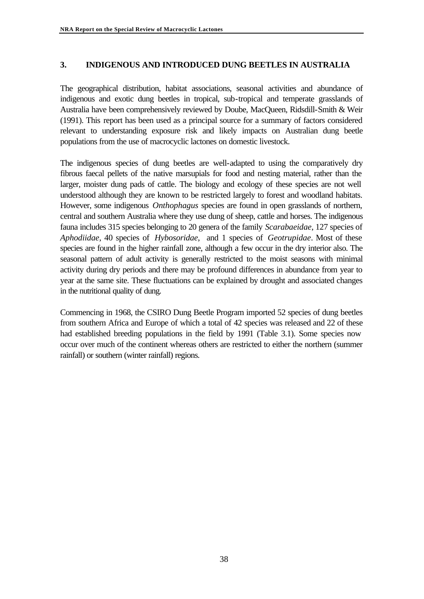## **3. INDIGENOUS AND INTRODUCED DUNG BEETLES IN AUSTRALIA**

The geographical distribution, habitat associations, seasonal activities and abundance of indigenous and exotic dung beetles in tropical, sub-tropical and temperate grasslands of Australia have been comprehensively reviewed by Doube, MacQueen, Ridsdill-Smith & Weir (1991). This report has been used as a principal source for a summary of factors considered relevant to understanding exposure risk and likely impacts on Australian dung beetle populations from the use of macrocyclic lactones on domestic livestock.

The indigenous species of dung beetles are well-adapted to using the comparatively dry fibrous faecal pellets of the native marsupials for food and nesting material, rather than the larger, moister dung pads of cattle. The biology and ecology of these species are not well understood although they are known to be restricted largely to forest and woodland habitats. However, some indigenous *Onthophagus* species are found in open grasslands of northern, central and southern Australia where they use dung of sheep, cattle and horses. The indigenous fauna includes 315 species belonging to 20 genera of the family *Scarabaeidae*, 127 species of *Aphodiidae*, 40 species of *Hybosoridae*, and 1 species of *Geotrupidae*. Most of these species are found in the higher rainfall zone, although a few occur in the dry interior also. The seasonal pattern of adult activity is generally restricted to the moist seasons with minimal activity during dry periods and there may be profound differences in abundance from year to year at the same site. These fluctuations can be explained by drought and associated changes in the nutritional quality of dung.

Commencing in 1968, the CSIRO Dung Beetle Program imported 52 species of dung beetles from southern Africa and Europe of which a total of 42 species was released and 22 of these had established breeding populations in the field by 1991 (Table 3.1). Some species now occur over much of the continent whereas others are restricted to either the northern (summer rainfall) or southern (winter rainfall) regions.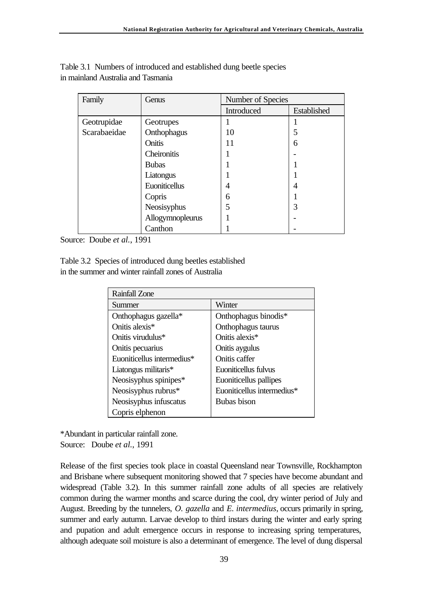| Family       | Genus            | Number of Species |             |  |
|--------------|------------------|-------------------|-------------|--|
|              |                  | Introduced        | Established |  |
| Geotrupidae  | Geotrupes        |                   |             |  |
| Scarabaeidae | Onthophagus      | 10                | 5           |  |
|              | Onitis           | 11                | 6           |  |
|              | Cheironitis      |                   |             |  |
|              | <b>Bubas</b>     |                   |             |  |
|              | Liatongus        |                   |             |  |
|              | Euoniticellus    | 4                 | 4           |  |
|              | Copris           | 6                 |             |  |
|              | Neosisyphus      | 5                 | 3           |  |
|              | Allogymnopleurus |                   |             |  |
|              | Canthon          |                   |             |  |

Table 3.1 Numbers of introduced and established dung beetle species in mainland Australia and Tasmania

Source: Doube *et al.*, 1991

Table 3.2 Species of introduced dung beetles established in the summer and winter rainfall zones of Australia

| <b>Rainfall Zone</b>       |                            |
|----------------------------|----------------------------|
| Summer                     | Winter                     |
| Onthophagus gazella*       | Onthophagus binodis*       |
| Onitis alexis <sup>*</sup> | Onthophagus taurus         |
| Onitis virudulus*          | Onitis alexis*             |
| Onitis pecuarius           | Onitis aygulus             |
| Euoniticellus intermedius* | Onitis caffer              |
| Liatongus militaris*       | Euoniticellus fulvus       |
| Neosisyphus spinipes*      | Euoniticellus pallipes     |
| Neosisyphus rubrus*        | Euoniticellus intermedius* |
| Neosisyphus infuscatus     | Bubas bison                |
| Copris elphenon            |                            |

\*Abundant in particular rainfall zone. Source: Doube *et al.*, 1991

Release of the first species took place in coastal Queensland near Townsville, Rockhampton and Brisbane where subsequent monitoring showed that 7 species have become abundant and widespread (Table 3.2). In this summer rainfall zone adults of all species are relatively common during the warmer months and scarce during the cool, dry winter period of July and August. Breeding by the tunnelers, *O. gazella* and *E. intermedius*, occurs primarily in spring, summer and early autumn. Larvae develop to third instars during the winter and early spring and pupation and adult emergence occurs in response to increasing spring temperatures, although adequate soil moisture is also a determinant of emergence. The level of dung dispersal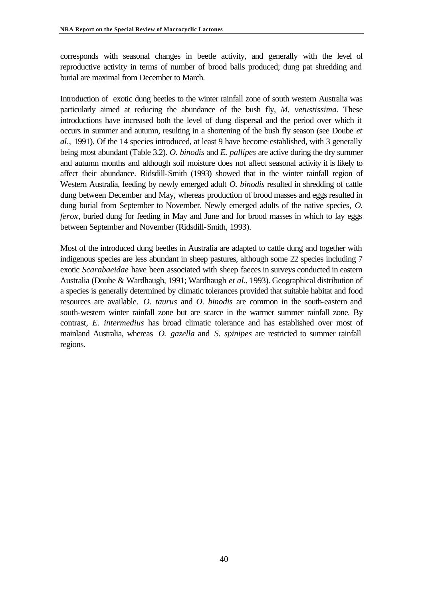corresponds with seasonal changes in beetle activity, and generally with the level of reproductive activity in terms of number of brood balls produced; dung pat shredding and burial are maximal from December to March.

Introduction of exotic dung beetles to the winter rainfall zone of south western Australia was particularly aimed at reducing the abundance of the bush fly, *M. vetustissima*. These introductions have increased both the level of dung dispersal and the period over which it occurs in summer and autumn, resulting in a shortening of the bush fly season (see Doube *et al*., 1991). Of the 14 species introduced, at least 9 have become established, with 3 generally being most abundant (Table 3.2). *O. binodis* and *E. pallipes* are active during the dry summer and autumn months and although soil moisture does not affect seasonal activity it is likely to affect their abundance. Ridsdill-Smith (1993) showed that in the winter rainfall region of Western Australia, feeding by newly emerged adult *O. binodis* resulted in shredding of cattle dung between December and May, whereas production of brood masses and eggs resulted in dung burial from September to November. Newly emerged adults of the native species, *O. ferox*, buried dung for feeding in May and June and for brood masses in which to lay eggs between September and November (Ridsdill-Smith, 1993).

Most of the introduced dung beetles in Australia are adapted to cattle dung and together with indigenous species are less abundant in sheep pastures, although some 22 species including 7 exotic *Scarabaeidae* have been associated with sheep faeces in surveys conducted in eastern Australia (Doube & Wardhaugh, 1991; Wardhaugh *et al*., 1993). Geographical distribution of a species is generally determined by climatic tolerances provided that suitable habitat and food resources are available. *O. taurus* and *O. binodis* are common in the south-eastern and south-western winter rainfall zone but are scarce in the warmer summer rainfall zone. By contrast, *E. intermedius* has broad climatic tolerance and has established over most of mainland Australia, whereas *O. gazella* and *S. spinipes* are restricted to summer rainfall regions.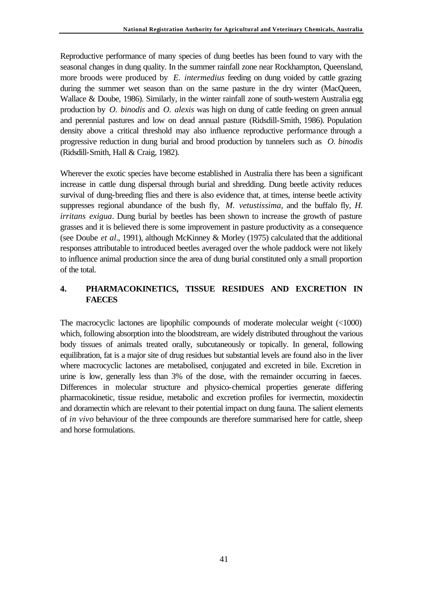Reproductive performance of many species of dung beetles has been found to vary with the seasonal changes in dung quality. In the summer rainfall zone near Rockhampton, Queensland, more broods were produced by *E. intermedius* feeding on dung voided by cattle grazing during the summer wet season than on the same pasture in the dry winter (MacQueen, Wallace & Doube, 1986). Similarly, in the winter rainfall zone of south-western Australia egg production by *O. binodis* and *O. alexis* was high on dung of cattle feeding on green annual and perennial pastures and low on dead annual pasture (Ridsdill-Smith, 1986). Population density above a critical threshold may also influence reproductive performance through a progressive reduction in dung burial and brood production by tunnelers such as *O. binodis* (Ridsdill-Smith, Hall & Craig, 1982).

Wherever the exotic species have become established in Australia there has been a significant increase in cattle dung dispersal through burial and shredding. Dung beetle activity reduces survival of dung-breeding flies and there is also evidence that, at times, intense beetle activity suppresses regional abundance of the bush fly, *M. vetustissima*, and the buffalo fly, *H. irritans exigua*. Dung burial by beetles has been shown to increase the growth of pasture grasses and it is believed there is some improvement in pasture productivity as a consequence (see Doube *et al*., 1991), although McKinney & Morley (1975) calculated that the additional responses attributable to introduced beetles averaged over the whole paddock were not likely to influence animal production since the area of dung burial constituted only a small proportion of the total.

# **4. PHARMACOKINETICS, TISSUE RESIDUES AND EXCRETION IN FAECES**

The macrocyclic lactones are lipophilic compounds of moderate molecular weight (<1000) which, following absorption into the bloodstream, are widely distributed throughout the various body tissues of animals treated orally, subcutaneously or topically. In general, following equilibration, fat is a major site of drug residues but substantial levels are found also in the liver where macrocyclic lactones are metabolised, conjugated and excreted in bile. Excretion in urine is low, generally less than 3% of the dose, with the remainder occurring in faeces. Differences in molecular structure and physico-chemical properties generate differing pharmacokinetic, tissue residue, metabolic and excretion profiles for ivermectin, moxidectin and doramectin which are relevant to their potential impact on dung fauna. The salient elements of *in vivo* behaviour of the three compounds are therefore summarised here for cattle, sheep and horse formulations.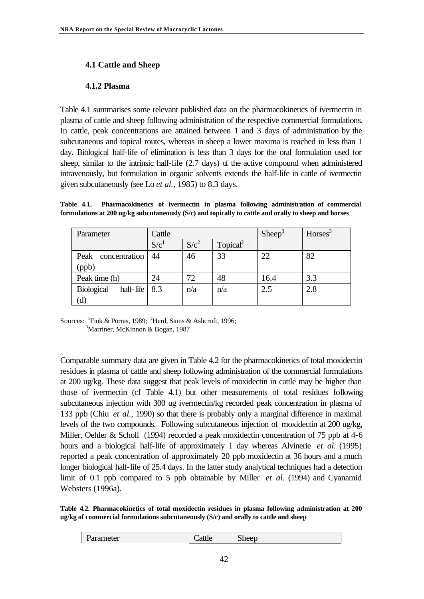### **4.1 Cattle and Sheep**

### **4.1.2 Plasma**

Table 4.1 summarises some relevant published data on the pharmacokinetics of ivermectin in plasma of cattle and sheep following administration of the respective commercial formulations. In cattle, peak concentrations are attained between 1 and 3 days of administration by the subcutaneous and topical routes, whereas in sheep a lower maxima is reached in less than 1 day. Biological half-life of elimination is less than 3 days for the oral formulation used for sheep, similar to the intrinsic half-life (2.7 days) of the active compound when administered intravenously, but formulation in organic solvents extends the half-life in cattle of ivermectin given subcutaneously (see Lo *et al.*, 1985) to 8.3 days.

**Table 4.1. Pharmacokinetics of ivermectin in plasma following administration of commercial formulations at 200 ug/kg subcutaneously (S/c) and topically to cattle and orally to sheep and horses**

| Parameter                      | Cattle           |         |                      | Sheep <sup>3</sup> | $H$ orses <sup>3</sup> |
|--------------------------------|------------------|---------|----------------------|--------------------|------------------------|
|                                | S/c <sup>1</sup> | $S/c^2$ | Topical <sup>2</sup> |                    |                        |
| Peak concentration             | 44               | 46      | 33                   | 22                 | 82                     |
| (ppb)                          |                  |         |                      |                    |                        |
| Peak time (h)                  | 24               | 72      | 48                   | 16.4               | 3.3                    |
| <b>Biological</b><br>half-life | 8.3              | n/a     | n/a                  | 2.5                | 2.8                    |
| $\left( d\right)$              |                  |         |                      |                    |                        |

Sources:  $\frac{1}{1}$ Fink & Porras, 1989;  $\frac{2}{1}$ Herd, Sams & Ashcroft, 1996; <sup>3</sup>Marriner, McKinnon & Bogan, 1987

Comparable summary data are given in Table 4.2 for the pharmacokinetics of total moxidectin residues in plasma of cattle and sheep following administration of the commercial formulations at 200 ug/kg. These data suggest that peak levels of moxidectin in cattle may be higher than those of ivermectin (cf Table 4.1) but other measurements of total residues following subcutaneous injection with 300 ug ivermectin/kg recorded peak concentration in plasma of 133 ppb (Chiu *et al.*, 1990) so that there is probably only a marginal difference in maximal levels of the two compounds. Following subcutaneous injection of moxidectin at 200 ug/kg, Miller, Oehler & Scholl (1994) recorded a peak moxidectin concentration of 75 ppb at 4-6 hours and a biological half-life of approximately 1 day whereas Alvinerie *et al.* (1995) reported a peak concentration of approximately 20 ppb moxidectin at 36 hours and a much longer biological half-life of 25.4 days. In the latter study analytical techniques had a detection limit of 0.1 ppb compared to 5 ppb obtainable by Miller *et al.* (1994) and Cyanamid Websters (1996a).

**Table 4.2. Pharmacokinetics of total moxidectin residues in plasma following administration at 200 ug/kg of commercial formulations subcutaneously (S/c) and orally to cattle and sheep**

| Parameter | $\overline{\phantom{0}}$<br>`attle | $\sim$<br>Sheep |
|-----------|------------------------------------|-----------------|
|           |                                    |                 |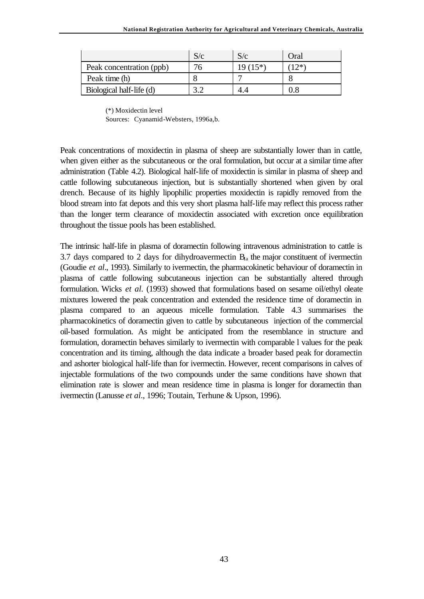|                          | S/c | S/c    | Oral |
|--------------------------|-----|--------|------|
| Peak concentration (ppb) |     | $15*)$ | つ*   |
| Peak time (h)            |     |        |      |
| Biological half-life (d) |     |        |      |

(\*) Moxidectin level

Sources: Cyanamid-Websters, 1996a,b.

Peak concentrations of moxidectin in plasma of sheep are substantially lower than in cattle, when given either as the subcutaneous or the oral formulation, but occur at a similar time after administration (Table 4.2). Biological half-life of moxidectin is similar in plasma of sheep and cattle following subcutaneous injection, but is substantially shortened when given by oral drench. Because of its highly lipophilic properties moxidectin is rapidly removed from the blood stream into fat depots and this very short plasma half-life may reflect this process rather than the longer term clearance of moxidectin associated with excretion once equilibration throughout the tissue pools has been established.

The intrinsic half-life in plasma of doramectin following intravenous administration to cattle is 3.7 days compared to 2 days for dihydroavermectin  $B<sub>1a</sub>$  the major constituent of ivermectin (Goudie *et al*., 1993). Similarly to ivermectin, the pharmacokinetic behaviour of doramectin in plasma of cattle following subcutaneous injection can be substantially altered through formulation. Wicks *et al.* (1993) showed that formulations based on sesame oil/ethyl oleate mixtures lowered the peak concentration and extended the residence time of doramectin in plasma compared to an aqueous micelle formulation. Table 4.3 summarises the pharmacokinetics of doramectin given to cattle by subcutaneous injection of the commercial oil-based formulation. As might be anticipated from the resemblance in structure and formulation, doramectin behaves similarly to ivermectin with comparable l values for the peak concentration and its timing, although the data indicate a broader based peak for doramectin and ashorter biological half-life than for ivermectin. However, recent comparisons in calves of injectable formulations of the two compounds under the same conditions have shown that elimination rate is slower and mean residence time in plasma is longer for doramectin than ivermectin (Lanusse *et al*., 1996; Toutain, Terhune & Upson, 1996).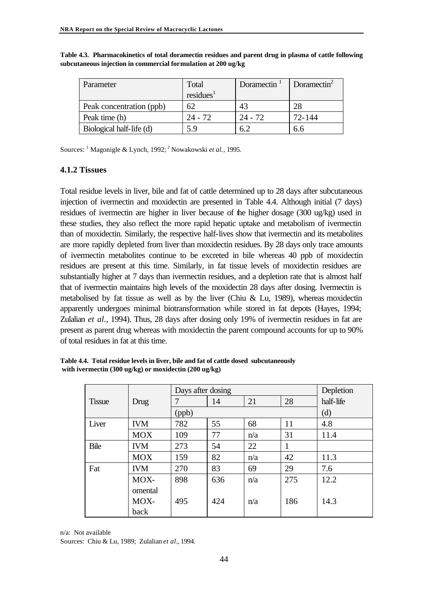| Parameter                | Total                 | Doramectin $1$ | Doramectin <sup>2</sup> |
|--------------------------|-----------------------|----------------|-------------------------|
|                          | residues <sup>1</sup> |                |                         |
| Peak concentration (ppb) | 62                    | 43             |                         |
| Peak time (h)            | $24 - 72$             | 24 - 72        | 72-144                  |
| Biological half-life (d) | 5.9                   |                | 6r                      |

**Table 4.3. Pharmacokinetics of total doramectin residues and parent drug in plasma of cattle following subcutaneous injection in commercial formulation at 200 ug/kg**

Sources: <sup>1</sup> Magonigle & Lynch, 1992; <sup>2</sup> Nowakowski *et al.*, 1995.

#### **4.1.2 Tissues**

Total residue levels in liver, bile and fat of cattle determined up to 28 days after subcutaneous injection of ivermectin and moxidectin are presented in Table 4.4. Although initial (7 days) residues of ivermectin are higher in liver because of the higher dosage (300 ug/kg) used in these studies, they also reflect the more rapid hepatic uptake and metabolism of ivermectin than of moxidectin. Similarly, the respective half-lives show that ivermectin and its metabolites are more rapidly depleted from liver than moxidectin residues. By 28 days only trace amounts of ivermectin metabolites continue to be excreted in bile whereas 40 ppb of moxidectin residues are present at this time. Similarly, in fat tissue levels of moxidectin residues are substantially higher at 7 days than ivermectin residues, and a depletion rate that is almost half that of ivermectin maintains high levels of the moxidectin 28 days after dosing. Ivermectin is metabolised by fat tissue as well as by the liver (Chiu & Lu, 1989), whereas moxidectin apparently undergoes minimal biotransformation while stored in fat depots (Hayes, 1994; Zulalian *et al.*, 1994). Thus, 28 days after dosing only 19% of ivermectin residues in fat are present as parent drug whereas with moxidectin the parent compound accounts for up to 90% of total residues in fat at this time.

|               |            |       | Days after dosing |     |     |           |  |  |
|---------------|------------|-------|-------------------|-----|-----|-----------|--|--|
| <b>Tissue</b> | Drug       | 7     | 14                | 21  | 28  | half-life |  |  |
|               |            | (ppb) |                   |     |     | (d)       |  |  |
| Liver         | <b>IVM</b> | 782   | 55                | 68  | 11  | 4.8       |  |  |
|               | <b>MOX</b> | 109   | 77                | n/a | 31  | 11.4      |  |  |
| Bile          | <b>IVM</b> | 273   | 54                | 22  | 1   |           |  |  |
|               | <b>MOX</b> | 159   | 82                | n/a | 42  | 11.3      |  |  |
| Fat           | <b>IVM</b> | 270   | 83                | 69  | 29  | 7.6       |  |  |
|               | MOX-       | 898   | 636               | n/a | 275 | 12.2      |  |  |
|               | omental    |       |                   |     |     |           |  |  |
|               | MOX-       | 495   | 424               | n/a | 186 | 14.3      |  |  |
|               | back       |       |                   |     |     |           |  |  |

**Table 4.4. Total residue levels in liver, bile and fat of cattle dosed subcutaneously with ivermectin (300 ug/kg) or moxidectin (200 ug/kg)**

n/a: Not available

Sources: Chiu & Lu, 1989; Zulalian *et al.*, 1994.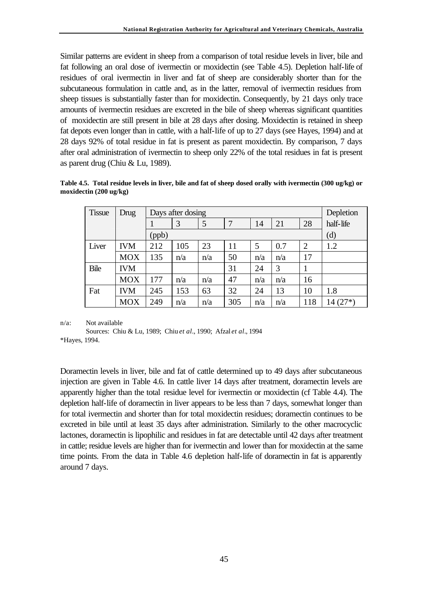Similar patterns are evident in sheep from a comparison of total residue levels in liver, bile and fat following an oral dose of ivermectin or moxidectin (see Table 4.5). Depletion half-life of residues of oral ivermectin in liver and fat of sheep are considerably shorter than for the subcutaneous formulation in cattle and, as in the latter, removal of ivermectin residues from sheep tissues is substantially faster than for moxidectin. Consequently, by 21 days only trace amounts of ivermectin residues are excreted in the bile of sheep whereas significant quantities of moxidectin are still present in bile at 28 days after dosing. Moxidectin is retained in sheep fat depots even longer than in cattle, with a half-life of up to 27 days (see Hayes, 1994) and at 28 days 92% of total residue in fat is present as parent moxidectin. By comparison, 7 days after oral administration of ivermectin to sheep only 22% of the total residues in fat is present as parent drug (Chiu & Lu, 1989).

**Table 4.5. Total residue levels in liver, bile and fat of sheep dosed orally with ivermectin (300 ug/kg) or moxidectin (200 ug/kg)**

| <b>Tissue</b> | Drug       |       | Days after dosing |     |     |     |     |                |           |
|---------------|------------|-------|-------------------|-----|-----|-----|-----|----------------|-----------|
|               |            |       | 3                 | 5   | 7   | 14  | 21  | 28             | half-life |
|               |            | (ppb) |                   |     |     |     |     |                | (d)       |
| Liver         | <b>IVM</b> | 212   | 105               | 23  | 11  | 5   | 0.7 | $\overline{2}$ | 1.2       |
|               | <b>MOX</b> | 135   | n/a               | n/a | 50  | n/a | n/a | 17             |           |
| Bile          | <b>IVM</b> |       |                   |     | 31  | 24  | 3   |                |           |
|               | <b>MOX</b> | 177   | n/a               | n/a | 47  | n/a | n/a | 16             |           |
| Fat           | <b>IVM</b> | 245   | 153               | 63  | 32  | 24  | 13  | 10             | 1.8       |
|               | <b>MOX</b> | 249   | n/a               | n/a | 305 | n/a | n/a | 118            | $14(27*)$ |

n/a: Not available

Sources: Chiu & Lu, 1989; Chiu *et al.*, 1990; Afzal *et al.*, 1994 \*Hayes, 1994.

Doramectin levels in liver, bile and fat of cattle determined up to 49 days after subcutaneous injection are given in Table 4.6. In cattle liver 14 days after treatment, doramectin levels are apparently higher than the total residue level for ivermectin or moxidectin (cf Table 4.4). The depletion half-life of doramectin in liver appears to be less than 7 days, somewhat longer than for total ivermectin and shorter than for total moxidectin residues; doramectin continues to be excreted in bile until at least 35 days after administration. Similarly to the other macrocyclic lactones, doramectin is lipophilic and residues in fat are detectable until 42 days after treatment in cattle; residue levels are higher than for ivermectin and lower than for moxidectin at the same time points. From the data in Table 4.6 depletion half-life of doramectin in fat is apparently around 7 days.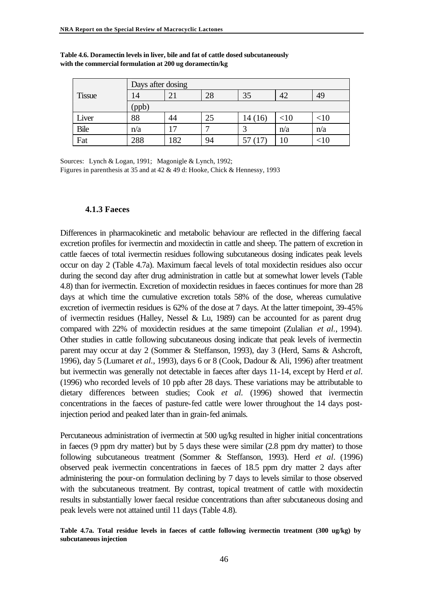|               | Days after dosing |     |    |         |        |         |  |  |  |
|---------------|-------------------|-----|----|---------|--------|---------|--|--|--|
| <b>Tissue</b> | 14                | 21  | 28 | 35      | 42     | 49      |  |  |  |
|               | (ppb)             |     |    |         |        |         |  |  |  |
| Liver         | 88                | 44  | 25 | 14 (16) | $<$ 10 | ${<}10$ |  |  |  |
| <b>Bile</b>   | n/a               | 17  | −  | っ       | n/a    | n/a     |  |  |  |
| Fat           | 288               | 182 | 94 |         | 10     | ΩU      |  |  |  |

**Table 4.6. Doramectin levels in liver, bile and fat of cattle dosed subcutaneously with the commercial formulation at 200 ug doramectin/kg**

Sources: Lynch & Logan, 1991; Magonigle & Lynch, 1992;

Figures in parenthesis at 35 and at 42 & 49 d: Hooke, Chick & Hennessy, 1993

#### **4.1.3 Faeces**

Differences in pharmacokinetic and metabolic behaviour are reflected in the differing faecal excretion profiles for ivermectin and moxidectin in cattle and sheep. The pattern of excretion in cattle faeces of total ivermectin residues following subcutaneous dosing indicates peak levels occur on day 2 (Table 4.7a). Maximum faecal levels of total moxidectin residues also occur during the second day after drug administration in cattle but at somewhat lower levels (Table 4.8) than for ivermectin. Excretion of moxidectin residues in faeces continues for more than 28 days at which time the cumulative excretion totals 58% of the dose, whereas cumulative excretion of ivermectin residues is 62% of the dose at 7 days. At the latter timepoint, 39-45% of ivermectin residues (Halley, Nessel & Lu, 1989) can be accounted for as parent drug compared with 22% of moxidectin residues at the same timepoint (Zulalian *et al.*, 1994). Other studies in cattle following subcutaneous dosing indicate that peak levels of ivermectin parent may occur at day 2 (Sommer & Steffanson, 1993), day 3 (Herd, Sams & Ashcroft, 1996), day 5 (Lumaret *et al.*, 1993), days 6 or 8 (Cook, Dadour & Ali, 1996) after treatment but ivermectin was generally not detectable in faeces after days 11-14, except by Herd *et al*. (1996) who recorded levels of 10 ppb after 28 days. These variations may be attributable to dietary differences between studies; Cook *et al.* (1996) showed that ivermectin concentrations in the faeces of pasture-fed cattle were lower throughout the 14 days postinjection period and peaked later than in grain-fed animals.

Percutaneous administration of ivermectin at 500 ug/kg resulted in higher initial concentrations in faeces (9 ppm dry matter) but by 5 days these were similar (2.8 ppm dry matter) to those following subcutaneous treatment (Sommer & Steffanson, 1993). Herd *et al*. (1996) observed peak ivermectin concentrations in faeces of 18.5 ppm dry matter 2 days after administering the pour-on formulation declining by 7 days to levels similar to those observed with the subcutaneous treatment. By contrast, topical treatment of cattle with moxidectin results in substantially lower faecal residue concentrations than after subcutaneous dosing and peak levels were not attained until 11 days (Table 4.8).

**Table 4.7a. Total residue levels in faeces of cattle following ivermectin treatment (300 ug/kg) by subcutaneous injection**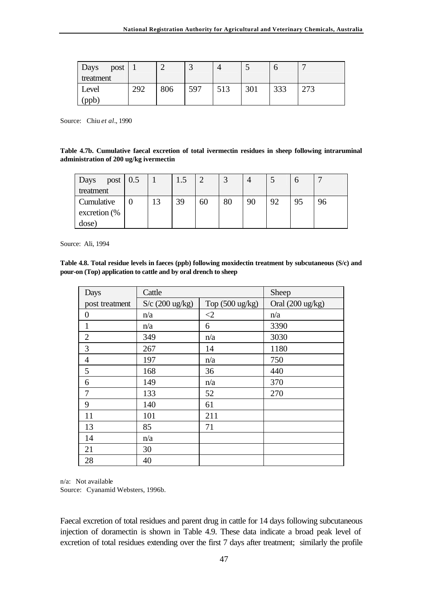| Days<br>post |     |     | ت   |     |     |     | $\mathbf{r}$ |
|--------------|-----|-----|-----|-----|-----|-----|--------------|
| treatment    |     |     |     |     |     |     |              |
| Level        | 292 | 806 | 597 | 513 | 301 | 333 | 273          |
| (ppb)        |     |     |     |     |     |     |              |

Source: Chiu *et al.*, 1990

**Table 4.7b. Cumulative faecal excretion of total ivermectin residues in sheep following intraruminal administration of 200 ug/kg ivermectin**

| post $\vert 0.5 \vert$<br>Days |    | 1.5 | ◠  | $\bigcap$ |    | ັ  |    |    |
|--------------------------------|----|-----|----|-----------|----|----|----|----|
| treatment                      |    |     |    |           |    |    |    |    |
| Cumulative                     | 13 | 39  | 60 | 80        | 90 | 92 | 95 | 96 |
| excretion (%                   |    |     |    |           |    |    |    |    |
| dose)                          |    |     |    |           |    |    |    |    |

Source: Ali, 1994

**Table 4.8. Total residue levels in faeces (ppb) following moxidectin treatment by subcutaneous (S/c) and pour-on (Top) application to cattle and by oral drench to sheep**

| Days           | Cattle            |                           | Sheep            |
|----------------|-------------------|---------------------------|------------------|
| post treatment | $S/c$ (200 ug/kg) | Top $(500 \text{ ug/kg})$ | Oral (200 ug/kg) |
| $\overline{0}$ | n/a               | $\leq$ 2                  | n/a              |
| $\mathbf{1}$   | n/a               | 6                         | 3390             |
| $\overline{2}$ | 349               | n/a                       | 3030             |
| 3              | 267               | 14                        | 1180             |
| $\overline{4}$ | 197               | n/a                       | 750              |
| 5              | 168               | 36                        | 440              |
| 6              | 149               | n/a                       | 370              |
| 7              | 133               | 52                        | 270              |
| 9              | 140               | 61                        |                  |
| 11             | 101               | 211                       |                  |
| 13             | 85                | 71                        |                  |
| 14             | n/a               |                           |                  |
| 21             | 30                |                           |                  |
| 28             | 40                |                           |                  |

n/a: Not available

Source: Cyanamid Websters, 1996b.

Faecal excretion of total residues and parent drug in cattle for 14 days following subcutaneous injection of doramectin is shown in Table 4.9. These data indicate a broad peak level of excretion of total residues extending over the first 7 days after treatment; similarly the profile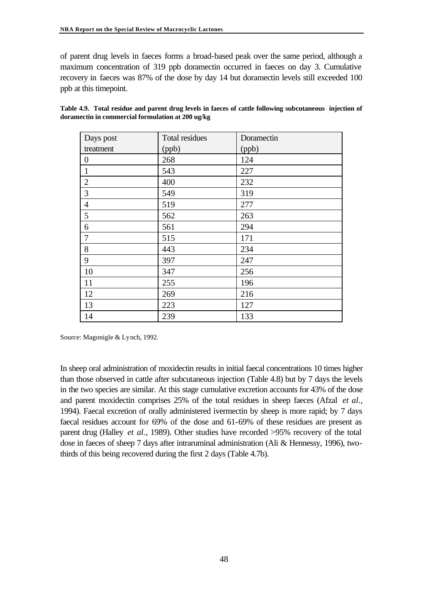of parent drug levels in faeces forms a broad-based peak over the same period, although a maximum concentration of 319 ppb doramectin occurred in faeces on day 3. Cumulative recovery in faeces was 87% of the dose by day 14 but doramectin levels still exceeded 100 ppb at this timepoint.

| Days post        | Total residues | Doramectin |
|------------------|----------------|------------|
| treatment        | (ppb)          | (ppb)      |
| $\boldsymbol{0}$ | 268            | 124        |
| $\mathbf{1}$     | 543            | 227        |
| $\overline{2}$   | 400            | 232        |
| 3                | 549            | 319        |
| $\overline{4}$   | 519            | 277        |
| 5                | 562            | 263        |
| 6                | 561            | 294        |
| $\tau$           | 515            | 171        |
| 8                | 443            | 234        |
| 9                | 397            | 247        |
| 10               | 347            | 256        |
| 11               | 255            | 196        |
| 12               | 269            | 216        |
| 13               | 223            | 127        |
| 14               | 239            | 133        |

| Table 4.9. Total residue and parent drug levels in faeces of cattle following subcutaneous injection of |  |
|---------------------------------------------------------------------------------------------------------|--|
| doramectin in commercial formulation at 200 ug/kg                                                       |  |

Source: Magonigle & Lynch, 1992.

In sheep oral administration of moxidectin results in initial faecal concentrations 10 times higher than those observed in cattle after subcutaneous injection (Table 4.8) but by 7 days the levels in the two species are similar. At this stage cumulative excretion accounts for 43% of the dose and parent moxidectin comprises 25% of the total residues in sheep faeces (Afzal *et al.*, 1994). Faecal excretion of orally administered ivermectin by sheep is more rapid; by 7 days faecal residues account for 69% of the dose and 61-69% of these residues are present as parent drug (Halley *et al.*, 1989). Other studies have recorded >95% recovery of the total dose in faeces of sheep 7 days after intraruminal administration (Ali & Hennessy, 1996), twothirds of this being recovered during the first 2 days (Table 4.7b).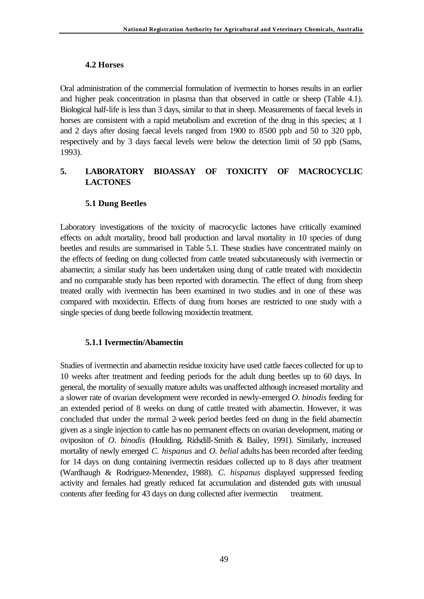## **4.2 Horses**

Oral administration of the commercial formulation of ivermectin to horses results in an earlier and higher peak concentration in plasma than that observed in cattle or sheep (Table 4.1). Biological half-life is less than 3 days, similar to that in sheep. Measurements of faecal levels in horses are consistent with a rapid metabolism and excretion of the drug in this species; at 1 and 2 days after dosing faecal levels ranged from 1900 to 8500 ppb and 50 to 320 ppb, respectively and by 3 days faecal levels were below the detection limit of 50 ppb (Sams, 1993).

# **5. LABORATORY BIOASSAY OF TOXICITY OF MACROCYCLIC LACTONES**

# **5.1 Dung Beetles**

Laboratory investigations of the toxicity of macrocyclic lactones have critically examined effects on adult mortality, brood ball production and larval mortality in 10 species of dung beetles and results are summarised in Table 5.1. These studies have concentrated mainly on the effects of feeding on dung collected from cattle treated subcutaneously with ivermectin or abamectin; a similar study has been undertaken using dung of cattle treated with moxidectin and no comparable study has been reported with doramectin. The effect of dung from sheep treated orally with ivermectin has been examined in two studies and in one of these was compared with moxidectin. Effects of dung from horses are restricted to one study with a single species of dung beetle following moxidectin treatment.

### **5.1.1 Ivermectin/Abamectin**

Studies of ivermectin and abamectin residue toxicity have used cattle faeces collected for up to 10 weeks after treatment and feeding periods for the adult dung beetles up to 60 days. In general, the mortality of sexually mature adults was unaffected although increased mortality and a slower rate of ovarian development were recorded in newly-emerged *O. binodis* feeding for an extended period of 8 weeks on dung of cattle treated with abamectin. However, it was concluded that under the normal 2-week period beetles feed on dung in the field abamectin given as a single injection to cattle has no permanent effects on ovarian development, mating or ovipositon of *O. binodis* (Houlding, Ridsdill-Smith & Bailey, 1991). Similarly, increased mortality of newly emerged *C. hispanus* and *O. belial* adults has been recorded after feeding for 14 days on dung containing ivermectin residues collected up to 8 days after treatment (Wardhaugh & Rodriguez-Menendez, 1988). *C. hispanus* displayed suppressed feeding activity and females had greatly reduced fat accumulation and distended guts with unusual contents after feeding for 43 days on dung collected after ivermectin treatment.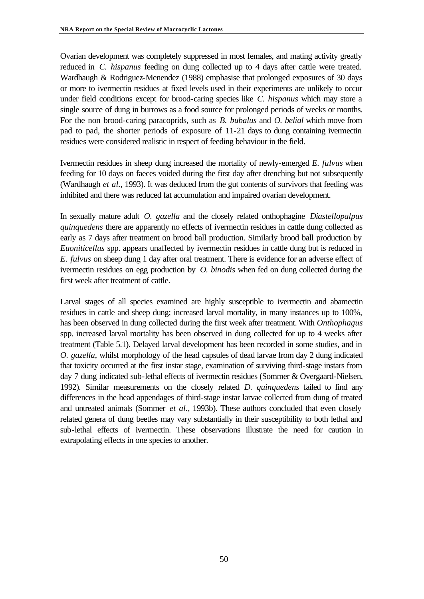Ovarian development was completely suppressed in most females, and mating activity greatly reduced in *C. hispanus* feeding on dung collected up to 4 days after cattle were treated. Wardhaugh & Rodriguez-Menendez (1988) emphasise that prolonged exposures of 30 days or more to ivermectin residues at fixed levels used in their experiments are unlikely to occur under field conditions except for brood-caring species like *C. hispanus* which may store a single source of dung in burrows as a food source for prolonged periods of weeks or months. For the non brood-caring paracoprids, such as *B. bubalus* and *O. belial* which move from pad to pad, the shorter periods of exposure of 11-21 days to dung containing ivermectin residues were considered realistic in respect of feeding behaviour in the field.

Ivermectin residues in sheep dung increased the mortality of newly-emerged *E. fulvus* when feeding for 10 days on faeces voided during the first day after drenching but not subsequently (Wardhaugh *et al.*, 1993). It was deduced from the gut contents of survivors that feeding was inhibited and there was reduced fat accumulation and impaired ovarian development.

In sexually mature adult *O. gazella* and the closely related onthophagine *Diastellopalpus quinquedens* there are apparently no effects of ivermectin residues in cattle dung collected as early as 7 days after treatment on brood ball production. Similarly brood ball production by *Euoniticellus* spp. appears unaffected by ivermectin residues in cattle dung but is reduced in *E. fulvus* on sheep dung 1 day after oral treatment. There is evidence for an adverse effect of ivermectin residues on egg production by *O. binodis* when fed on dung collected during the first week after treatment of cattle.

Larval stages of all species examined are highly susceptible to ivermectin and abamectin residues in cattle and sheep dung; increased larval mortality, in many instances up to 100%, has been observed in dung collected during the first week after treatment. With *Onthophagus* spp. increased larval mortality has been observed in dung collected for up to 4 weeks after treatment (Table 5.1). Delayed larval development has been recorded in some studies, and in *O. gazella*, whilst morphology of the head capsules of dead larvae from day 2 dung indicated that toxicity occurred at the first instar stage, examination of surviving third-stage instars from day 7 dung indicated sub-lethal effects of ivermectin residues (Sommer & Overgaard-Nielsen, 1992). Similar measurements on the closely related *D. quinquedens* failed to find any differences in the head appendages of third-stage instar larvae collected from dung of treated and untreated animals (Sommer *et al.*, 1993b). These authors concluded that even closely related genera of dung beetles may vary substantially in their susceptibility to both lethal and sub-lethal effects of ivermectin. These observations illustrate the need for caution in extrapolating effects in one species to another.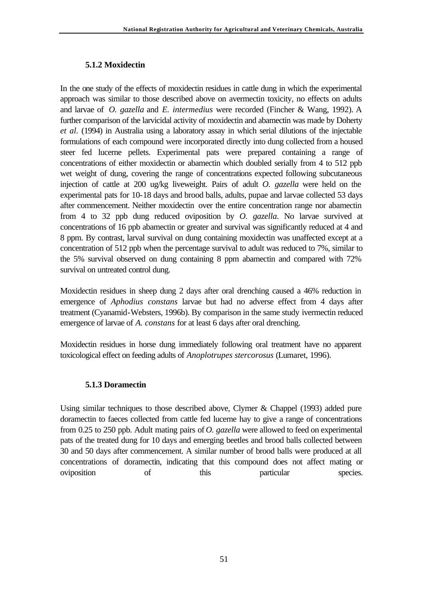## **5.1.2 Moxidectin**

In the one study of the effects of moxidectin residues in cattle dung in which the experimental approach was similar to those described above on avermectin toxicity, no effects on adults and larvae of *O. gazella* and *E. intermedius* were recorded (Fincher & Wang, 1992). A further comparison of the larvicidal activity of moxidectin and abamectin was made by Doherty *et al.* (1994) in Australia using a laboratory assay in which serial dilutions of the injectable formulations of each compound were incorporated directly into dung collected from a housed steer fed lucerne pellets. Experimental pats were prepared containing a range of concentrations of either moxidectin or abamectin which doubled serially from 4 to 512 ppb wet weight of dung, covering the range of concentrations expected following subcutaneous injection of cattle at 200 ug/kg liveweight. Pairs of adult *O. gazella* were held on the experimental pats for 10-18 days and brood balls, adults, pupae and larvae collected 53 days after commencement. Neither moxidectin over the entire concentration range nor abamectin from 4 to 32 ppb dung reduced oviposition by *O. gazella*. No larvae survived at concentrations of 16 ppb abamectin or greater and survival was significantly reduced at 4 and 8 ppm. By contrast, larval survival on dung containing moxidectin was unaffected except at a concentration of 512 ppb when the percentage survival to adult was reduced to 7%, similar to the 5% survival observed on dung containing 8 ppm abamectin and compared with 72% survival on untreated control dung.

Moxidectin residues in sheep dung 2 days after oral drenching caused a 46% reduction in emergence of *Aphodius constans* larvae but had no adverse effect from 4 days after treatment (Cyanamid-Websters, 1996b). By comparison in the same study ivermectin reduced emergence of larvae of *A. constans* for at least 6 days after oral drenching.

Moxidectin residues in horse dung immediately following oral treatment have no apparent toxicological effect on feeding adults of *Anoplotrupes stercorosus* (Lumaret, 1996).

## **5.1.3 Doramectin**

Using similar techniques to those described above, Clymer & Chappel (1993) added pure doramectin to faeces collected from cattle fed lucerne hay to give a range of concentrations from 0.25 to 250 ppb. Adult mating pairs of *O. gazella* were allowed to feed on experimental pats of the treated dung for 10 days and emerging beetles and brood balls collected between 30 and 50 days after commencement. A similar number of brood balls were produced at all concentrations of doramectin, indicating that this compound does not affect mating or oviposition of this particular species.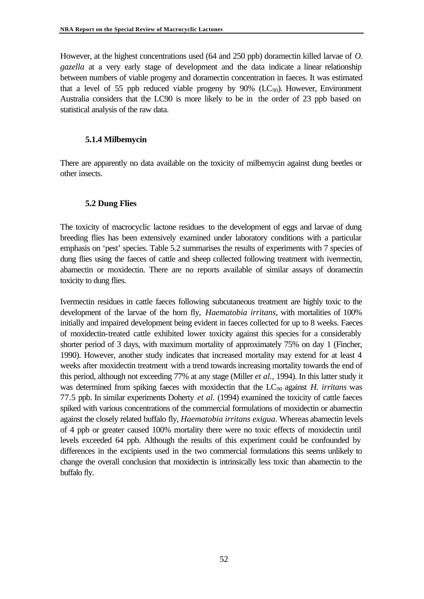However, at the highest concentrations used (64 and 250 ppb) doramectin killed larvae of *O. gazella* at a very early stage of development and the data indicate a linear relationship between numbers of viable progeny and doramectin concentration in faeces. It was estimated that a level of 55 ppb reduced viable progeny by  $90\%$  (LC<sub>90</sub>). However, Environment Australia considers that the LC90 is more likely to be in the order of 23 ppb based on statistical analysis of the raw data.

#### **5.1.4 Milbemycin**

There are apparently no data available on the toxicity of milbemycin against dung beetles or other insects.

### **5.2 Dung Flies**

The toxicity of macrocyclic lactone residues to the development of eggs and larvae of dung breeding flies has been extensively examined under laboratory conditions with a particular emphasis on 'pest' species. Table 5.2 summarises the results of experiments with 7 species of dung flies using the faeces of cattle and sheep collected following treatment with ivermectin, abamectin or moxidectin. There are no reports available of similar assays of doramectin toxicity to dung flies.

Ivermectin residues in cattle faeces following subcutaneous treatment are highly toxic to the development of the larvae of the horn fly, *Haematobia irritans*, with mortalities of 100% initially and impaired development being evident in faeces collected for up to 8 weeks. Faeces of moxidectin-treated cattle exhibited lower toxicity against this species for a considerably shorter period of 3 days, with maximum mortality of approximately 75% on day 1 (Fincher, 1990). However, another study indicates that increased mortality may extend for at least 4 weeks after moxidectin treatment with a trend towards increasing mortality towards the end of this period, although not exceeding 77% at any stage (Miller *et al.,* 1994). In this latter study it was determined from spiking faeces with moxidectin that the LC<sub>90</sub> against *H. irritans* was 77.5 ppb. In similar experiments Doherty *et al.* (1994) examined the toxicity of cattle faeces spiked with various concentrations of the commercial formulations of moxidectin or abamectin against the closely related buffalo fly, *Haematobia irritans exigua*. Whereas abamectin levels of 4 ppb or greater caused 100% mortality there were no toxic effects of moxidectin until levels exceeded 64 ppb. Although the results of this experiment could be confounded by differences in the excipients used in the two commercial formulations this seems unlikely to change the overall conclusion that moxidectin is intrinsically less toxic than abamectin to the buffalo fly.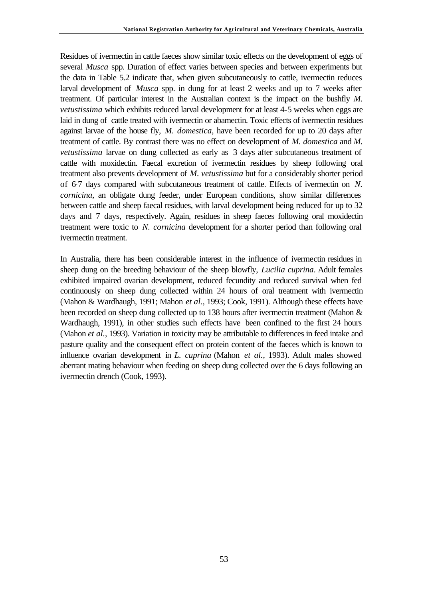Residues of ivermectin in cattle faeces show similar toxic effects on the development of eggs of several *Musca* spp. Duration of effect varies between species and between experiments but the data in Table 5.2 indicate that, when given subcutaneously to cattle, ivermectin reduces larval development of *Musca* spp. in dung for at least 2 weeks and up to 7 weeks after treatment. Of particular interest in the Australian context is the impact on the bushfly *M. vetustissima* which exhibits reduced larval development for at least 4-5 weeks when eggs are laid in dung of cattle treated with ivermectin or abamectin. Toxic effects of ivermectin residues against larvae of the house fly, *M. domestica*, have been recorded for up to 20 days after treatment of cattle. By contrast there was no effect on development of *M. domestica* and *M. vetustissima* larvae on dung collected as early as 3 days after subcutaneous treatment of cattle with moxidectin. Faecal excretion of ivermectin residues by sheep following oral treatment also prevents development of *M. vetustissima* but for a considerably shorter period of 6-7 days compared with subcutaneous treatment of cattle. Effects of ivermectin on *N. cornicina*, an obligate dung feeder, under European conditions, show similar differences between cattle and sheep faecal residues, with larval development being reduced for up to 32 days and 7 days, respectively. Again, residues in sheep faeces following oral moxidectin treatment were toxic to *N. cornicina* development for a shorter period than following oral ivermectin treatment.

In Australia, there has been considerable interest in the influence of ivermectin residues in sheep dung on the breeding behaviour of the sheep blowfly, *Lucilia cuprina*. Adult females exhibited impaired ovarian development, reduced fecundity and reduced survival when fed continuously on sheep dung collected within 24 hours of oral treatment with ivermectin (Mahon & Wardhaugh, 1991; Mahon *et al.*, 1993; Cook, 1991). Although these effects have been recorded on sheep dung collected up to 138 hours after ivermectin treatment (Mahon & Wardhaugh, 1991), in other studies such effects have been confined to the first 24 hours (Mahon *et al.*, 1993). Variation in toxicity may be attributable to differences in feed intake and pasture quality and the consequent effect on protein content of the faeces which is known to influence ovarian development in *L. cuprina* (Mahon *et al.*, 1993). Adult males showed aberrant mating behaviour when feeding on sheep dung collected over the 6 days following an ivermectin drench (Cook, 1993).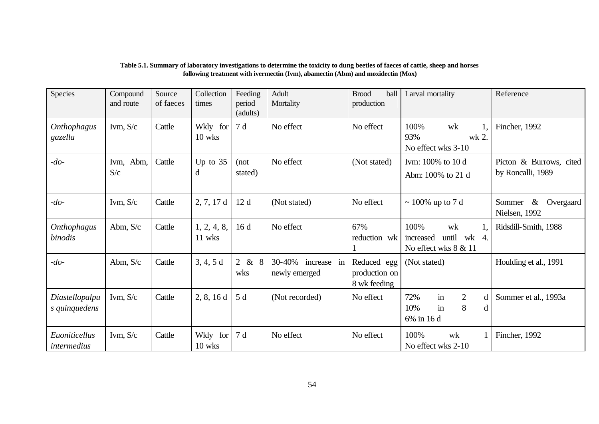| Species                         | Compound<br>and route | Source<br>of faeces | Collection<br>times   | Feeding<br>period<br>(adults) | Adult<br>Mortality                     | ball<br><b>Brood</b><br>production           | Larval mortality                                                      | Reference                                    |
|---------------------------------|-----------------------|---------------------|-----------------------|-------------------------------|----------------------------------------|----------------------------------------------|-----------------------------------------------------------------------|----------------------------------------------|
| <b>Onthophagus</b><br>gazella   | Ivm, $S/c$            | Cattle              | Wkly for<br>10 wks    | 7 d                           | No effect                              | No effect                                    | 100%<br>wk<br>93%<br>wk 2.<br>No effect wks 3-10                      | Fincher, 1992                                |
| $-do-$                          | Ivm, Abm,<br>S/c      | Cattle              | Up to $35$<br>d       | (not)<br>stated)              | No effect                              | (Not stated)                                 | Ivm: 100% to 10 d<br>Abm: 100% to 21 d                                | Picton & Burrows, cited<br>by Roncalli, 1989 |
| $-do-$                          | Ivm, $S/c$            | Cattle              | 2, 7, 17d             | 12d                           | (Not stated)                           | No effect                                    | $\sim$ 100% up to 7 d                                                 | $\&$<br>Sommer<br>Overgaard<br>Nielsen, 1992 |
| Onthophagus<br>binodis          | Abm, $S/c$            | Cattle              | 1, 2, 4, 8,<br>11 wks | 16d                           | No effect                              | 67%<br>reduction wk                          | 100%<br>wk<br>until wk 4.<br>increased<br>No effect wks 8 & 11        | Ridsdill-Smith, 1988                         |
| $-do-$                          | Abm, $S/c$            | Cattle              | 3, 4, 5d              | 2 & 8<br>wks                  | 30-40%<br>increase in<br>newly emerged | Reduced egg<br>production on<br>8 wk feeding | (Not stated)                                                          | Houlding et al., 1991                        |
| Diastellopalpu<br>s quinquedens | Ivm, $S/c$            | Cattle              | 2, 8, 16d             | 5 d                           | (Not recorded)                         | No effect                                    | in<br>$\overline{2}$<br>72%<br>d<br>8<br>in<br>10%<br>d<br>6% in 16 d | Sommer et al., 1993a                         |
| Euoniticellus<br>intermedius    | Ivm, $S/c$            | Cattle              | Wkly for<br>10 wks    | 17d                           | No effect                              | No effect                                    | 100%<br>wk<br>No effect wks 2-10                                      | Fincher, 1992                                |

#### **Table 5.1. Summary of laboratory investigations to determine the toxicity to dung beetles of faeces of cattle, sheep and horses following treatment with ivermectin (Ivm), abamectin (Abm) and moxidectin (Mox)**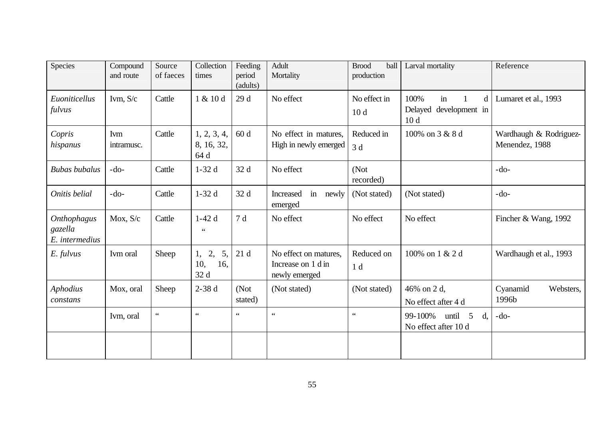| Species                                  | Compound<br>and route | Source<br>of faeces | Collection<br>times                  | Feeding<br>period<br>(adults) | Adult<br>Mortality                                           | <b>Brood</b><br>ball<br>production | Larval mortality                                                  | Reference                                |
|------------------------------------------|-----------------------|---------------------|--------------------------------------|-------------------------------|--------------------------------------------------------------|------------------------------------|-------------------------------------------------------------------|------------------------------------------|
| Euoniticellus<br>fulvus                  | Ivm, $S/c$            | Cattle              | 1 & 10 d                             | 29 d                          | No effect                                                    | No effect in<br>10 <sub>d</sub>    | 100%<br>in<br>d<br>1<br>Delayed development in<br>10 <sub>d</sub> | Lumaret et al., 1993                     |
| Copris<br>hispanus                       | Ivm<br>intramusc.     | Cattle              | 1, 2, 3, 4,<br>8, 16, 32,<br>64 d    | 60d                           | No effect in matures,<br>High in newly emerged               | Reduced in<br>3d                   | 100% on 3 & 8 d                                                   | Wardhaugh & Rodriguez-<br>Menendez, 1988 |
| <b>Bubas</b> bubalus                     | $-do-$                | Cattle              | $1-32d$                              | 32 d                          | No effect                                                    | (Not<br>recorded)                  |                                                                   | $-do-$                                   |
| Onitis belial                            | $-do-$                | Cattle              | $1-32d$                              | 32 d                          | Increased<br>in<br>newly<br>emerged                          | (Not stated)                       | (Not stated)                                                      | $-do-$                                   |
| Onthophagus<br>gazella<br>E. intermedius | Mox, S/c              | Cattle              | $1-42d$<br>$\zeta$ $\zeta$           | 7d                            | No effect                                                    | No effect                          | No effect                                                         | Fincher & Wang, 1992                     |
| $E.$ fulvus                              | Ivm oral              | Sheep               | 2,<br>5,<br>1,<br>10,<br>16,<br>32 d | 21d                           | No effect on matures,<br>Increase on 1 d in<br>newly emerged | Reduced on<br>1 <sub>d</sub>       | 100% on 1 & 2 d                                                   | Wardhaugh et al., 1993                   |
| Aphodius<br>constans                     | Mox, oral             | Sheep               | $2-38d$                              | (Not<br>stated)               | (Not stated)                                                 | (Not stated)                       | 46% on 2 d,<br>No effect after 4 d                                | Cyanamid<br>Websters,<br>1996b           |
|                                          | Ivm, oral             | $\zeta$ $\zeta$     | $\zeta$ $\zeta$                      | $\zeta$ $\zeta$               | $\zeta$ $\zeta$                                              | $\zeta\,\zeta$                     | 99-100%<br>until<br>5<br>d.<br>No effect after 10 d               | $-do-$                                   |
|                                          |                       |                     |                                      |                               |                                                              |                                    |                                                                   |                                          |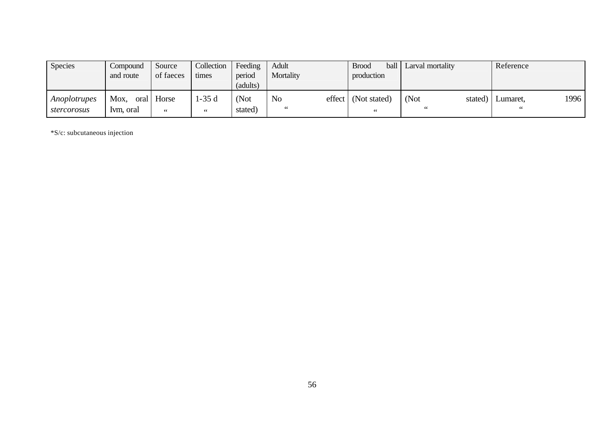| <b>Species</b>                     | Compound<br>and route | Source<br>of faeces | Collection<br>times     | Feeding<br>period<br>(adults) | Adult<br>Mortality   | ball i<br><b>Brood</b><br>production                   | Larval mortality      | Reference      |      |
|------------------------------------|-----------------------|---------------------|-------------------------|-------------------------------|----------------------|--------------------------------------------------------|-----------------------|----------------|------|
| <i>Anoplotrupes</i><br>stercorosus | Mox,<br>Ivm. oral     | oral Horse<br>66    | 1-35 d<br>$\leq$ $\leq$ | (Not<br>stated)               | N <sub>o</sub><br>66 | $effect$ (Not stated)<br>$\mbox{\bf 6}$ $\mbox{\bf 6}$ | (Not<br>stated)<br>66 | Lumaret.<br>66 | 1996 |

\*S/c: subcutaneous injection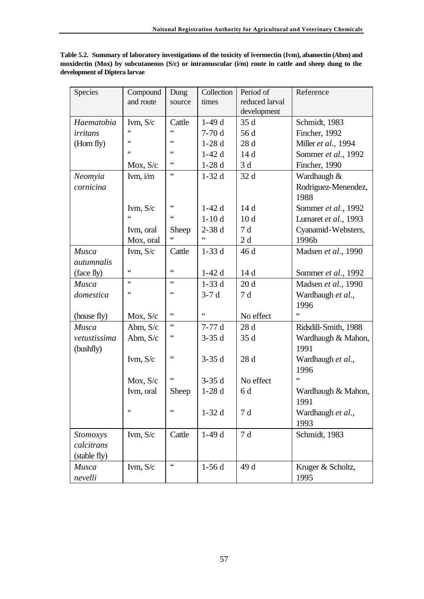| Table 5.2. Summary of laboratory investigations of the toxicity of ivermectin (Ivm), abamectin (Abm) and |
|----------------------------------------------------------------------------------------------------------|
| moxidectin (Mox) by subcutaneous (S/c) or intramuscular $(i/m)$ route in cattle and sheep dung to the    |
| development of Diptera larvae                                                                            |

| <b>Species</b>    | Compound         | Dung             | Collection      | Period of       | Reference            |
|-------------------|------------------|------------------|-----------------|-----------------|----------------------|
|                   | and route        | source           | times           | reduced larval  |                      |
|                   |                  |                  |                 | development     |                      |
| Haematobia        | Ivm, S/c         | Cattle           | $1-49d$         | 35d             | Schmidt, 1983        |
| irritans          | 66               | $\epsilon$       | $7-70d$         | 56 d            | Fincher, 1992        |
| (Horn fly)        | 66               | 66               | $1-28d$         | 28d             | Miller et al., 1994  |
|                   | $\epsilon$       | 66               | $1-42d$         | 14d             | Sommer et al., 1992  |
|                   | Mox, S/c         | $\zeta$ $\zeta$  | $1-28d$         | 3d              | Fincher, 1990        |
| Neomyia           | Ivm, $i/m$       | $\zeta \, \zeta$ | $1-32d$         | 32 d            | Wardhaugh &          |
| cornicina         |                  |                  |                 |                 | Rodriguez-Menendez,  |
|                   |                  |                  |                 |                 | 1988                 |
|                   | Ivm, $S/c$       | $\zeta$ $\zeta$  | $1-42d$         | 14d             | Sommer et al., 1992  |
|                   | $\epsilon$       | 66               | $1-10d$         | 10 <sub>d</sub> | Lumaret et al., 1993 |
|                   | Ivm, oral        | Sheep            | $2-38d$         | 7d              | Cyanamid-Websters,   |
|                   | Mox, oral        | $\zeta$ $\zeta$  | 66              | 2d              | 1996b                |
| Musca             | Ivm, S/c         | Cattle           | $1-33d$         | 46 d            | Madsen et al., 1990  |
| <i>autumnalis</i> |                  |                  |                 |                 |                      |
| (face fly)        | $\zeta \, \zeta$ | $\epsilon$       | $1-42d$         | 14d             | Sommer et al., 1992  |
| Musca             | $\epsilon$       | $\epsilon$       | $1-33d$         | 20d             | Madsen et al., 1990  |
| domestica         | $\zeta$ $\zeta$  | $\zeta$ $\zeta$  | $3-7d$          | 7d              | Wardhaugh et al.,    |
|                   |                  |                  |                 |                 | 1996                 |
| (house fly)       | Mox, S/c         | $\zeta$ $\zeta$  | $\zeta$ $\zeta$ | No effect       | $\epsilon$           |
| Musca             | Abm, S/c         | $\zeta$ $\zeta$  | $7-77d$         | 28 d            | Ridsdill-Smith, 1988 |
| vetustissima      | Abm, $S/c$       | $\zeta$ $\zeta$  | $3-35d$         | 35 d            | Wardhaugh & Mahon,   |
| (bushfly)         |                  |                  |                 |                 | 1991                 |
|                   | Ivm, $S/c$       | $\zeta$ $\zeta$  | $3-35d$         | 28d             | Wardhaugh et al.,    |
|                   |                  |                  |                 |                 | 1996                 |
|                   | Mox, S/c         | $\zeta$ $\zeta$  | $3-35d$         | No effect       | $\zeta$ $\zeta$      |
|                   | Ivm, oral        | Sheep            | $1-28d$         | 6 d             | Wardhaugh & Mahon,   |
|                   |                  |                  |                 |                 | 1991                 |
|                   | $\zeta$ $\zeta$  | $\zeta$ $\zeta$  | $1-32d$         | 7d              | Wardhaugh et al.,    |
|                   |                  |                  |                 |                 | 1993                 |
| <b>Stomoxys</b>   | Ivm, $S/c$       | Cattle           | $1-49d$         | 7d              | Schmidt, 1983        |
| calcitrans        |                  |                  |                 |                 |                      |
| (stable fly)      |                  |                  |                 |                 |                      |
| Musca             | Ivm, S/c         | $\zeta$ $\zeta$  | $1-56d$         | 49 d            | Kruger & Scholtz,    |
| nevelli           |                  |                  |                 |                 | 1995                 |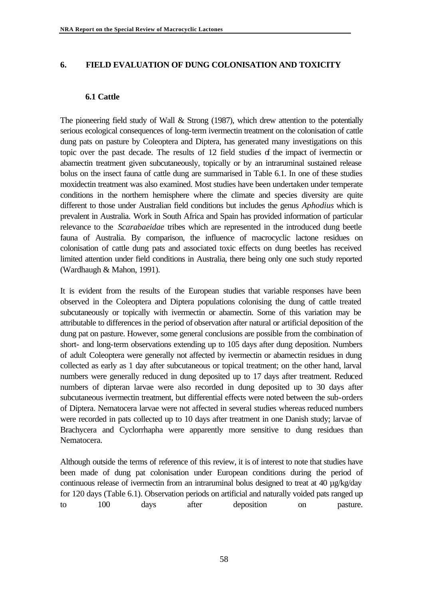### **6. FIELD EVALUATION OF DUNG COLONISATION AND TOXICITY**

### **6.1 Cattle**

The pioneering field study of Wall & Strong (1987), which drew attention to the potentially serious ecological consequences of long-term ivermectin treatment on the colonisation of cattle dung pats on pasture by Coleoptera and Diptera, has generated many investigations on this topic over the past decade. The results of 12 field studies of the impact of ivermectin or abamectin treatment given subcutaneously, topically or by an intraruminal sustained release bolus on the insect fauna of cattle dung are summarised in Table 6.1. In one of these studies moxidectin treatment was also examined. Most studies have been undertaken under temperate conditions in the northern hemisphere where the climate and species diversity are quite different to those under Australian field conditions but includes the genus *Aphodius* which is prevalent in Australia. Work in South Africa and Spain has provided information of particular relevance to the *Scarabaeidae* tribes which are represented in the introduced dung beetle fauna of Australia. By comparison, the influence of macrocyclic lactone residues on colonisation of cattle dung pats and associated toxic effects on dung beetles has received limited attention under field conditions in Australia, there being only one such study reported (Wardhaugh & Mahon, 1991).

It is evident from the results of the European studies that variable responses have been observed in the Coleoptera and Diptera populations colonising the dung of cattle treated subcutaneously or topically with ivermectin or abamectin. Some of this variation may be attributable to differences in the period of observation after natural or artificial deposition of the dung pat on pasture. However, some general conclusions are possible from the combination of short- and long-term observations extending up to 105 days after dung deposition. Numbers of adult Coleoptera were generally not affected by ivermectin or abamectin residues in dung collected as early as 1 day after subcutaneous or topical treatment; on the other hand, larval numbers were generally reduced in dung deposited up to 17 days after treatment. Reduced numbers of dipteran larvae were also recorded in dung deposited up to 30 days after subcutaneous ivermectin treatment, but differential effects were noted between the sub-orders of Diptera. Nematocera larvae were not affected in several studies whereas reduced numbers were recorded in pats collected up to 10 days after treatment in one Danish study; larvae of Brachycera and Cyclorrhapha were apparently more sensitive to dung residues than Nematocera.

Although outside the terms of reference of this review, it is of interest to note that studies have been made of dung pat colonisation under European conditions during the period of continuous release of ivermectin from an intraruminal bolus designed to treat at 40 µg/kg/day for 120 days (Table 6.1). Observation periods on artificial and naturally voided pats ranged up to 100 days after deposition on pasture.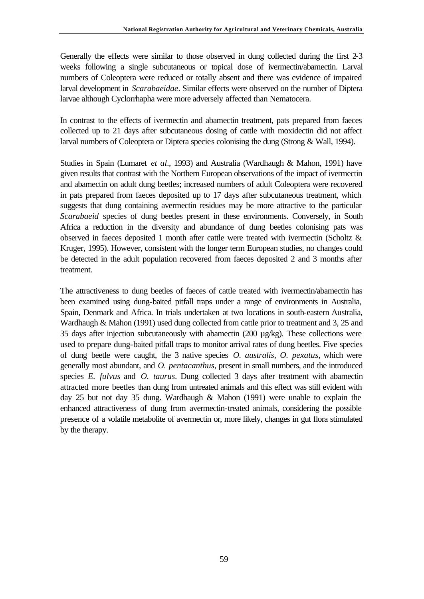Generally the effects were similar to those observed in dung collected during the first 2-3 weeks following a single subcutaneous or topical dose of ivermectin/abamectin. Larval numbers of Coleoptera were reduced or totally absent and there was evidence of impaired larval development in *Scarabaeidae*. Similar effects were observed on the number of Diptera larvae although Cyclorrhapha were more adversely affected than Nematocera.

In contrast to the effects of ivermectin and abamectin treatment, pats prepared from faeces collected up to 21 days after subcutaneous dosing of cattle with moxidectin did not affect larval numbers of Coleoptera or Diptera species colonising the dung (Strong & Wall, 1994).

Studies in Spain (Lumaret *et al*., 1993) and Australia (Wardhaugh & Mahon, 1991) have given results that contrast with the Northern European observations of the impact of ivermectin and abamectin on adult dung beetles; increased numbers of adult Coleoptera were recovered in pats prepared from faeces deposited up to 17 days after subcutaneous treatment, which suggests that dung containing avermectin residues may be more attractive to the particular *Scarabaeid* species of dung beetles present in these environments. Conversely, in South Africa a reduction in the diversity and abundance of dung beetles colonising pats was observed in faeces deposited 1 month after cattle were treated with ivermectin (Scholtz & Kruger, 1995). However, consistent with the longer term European studies, no changes could be detected in the adult population recovered from faeces deposited 2 and 3 months after treatment.

The attractiveness to dung beetles of faeces of cattle treated with ivermectin/abamectin has been examined using dung-baited pitfall traps under a range of environments in Australia, Spain, Denmark and Africa. In trials undertaken at two locations in south-eastern Australia, Wardhaugh & Mahon (1991) used dung collected from cattle prior to treatment and 3, 25 and 35 days after injection subcutaneously with abamectin (200 µg/kg). These collections were used to prepare dung-baited pitfall traps to monitor arrival rates of dung beetles. Five species of dung beetle were caught, the 3 native species *O. australis*, *O. pexatus*, which were generally most abundant, and *O. pentacanthus*, present in small numbers, and the introduced species *E. fulvus* and *O. taurus*. Dung collected 3 days after treatment with abamectin attracted more beetles than dung from untreated animals and this effect was still evident with day 25 but not day 35 dung. Wardhaugh & Mahon (1991) were unable to explain the enhanced attractiveness of dung from avermectin-treated animals, considering the possible presence of a volatile metabolite of avermectin or, more likely, changes in gut flora stimulated by the therapy.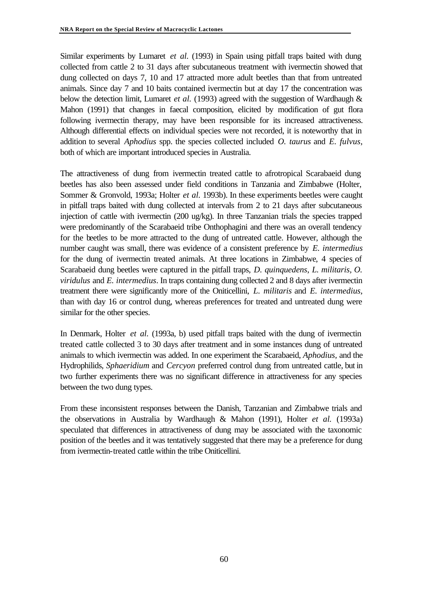Similar experiments by Lumaret *et al.* (1993) in Spain using pitfall traps baited with dung collected from cattle 2 to 31 days after subcutaneous treatment with ivermectin showed that dung collected on days 7, 10 and 17 attracted more adult beetles than that from untreated animals. Since day 7 and 10 baits contained ivermectin but at day 17 the concentration was below the detection limit, Lumaret *et al.* (1993) agreed with the suggestion of Wardhaugh & Mahon (1991) that changes in faecal composition, elicited by modification of gut flora following ivermectin therapy, may have been responsible for its increased attractiveness. Although differential effects on individual species were not recorded, it is noteworthy that in addition to several *Aphodius* spp. the species collected included *O. taurus* and *E. fulvus*, both of which are important introduced species in Australia.

The attractiveness of dung from ivermectin treated cattle to afrotropical Scarabaeid dung beetles has also been assessed under field conditions in Tanzania and Zimbabwe (Holter, Sommer & Gronvold, 1993a; Holter *et al.* 1993b). In these experiments beetles were caught in pitfall traps baited with dung collected at intervals from 2 to 21 days after subcutaneous injection of cattle with ivermectin (200 ug/kg). In three Tanzanian trials the species trapped were predominantly of the Scarabaeid tribe Onthophagini and there was an overall tendency for the beetles to be more attracted to the dung of untreated cattle. However, although the number caught was small, there was evidence of a consistent preference by *E. intermedius* for the dung of ivermectin treated animals. At three locations in Zimbabwe, 4 species of Scarabaeid dung beetles were captured in the pitfall traps, *D. quinquedens*, *L. militaris, O. viridulus* and *E. intermedius*. In traps containing dung collected 2 and 8 days after ivermectin treatment there were significantly more of the Oniticellini, *L. militaris* and *E. intermedius*, than with day 16 or control dung, whereas preferences for treated and untreated dung were similar for the other species.

In Denmark, Holter *et al.* (1993a, b) used pitfall traps baited with the dung of ivermectin treated cattle collected 3 to 30 days after treatment and in some instances dung of untreated animals to which ivermectin was added. In one experiment the Scarabaeid, *Aphodius,* and the Hydrophilids, *Sphaeridium* and *Cercyon* preferred control dung from untreated cattle, but in two further experiments there was no significant difference in attractiveness for any species between the two dung types.

From these inconsistent responses between the Danish, Tanzanian and Zimbabwe trials and the observations in Australia by Wardhaugh & Mahon (1991), Holter *et al.* (1993a) speculated that differences in attractiveness of dung may be associated with the taxonomic position of the beetles and it was tentatively suggested that there may be a preference for dung from ivermectin-treated cattle within the tribe Oniticellini.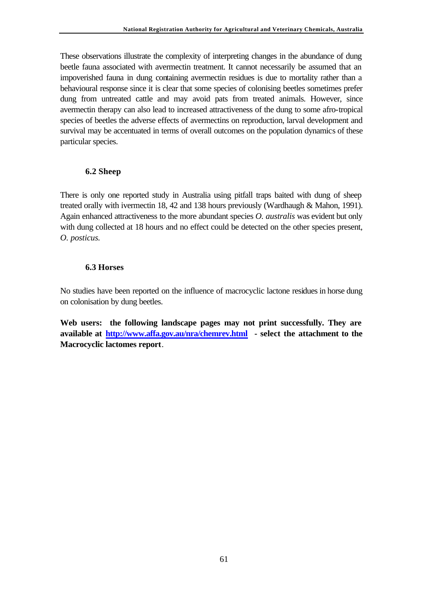These observations illustrate the complexity of interpreting changes in the abundance of dung beetle fauna associated with avermectin treatment. It cannot necessarily be assumed that an impoverished fauna in dung containing avermectin residues is due to mortality rather than a behavioural response since it is clear that some species of colonising beetles sometimes prefer dung from untreated cattle and may avoid pats from treated animals. However, since avermectin therapy can also lead to increased attractiveness of the dung to some afro-tropical species of beetles the adverse effects of avermectins on reproduction, larval development and survival may be accentuated in terms of overall outcomes on the population dynamics of these particular species.

## **6.2 Sheep**

There is only one reported study in Australia using pitfall traps baited with dung of sheep treated orally with ivermectin 18, 42 and 138 hours previously (Wardhaugh & Mahon, 1991). Again enhanced attractiveness to the more abundant species *O. australis* was evident but only with dung collected at 18 hours and no effect could be detected on the other species present, *O. posticus.*

## **6.3 Horses**

No studies have been reported on the influence of macrocyclic lactone residues in horse dung on colonisation by dung beetles.

**Web users: the following landscape pages may not print successfully. They are available at http://www.affa.gov.au/nra/chemrev.html - select the attachment to the Macrocyclic lactomes report**.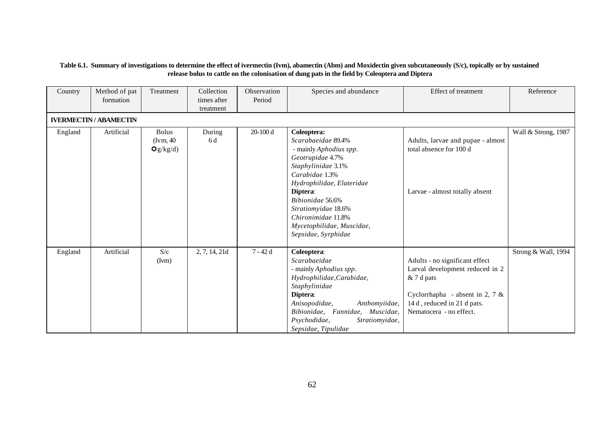#### **Table 6.1. Summary of investigations to determine the effect of ivermectin (Ivm), abamectin (Abm) and Moxidectin given subcutaneously (S/c), topically or by sustained release bolus to cattle on the colonisation of dung pats in the field by Coleoptera and Diptera**

| Country | Method of pat<br>formation    | Treatment                             | Collection<br>times after<br>treatment | Observation<br>Period | Species and abundance                                                                                                                                                                                                                                                                 | <b>Effect of treatment</b>                                                                                                                                                      | Reference           |
|---------|-------------------------------|---------------------------------------|----------------------------------------|-----------------------|---------------------------------------------------------------------------------------------------------------------------------------------------------------------------------------------------------------------------------------------------------------------------------------|---------------------------------------------------------------------------------------------------------------------------------------------------------------------------------|---------------------|
|         | <b>IVERMECTIN / ABAMECTIN</b> |                                       |                                        |                       |                                                                                                                                                                                                                                                                                       |                                                                                                                                                                                 |                     |
| England | Artificial                    | <b>Bolus</b><br>(Ivm, 40)<br>Qg/kg/d) | During<br>6 d                          | $20-100d$             | Coleoptera:<br>Scarabaeidae 89.4%<br>- mainly Aphodius spp.<br>Geotrupidae 4.7%<br>Staphylinidae 3.1%<br>Carabidae 1.3%<br>Hydrophilidae, Elateridae<br>Diptera:<br>Bibionidae 56.6%<br>Stratiomyidae 18.6%<br>Chironimidae 11.8%<br>Mycetophilidae, Muscidae,<br>Sepsidae, Syrphidae | Adults, larvae and pupae - almost<br>total absence for 100 d<br>Larvae - almost totally absent                                                                                  | Wall & Strong, 1987 |
| England | Artificial                    | S/c<br>(Ivm)                          | 2, 7, 14, 21d                          | $7 - 42d$             | Coleoptera:<br>Scarabaeidae<br>- mainly Aphodius spp.<br>Hydrophilidae, Carabidae,<br>Staphylinidae<br>Diptera:<br>Anisopodidae,<br>Anthomyiidae,<br>Bibionidae, Fannidae, Muscidae,<br>Psychodidae,<br>Stratiomyidae,<br>Sepsidae, Tipulidae                                         | Adults - no significant effect<br>Larval development reduced in 2<br>& 7 d pats<br>Cyclorrhapha - absent in 2, 7 $\&$<br>14 d, reduced in 21 d pats.<br>Nematocera - no effect. | Strong & Wall, 1994 |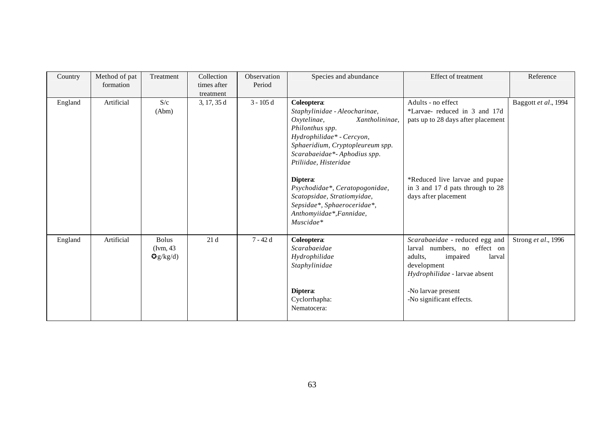| Country | Method of pat<br>formation | Treatment                            | Collection<br>times after | Observation<br>Period | Species and abundance                                                                                                                                                                                                     | <b>Effect of treatment</b>                                                                                                                      | Reference            |
|---------|----------------------------|--------------------------------------|---------------------------|-----------------------|---------------------------------------------------------------------------------------------------------------------------------------------------------------------------------------------------------------------------|-------------------------------------------------------------------------------------------------------------------------------------------------|----------------------|
|         |                            |                                      | treatment                 |                       |                                                                                                                                                                                                                           |                                                                                                                                                 |                      |
| England | Artificial                 | S/c<br>(Abm)                         | 3, 17, 35 d               | $3 - 105$ d           | Coleoptera:<br>Staphylinidae - Aleocharinae,<br>Oxytelinae,<br>Xantholininae,<br>Philonthus spp.<br>Hydrophilidae* - Cercyon,<br>Sphaeridium, Cryptopleureum spp.<br>Scarabaeidae*-Aphodius spp.<br>Ptiliidae, Histeridae | Adults - no effect<br>*Larvae-reduced in 3 and 17d<br>pats up to 28 days after placement                                                        | Baggott et al., 1994 |
|         |                            |                                      |                           |                       | Diptera:<br>Psychodidae*, Ceratopogonidae,<br>Scatopsidae, Stratiomyidae,<br>Sepsidae*, Sphaeroceridae*,<br>Anthomyiidae*, Fannidae,<br>Muscidae*                                                                         | *Reduced live larvae and pupae<br>in 3 and 17 d pats through to 28<br>days after placement                                                      |                      |
| England | Artificial                 | <b>Bolus</b><br>(Ivm, 43<br>Qg/kg/d) | 21d                       | $7 - 42d$             | Coleoptera:<br>Scarabaeidae<br>Hydrophilidae<br>Staphylinidae                                                                                                                                                             | Scarabaeidae - reduced egg and<br>larval numbers, no effect on<br>adults,<br>impaired<br>larval<br>development<br>Hydrophilidae - larvae absent | Strong et al., 1996  |
|         |                            |                                      |                           |                       | Diptera:<br>Cyclorrhapha:<br>Nematocera:                                                                                                                                                                                  | -No larvae present<br>-No significant effects.                                                                                                  |                      |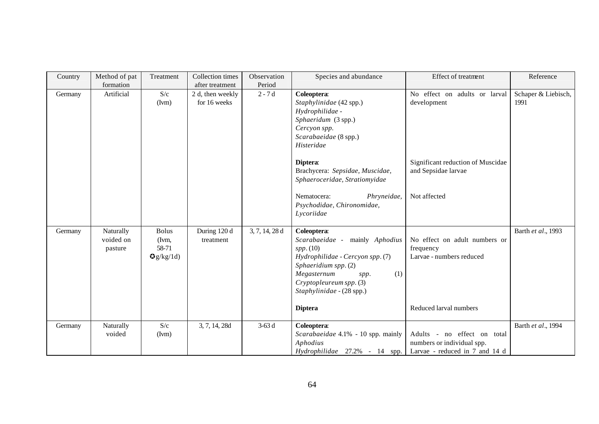| Country | Method of pat                     | Treatment                                   | Collection times                 | Observation    | Species and abundance                                                                                                                                                                                                            | Effect of treatment                                                                              | Reference                   |
|---------|-----------------------------------|---------------------------------------------|----------------------------------|----------------|----------------------------------------------------------------------------------------------------------------------------------------------------------------------------------------------------------------------------------|--------------------------------------------------------------------------------------------------|-----------------------------|
|         | formation                         |                                             | after treatment                  | Period         |                                                                                                                                                                                                                                  |                                                                                                  |                             |
| Germany | Artificial                        | S/c<br>(Ivm)                                | 2 d, then weekly<br>for 16 weeks | $2 - 7d$       | Coleoptera:<br>Staphylinidae (42 spp.)<br>Hydrophilidae -<br>Sphaeridum (3 spp.)<br>Cercyon spp.<br>Scarabaeidae (8 spp.)<br>Histeridae                                                                                          | No effect on adults or larval<br>development                                                     | Schaper & Liebisch,<br>1991 |
|         |                                   |                                             |                                  |                | Diptera:<br>Brachycera: Sepsidae, Muscidae,<br>Sphaeroceridae, Stratiomyidae<br>Nematocera:<br>Phryneidae,<br>Psychodidae, Chironomidae,<br>Lycoriidae                                                                           | Significant reduction of Muscidae<br>and Sepsidae larvae<br>Not affected                         |                             |
| Germany | Naturally<br>voided on<br>pasture | <b>Bolus</b><br>(Ivm.<br>58-71<br>Qg/kg/1d) | During 120 d<br>treatment        | 3, 7, 14, 28 d | Coleoptera:<br>Scarabaeidae - mainly Aphodius<br>$spp.$ (10)<br>Hydrophilidae - Cercyon spp. (7)<br>Sphaeridium spp. (2)<br>Megasternum<br>(1)<br>spp.<br>Cryptopleureum spp. (3)<br>Staphylinidae - (28 spp.)<br><b>Diptera</b> | No effect on adult numbers or<br>frequency<br>Larvae - numbers reduced<br>Reduced larval numbers | Barth et al., 1993          |
| Germany | Naturally<br>voided               | S/c<br>(Ivm)                                | 3, 7, 14, 28d                    | $3-63d$        | Coleoptera:<br>Scarabaeidae 4.1% - 10 spp. mainly<br>Aphodius<br>Hydrophilidae 27.2% - 14 spp.                                                                                                                                   | Adults - no effect on total<br>numbers or individual spp.<br>Larvae - reduced in 7 and 14 d      | Barth et al., 1994          |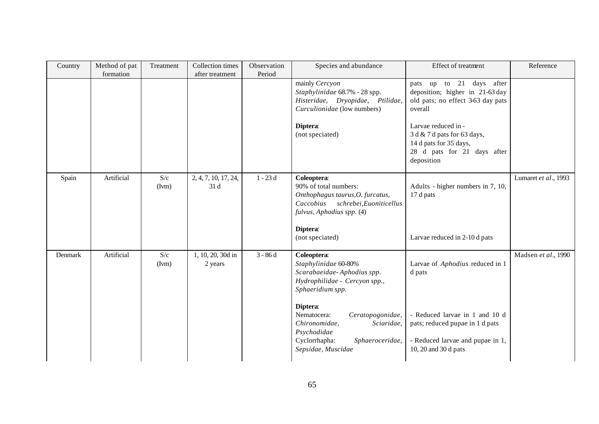| Country | Method of pat<br>formation | Treatment    | Collection times<br>after treatment | Observation<br>Period | Species and abundance                                                                                                                                                                                                                                                         | Effect of treatment                                                                                                                                                                                                                      | Reference            |
|---------|----------------------------|--------------|-------------------------------------|-----------------------|-------------------------------------------------------------------------------------------------------------------------------------------------------------------------------------------------------------------------------------------------------------------------------|------------------------------------------------------------------------------------------------------------------------------------------------------------------------------------------------------------------------------------------|----------------------|
|         |                            |              |                                     |                       | mainly Cercyon<br>Staphylinidae 68.7% - 28 spp.<br>Histeridae, Dryopidae, Ptilidae,<br>Curculionidae (low numbers)<br>Diptera:<br>(not speciated)                                                                                                                             | pats up to 21 days after<br>deposition; higher in 21-63 day<br>old pats; no effect 3-63 day pats<br>overall<br>Larvae reduced in -<br>3 d & 7 d pats for 63 days,<br>14 d pats for 35 days,<br>28 d pats for 21 days after<br>deposition |                      |
| Spain   | Artificial                 | S/c<br>(Ivm) | 2, 4, 7, 10, 17, 24,<br>31 d        | $1 - 23d$             | Coleoptera:<br>90% of total numbers:<br>Onthophagus taurus, O. furcatus,<br>Caccobius schrebei, Euoniticellus<br>fulvus, Aphodius spp. (4)<br>Diptera:<br>(not speciated)                                                                                                     | Adults - higher numbers in 7, 10,<br>17 d pats<br>Larvae reduced in 2-10 d pats                                                                                                                                                          | Lumaret et al., 1993 |
| Denmark | Artificial                 | S/c<br>(Ivm) | 1, 10, 20, 30d in<br>2 years        | $3 - 86d$             | Coleoptera:<br>Staphylinidae 60-80%<br>Scarabaeidae-Aphodius spp.<br>Hydrophilidae - Cercyon spp.,<br>Sphaeridium spp.<br>Diptera:<br>Nematocera:<br>Ceratopogonidae,<br>Chironomidae,<br>Sciaridae,<br>Psychodidae<br>Cyclorrhapha:<br>Sphaeroceridae,<br>Sepsidae, Muscidae | Larvae of Aphodius reduced in 1<br>d pats<br>- Reduced larvae in 1 and 10 d<br>pats; reduced pupae in 1 d pats<br>- Reduced larvae and pupae in 1,<br>10, 20 and 30 d pats                                                               | Madsen et al., 1990  |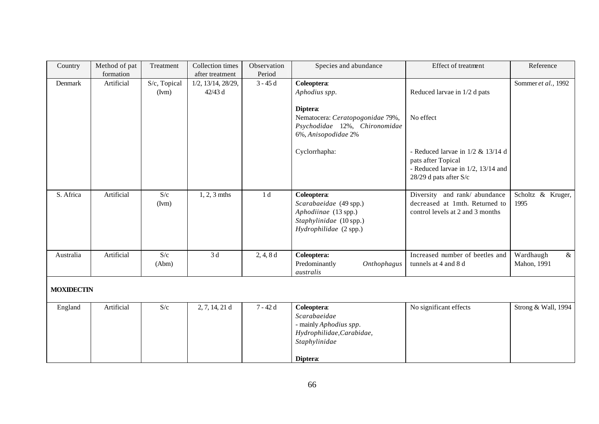| Country           | Method of pat | Treatment             | Collection times                         | Observation    | Species and abundance                                                                                              | Effect of treatment                                                                                                              | Reference                        |
|-------------------|---------------|-----------------------|------------------------------------------|----------------|--------------------------------------------------------------------------------------------------------------------|----------------------------------------------------------------------------------------------------------------------------------|----------------------------------|
|                   | formation     |                       | after treatment                          | Period         |                                                                                                                    |                                                                                                                                  |                                  |
| Denmark           | Artificial    | S/c, Topical<br>(Ivm) | $1/2$ , $13/14$ , $28/29$ ,<br>$42/43$ d | $3 - 45d$      | Coleoptera:<br>Aphodius spp.<br>Diptera:<br>Nematocera: Ceratopogonidae 79%,                                       | Reduced larvae in 1/2 d pats<br>No effect                                                                                        | Sommer et al., 1992              |
|                   |               |                       |                                          |                | Psychodidae 12%, Chironomidae<br>6%, Anisopodidae 2%                                                               |                                                                                                                                  |                                  |
|                   |               |                       |                                          |                | Cyclorrhapha:                                                                                                      | - Reduced larvae in $1/2$ & $13/14$ d<br>pats after Topical<br>- Reduced larvae in $1/2$ , $13/14$ and<br>28/29 d pats after S/c |                                  |
| S. Africa         | Artificial    | S/c<br>(Ivm)          | $1, 2, 3$ mths                           | 1 <sub>d</sub> | Coleoptera:<br>Scarabaeidae (49 spp.)<br>Aphodiinae (13 spp.)<br>Staphylinidae (10 spp.)<br>Hydrophilidae (2 spp.) | Diversity and rank/abundance<br>decreased at 1mth. Returned to<br>control levels at 2 and 3 months                               | Scholtz & Kruger,<br>1995        |
| Australia         | Artificial    | S/c<br>(Abm)          | 3d                                       | 2, 4, 8d       | Coleoptera:<br>Predominantly<br>Onthophagus<br>australis                                                           | Increased number of beetles and<br>tunnels at 4 and 8 d                                                                          | Wardhaugh<br>$\&$<br>Mahon, 1991 |
| <b>MOXIDECTIN</b> |               |                       |                                          |                |                                                                                                                    |                                                                                                                                  |                                  |
| England           | Artificial    | S/c                   | $2, 7, 14, 21$ d                         | $7 - 42d$      | Coleoptera:<br>Scarabaeidae<br>- mainly Aphodius spp.<br>Hydrophilidae, Carabidae,<br>Staphylinidae<br>Diptera:    | No significant effects                                                                                                           | Strong & Wall, 1994              |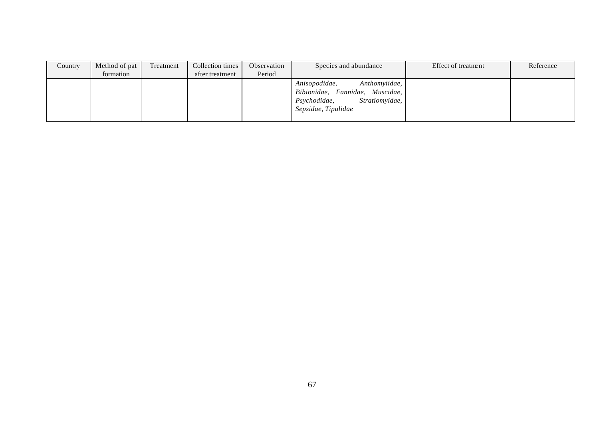| Country | Method of pat | Treatment | Collection times | Observation | Species and abundance                                                                                                      | Effect of treatment | Reference |
|---------|---------------|-----------|------------------|-------------|----------------------------------------------------------------------------------------------------------------------------|---------------------|-----------|
|         | formation     |           | after treatment  | Period      |                                                                                                                            |                     |           |
|         |               |           |                  |             | Anthomyiidae,<br>Anisopodidae,<br>Bibionidae, Fannidae, Muscidae,<br>Stratiomvidae,<br>Psychodidae,<br>Sepsidae, Tipulidae |                     |           |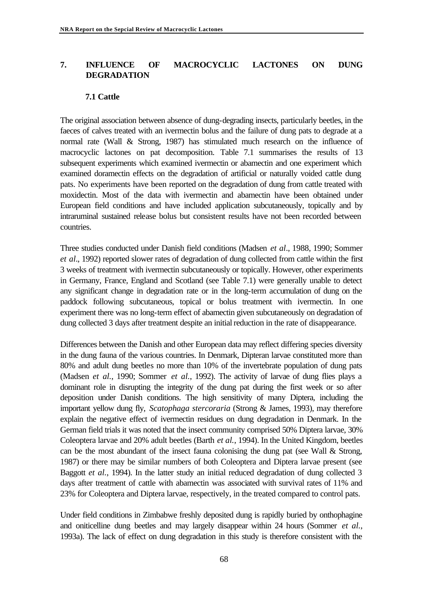## **7. INFLUENCE OF MACROCYCLIC LACTONES ON DUNG DEGRADATION**

### **7.1 Cattle**

The original association between absence of dung-degrading insects, particularly beetles, in the faeces of calves treated with an ivermectin bolus and the failure of dung pats to degrade at a normal rate (Wall & Strong, 1987) has stimulated much research on the influence of macrocyclic lactones on pat decomposition. Table 7.1 summarises the results of 13 subsequent experiments which examined ivermectin or abamectin and one experiment which examined doramectin effects on the degradation of artificial or naturally voided cattle dung pats. No experiments have been reported on the degradation of dung from cattle treated with moxidectin. Most of the data with ivermectin and abamectin have been obtained under European field conditions and have included application subcutaneously, topically and by intraruminal sustained release bolus but consistent results have not been recorded between countries.

Three studies conducted under Danish field conditions (Madsen *et al*., 1988, 1990; Sommer *et al*., 1992) reported slower rates of degradation of dung collected from cattle within the first 3 weeks of treatment with ivermectin subcutaneously or topically. However, other experiments in Germany, France, England and Scotland (see Table 7.1) were generally unable to detect any significant change in degradation rate or in the long-term accumulation of dung on the paddock following subcutaneous, topical or bolus treatment with ivermectin. In one experiment there was no long-term effect of abamectin given subcutaneously on degradation of dung collected 3 days after treatment despite an initial reduction in the rate of disappearance.

Differences between the Danish and other European data may reflect differing species diversity in the dung fauna of the various countries. In Denmark, Dipteran larvae constituted more than 80% and adult dung beetles no more than 10% of the invertebrate population of dung pats (Madsen *et al.*, 1990; Sommer *et al.*, 1992). The activity of larvae of dung flies plays a dominant role in disrupting the integrity of the dung pat during the first week or so after deposition under Danish conditions. The high sensitivity of many Diptera, including the important yellow dung fly, *Scatophaga stercoraria* (Strong & James, 1993), may therefore explain the negative effect of ivermectin residues on dung degradation in Denmark. In the German field trials it was noted that the insect community comprised 50% Diptera larvae, 30% Coleoptera larvae and 20% adult beetles (Barth *et al.*, 1994). In the United Kingdom, beetles can be the most abundant of the insect fauna colonising the dung pat (see Wall & Strong, 1987) or there may be similar numbers of both Coleoptera and Diptera larvae present (see Baggott *et al.*, 1994). In the latter study an initial reduced degradation of dung collected 3 days after treatment of cattle with abamectin was associated with survival rates of 11% and 23% for Coleoptera and Diptera larvae, respectively, in the treated compared to control pats.

Under field conditions in Zimbabwe freshly deposited dung is rapidly buried by onthophagine and oniticelline dung beetles and may largely disappear within 24 hours (Sommer *et al.*, 1993a). The lack of effect on dung degradation in this study is therefore consistent with the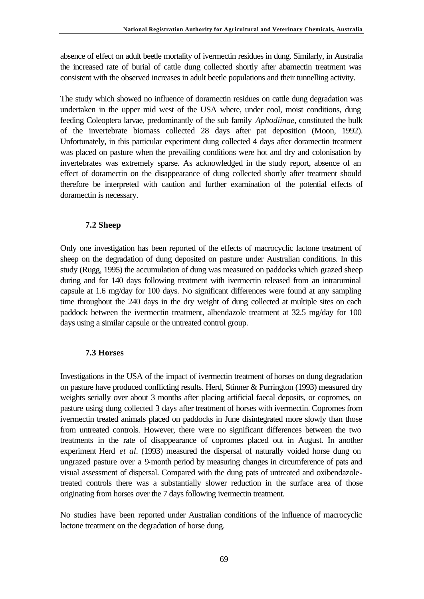absence of effect on adult beetle mortality of ivermectin residues in dung. Similarly, in Australia the increased rate of burial of cattle dung collected shortly after abamectin treatment was consistent with the observed increases in adult beetle populations and their tunnelling activity.

The study which showed no influence of doramectin residues on cattle dung degradation was undertaken in the upper mid west of the USA where, under cool, moist conditions, dung feeding Coleoptera larvae, predominantly of the sub family *Aphodiinae*, constituted the bulk of the invertebrate biomass collected 28 days after pat deposition (Moon, 1992). Unfortunately, in this particular experiment dung collected 4 days after doramectin treatment was placed on pasture when the prevailing conditions were hot and dry and colonisation by invertebrates was extremely sparse. As acknowledged in the study report, absence of an effect of doramectin on the disappearance of dung collected shortly after treatment should therefore be interpreted with caution and further examination of the potential effects of doramectin is necessary.

## **7.2 Sheep**

Only one investigation has been reported of the effects of macrocyclic lactone treatment of sheep on the degradation of dung deposited on pasture under Australian conditions. In this study (Rugg, 1995) the accumulation of dung was measured on paddocks which grazed sheep during and for 140 days following treatment with ivermectin released from an intraruminal capsule at 1.6 mg/day for 100 days. No significant differences were found at any sampling time throughout the 240 days in the dry weight of dung collected at multiple sites on each paddock between the ivermectin treatment, albendazole treatment at 32.5 mg/day for 100 days using a similar capsule or the untreated control group.

## **7.3 Horses**

Investigations in the USA of the impact of ivermectin treatment of horses on dung degradation on pasture have produced conflicting results. Herd, Stinner & Purrington (1993) measured dry weights serially over about 3 months after placing artificial faecal deposits, or copromes, on pasture using dung collected 3 days after treatment of horses with ivermectin. Copromes from ivermectin treated animals placed on paddocks in June disintegrated more slowly than those from untreated controls. However, there were no significant differences between the two treatments in the rate of disappearance of copromes placed out in August. In another experiment Herd *et al*. (1993) measured the dispersal of naturally voided horse dung on ungrazed pasture over a 9-month period by measuring changes in circumference of pats and visual assessment of dispersal. Compared with the dung pats of untreated and oxibendazoletreated controls there was a substantially slower reduction in the surface area of those originating from horses over the 7 days following ivermectin treatment.

No studies have been reported under Australian conditions of the influence of macrocyclic lactone treatment on the degradation of horse dung.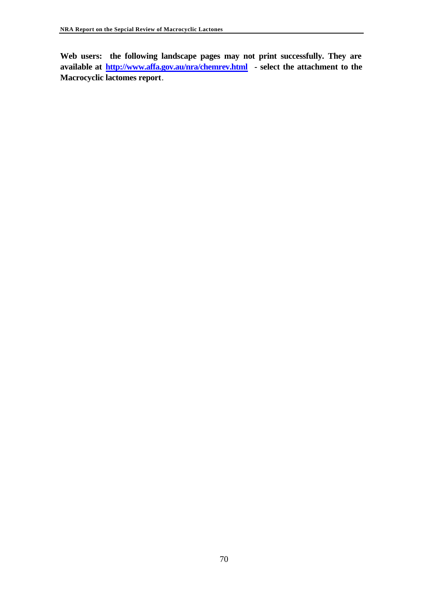**Web users: the following landscape pages may not print successfully. They are available at http://www.affa.gov.au/nra/chemrev.html - select the attachment to the Macrocyclic lactomes report**.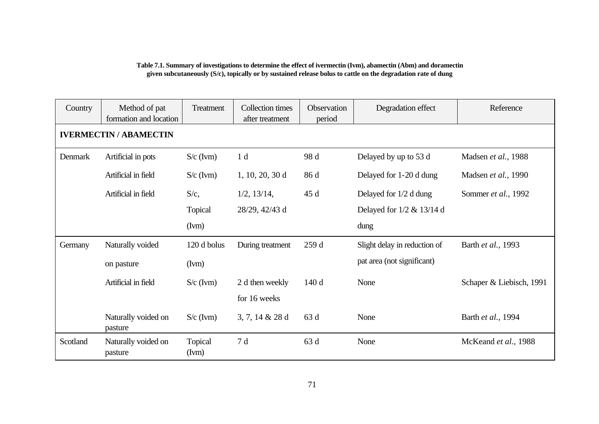#### **Table 7.1. Summary of investigations to determine the effect of ivermectin (Ivm), abamectin (Abm) and doramectin given subcutaneously (S/c), topically or by sustained release bolus to cattle on the degradation rate of dung**

| Country  | Method of pat<br>formation and location | Treatment        | <b>Collection times</b><br>after treatment | Observation<br>period | Degradation effect            | Reference                |
|----------|-----------------------------------------|------------------|--------------------------------------------|-----------------------|-------------------------------|--------------------------|
|          | <b>IVERMECTIN / ABAMECTIN</b>           |                  |                                            |                       |                               |                          |
| Denmark  | Artificial in pots                      | $S/c$ (Ivm)      | 1 <sub>d</sub>                             | 98 d                  | Delayed by up to 53 d         | Madsen et al., 1988      |
|          | Artificial in field                     | $S/c$ (Ivm)      | $1, 10, 20, 30$ d                          | 86 d                  | Delayed for 1-20 d dung       | Madsen et al., 1990      |
|          | Artificial in field                     | $S/c$ ,          | $1/2$ , $13/14$ ,                          | 45d                   | Delayed for 1/2 d dung        | Sommer et al., 1992      |
|          |                                         | <b>Topical</b>   | 28/29, 42/43 d                             |                       | Delayed for $1/2$ & $13/14$ d |                          |
|          |                                         | (Ivm)            |                                            |                       | dung                          |                          |
| Germany  | Naturally voided                        | 120 d bolus      | During treatment                           | 259d                  | Slight delay in reduction of  | Barth et al., 1993       |
|          | (Ivm)<br>on pasture                     |                  |                                            |                       | pat area (not significant)    |                          |
|          | Artificial in field                     | $S/c$ (Ivm)      | 2 d then weekly                            | 140d                  | None                          | Schaper & Liebisch, 1991 |
|          |                                         |                  | for 16 weeks                               |                       |                               |                          |
|          | Naturally voided on<br>pasture          | $S/c$ (Ivm)      | $3, 7, 14 \& 28 \d$                        | 63 d                  | None                          | Barth et al., 1994       |
| Scotland | Naturally voided on<br>pasture          | Topical<br>(Ivm) | 7 d                                        | 63 d                  | None                          | McKeand et al., 1988     |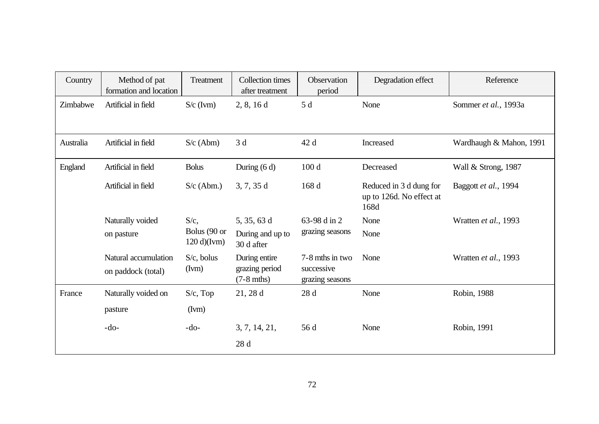| Country        | Method of pat<br>formation and location    | Treatment                     | <b>Collection</b> times<br>after treatment      | Observation<br>period                            | Degradation effect                                          | Reference               |
|----------------|--------------------------------------------|-------------------------------|-------------------------------------------------|--------------------------------------------------|-------------------------------------------------------------|-------------------------|
| Zimbabwe       | Artificial in field                        | $S/c$ (Ivm)                   | 2, 8, 16d                                       | 5 d                                              | None                                                        | Sommer et al., 1993a    |
| Australia      | Artificial in field                        | $S/c$ (Abm)                   | 3d                                              | 42 d                                             | Increased                                                   | Wardhaugh & Mahon, 1991 |
| <b>England</b> | Artificial in field                        | <b>Bolus</b>                  | During $(6 d)$                                  | 100d                                             | Decreased                                                   | Wall & Strong, 1987     |
|                | Artificial in field                        | $S/c$ (Abm.)                  | 3, 7, 35d                                       | 168 d                                            | Reduced in 3 d dung for<br>up to 126d. No effect at<br>168d | Baggott et al., 1994    |
|                | Naturally voided                           | $S/c$ ,                       | 5, 35, 63 d                                     | 63-98 d in 2                                     | None                                                        | Wratten et al., 1993    |
|                | on pasture                                 | Bolus (90 or<br>$120 d$ (Ivm) | During and up to<br>30 d after                  | grazing seasons                                  | None                                                        |                         |
|                | Natural accumulation<br>on paddock (total) | $S/c$ , bolus<br>(Ivm)        | During entire<br>grazing period<br>$(7-8$ mths) | 7-8 mths in two<br>successive<br>grazing seasons | None                                                        | Wratten et al., 1993    |
| France         | Naturally voided on                        | $S/c$ , Top                   | $21, 28$ d                                      | 28d                                              | None                                                        | Robin, 1988             |
|                | pasture                                    | (Ivm)                         |                                                 |                                                  |                                                             |                         |
|                | $-do-$                                     | $-do-$                        | 3, 7, 14, 21,                                   | 56 d                                             | None                                                        | Robin, 1991             |
|                |                                            |                               | 28 d                                            |                                                  |                                                             |                         |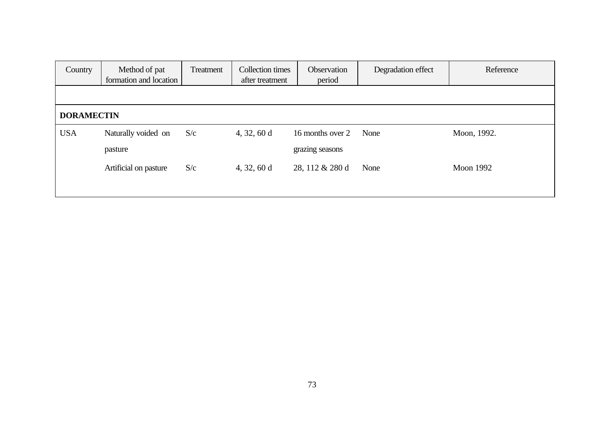| Country           | Method of pat<br>formation and location | Treatment | Collection times<br>after treatment | <b>Observation</b><br>period | Degradation effect | Reference        |  |  |
|-------------------|-----------------------------------------|-----------|-------------------------------------|------------------------------|--------------------|------------------|--|--|
|                   |                                         |           |                                     |                              |                    |                  |  |  |
| <b>DORAMECTIN</b> |                                         |           |                                     |                              |                    |                  |  |  |
| <b>USA</b>        | Naturally voided on                     | S/c       | 4, 32, 60 d                         | 16 months over 2             | None               | Moon, 1992.      |  |  |
|                   | pasture                                 |           |                                     | grazing seasons              |                    |                  |  |  |
|                   | Artificial on pasture                   | S/c       | 4, 32, 60 d                         | 28, 112 & 280 d              | None               | <b>Moon 1992</b> |  |  |
|                   |                                         |           |                                     |                              |                    |                  |  |  |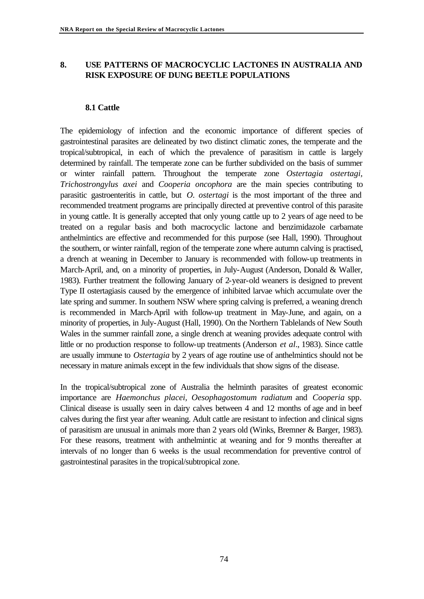# **8. USE PATTERNS OF MACROCYCLIC LACTONES IN AUSTRALIA AND RISK EXPOSURE OF DUNG BEETLE POPULATIONS**

#### **8.1 Cattle**

The epidemiology of infection and the economic importance of different species of gastrointestinal parasites are delineated by two distinct climatic zones, the temperate and the tropical/subtropical, in each of which the prevalence of parasitism in cattle is largely determined by rainfall. The temperate zone can be further subdivided on the basis of summer or winter rainfall pattern. Throughout the temperate zone *Ostertagia ostertagi, Trichostrongylus axei* and *Cooperia oncophora* are the main species contributing to parasitic gastroenteritis in cattle, but *O. ostertagi* is the most important of the three and recommended treatment programs are principally directed at preventive control of this parasite in young cattle. It is generally accepted that only young cattle up to 2 years of age need to be treated on a regular basis and both macrocyclic lactone and benzimidazole carbamate anthelmintics are effective and recommended for this purpose (see Hall, 1990). Throughout the southern, or winter rainfall, region of the temperate zone where autumn calving is practised, a drench at weaning in December to January is recommended with follow-up treatments in March-April, and, on a minority of properties, in July-August (Anderson, Donald & Waller, 1983). Further treatment the following January of 2-year-old weaners is designed to prevent Type II ostertagiasis caused by the emergence of inhibited larvae which accumulate over the late spring and summer. In southern NSW where spring calving is preferred, a weaning drench is recommended in March-April with follow-up treatment in May-June, and again, on a minority of properties, in July-August (Hall, 1990). On the Northern Tablelands of New South Wales in the summer rainfall zone, a single drench at weaning provides adequate control with little or no production response to follow-up treatments (Anderson *et al*., 1983). Since cattle are usually immune to *Ostertagia* by 2 years of age routine use of anthelmintics should not be necessary in mature animals except in the few individuals that show signs of the disease.

In the tropical/subtropical zone of Australia the helminth parasites of greatest economic importance are *Haemonchus placei, Oesophagostomum radiatum* and *Cooperia* spp. Clinical disease is usually seen in dairy calves between 4 and 12 months of age and in beef calves during the first year after weaning. Adult cattle are resistant to infection and clinical signs of parasitism are unusual in animals more than 2 years old (Winks, Bremner & Barger, 1983). For these reasons, treatment with anthelmintic at weaning and for 9 months thereafter at intervals of no longer than 6 weeks is the usual recommendation for preventive control of gastrointestinal parasites in the tropical/subtropical zone.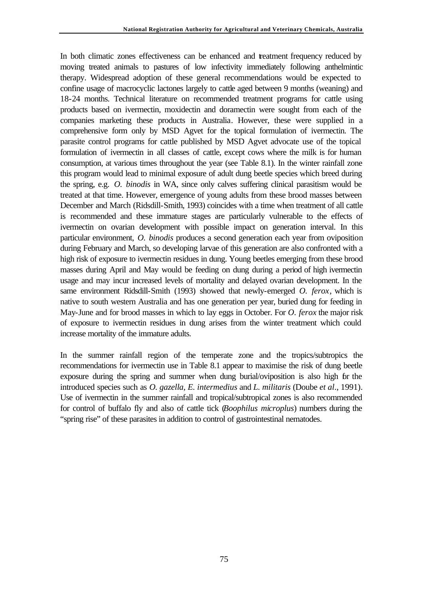In both climatic zones effectiveness can be enhanced and treatment frequency reduced by moving treated animals to pastures of low infectivity immediately following anthelmintic therapy. Widespread adoption of these general recommendations would be expected to confine usage of macrocyclic lactones largely to cattle aged between 9 months (weaning) and 18-24 months. Technical literature on recommended treatment programs for cattle using products based on ivermectin, moxidectin and doramectin were sought from each of the companies marketing these products in Australia. However, these were supplied in a comprehensive form only by MSD Agvet for the topical formulation of ivermectin. The parasite control programs for cattle published by MSD Agvet advocate use of the topical formulation of ivermectin in all classes of cattle, except cows where the milk is for human consumption, at various times throughout the year (see Table 8.1). In the winter rainfall zone this program would lead to minimal exposure of adult dung beetle species which breed during the spring, e.g. *O. binodis* in WA, since only calves suffering clinical parasitism would be treated at that time. However, emergence of young adults from these brood masses between December and March (Ridsdill-Smith, 1993) coincides with a time when treatment of all cattle is recommended and these immature stages are particularly vulnerable to the effects of ivermectin on ovarian development with possible impact on generation interval. In this particular environment, *O. binodis* produces a second generation each year from oviposition during February and March, so developing larvae of this generation are also confronted with a high risk of exposure to ivermectin residues in dung. Young beetles emerging from these brood masses during April and May would be feeding on dung during a period of high ivermectin usage and may incur increased levels of mortality and delayed ovarian development. In the same environment Ridsdill-Smith (1993) showed that newly-emerged *O. ferox*, which is native to south western Australia and has one generation per year, buried dung for feeding in May-June and for brood masses in which to lay eggs in October. For *O. ferox* the major risk of exposure to ivermectin residues in dung arises from the winter treatment which could increase mortality of the immature adults.

In the summer rainfall region of the temperate zone and the tropics/subtropics the recommendations for ivermectin use in Table 8.1 appear to maximise the risk of dung beetle exposure during the spring and summer when dung burial/oviposition is also high for the introduced species such as *O. gazella*, *E. intermedius* and *L. militaris* (Doube *et al*., 1991). Use of ivermectin in the summer rainfall and tropical/subtropical zones is also recommended for control of buffalo fly and also of cattle tick (*Boophilus microplus*) numbers during the "spring rise" of these parasites in addition to control of gastrointestinal nematodes.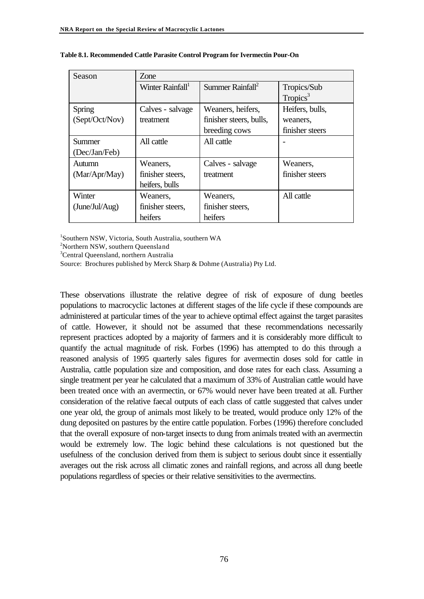| Season         | Zone                         |                              |                      |  |  |
|----------------|------------------------------|------------------------------|----------------------|--|--|
|                | Winter Rainfall <sup>1</sup> | Summer Rainfall <sup>2</sup> | Tropics/Sub          |  |  |
|                |                              |                              | Tropics <sup>3</sup> |  |  |
| Spring         | Calves - salvage             | Weaners, heifers,            | Heifers, bulls,      |  |  |
| (Sept/Oct/Nov) | treatment                    | finisher steers, bulls,      | weaners.             |  |  |
|                |                              | breeding cows                | finisher steers      |  |  |
| <b>Summer</b>  | All cattle                   | All cattle                   |                      |  |  |
| (Dec/Jan/Feb)  |                              |                              |                      |  |  |
| Autumn         | Weaners.                     | Calves - salvage             | Weaners,             |  |  |
| (Mar/Apr/May)  | finisher steers,             | treatment                    | finisher steers      |  |  |
|                | heifers, bulls               |                              |                      |  |  |
| Winter         | Weaners,                     | Weaners,                     | All cattle           |  |  |
| (June/Jul/Aug) | finisher steers,             | finisher steers,             |                      |  |  |
|                | heifers                      | heifers                      |                      |  |  |

**Table 8.1. Recommended Cattle Parasite Control Program for Ivermectin Pour-On**

1 Southern NSW, Victoria, South Australia, southern WA

<sup>2</sup>Northern NSW, southern Queensland

<sup>3</sup>Central Queensland, northern Australia

Source: Brochures published by Merck Sharp & Dohme (Australia) Pty Ltd.

These observations illustrate the relative degree of risk of exposure of dung beetles populations to macrocyclic lactones at different stages of the life cycle if these compounds are administered at particular times of the year to achieve optimal effect against the target parasites of cattle. However, it should not be assumed that these recommendations necessarily represent practices adopted by a majority of farmers and it is considerably more difficult to quantify the actual magnitude of risk. Forbes (1996) has attempted to do this through a reasoned analysis of 1995 quarterly sales figures for avermectin doses sold for cattle in Australia, cattle population size and composition, and dose rates for each class. Assuming a single treatment per year he calculated that a maximum of 33% of Australian cattle would have been treated once with an avermectin, or 67% would never have been treated at all. Further consideration of the relative faecal outputs of each class of cattle suggested that calves under one year old, the group of animals most likely to be treated, would produce only 12% of the dung deposited on pastures by the entire cattle population. Forbes (1996) therefore concluded that the overall exposure of non-target insects to dung from animals treated with an avermectin would be extremely low. The logic behind these calculations is not questioned but the usefulness of the conclusion derived from them is subject to serious doubt since it essentially averages out the risk across all climatic zones and rainfall regions, and across all dung beetle populations regardless of species or their relative sensitivities to the avermectins.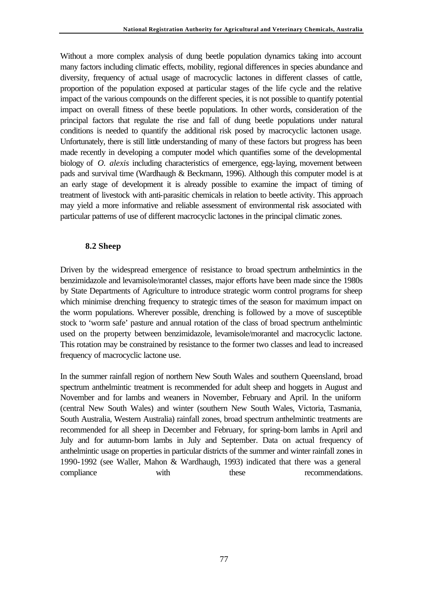Without a more complex analysis of dung beetle population dynamics taking into account many factors including climatic effects, mobility, regional differences in species abundance and diversity, frequency of actual usage of macrocyclic lactones in different classes of cattle, proportion of the population exposed at particular stages of the life cycle and the relative impact of the various compounds on the different species, it is not possible to quantify potential impact on overall fitness of these beetle populations. In other words, consideration of the principal factors that regulate the rise and fall of dung beetle populations under natural conditions is needed to quantify the additional risk posed by macrocyclic lactonen usage. Unfortunately, there is still little understanding of many of these factors but progress has been made recently in developing a computer model which quantifies some of the developmental biology of *O. alexis* including characteristics of emergence, egg-laying, movement between pads and survival time (Wardhaugh & Beckmann, 1996). Although this computer model is at an early stage of development it is already possible to examine the impact of timing of treatment of livestock with anti-parasitic chemicals in relation to beetle activity. This approach may yield a more informative and reliable assessment of environmental risk associated with particular patterns of use of different macrocyclic lactones in the principal climatic zones.

#### **8.2 Sheep**

Driven by the widespread emergence of resistance to broad spectrum anthelmintics in the benzimidazole and levamisole/morantel classes, major efforts have been made since the 1980s by State Departments of Agriculture to introduce strategic worm control programs for sheep which minimise drenching frequency to strategic times of the season for maximum impact on the worm populations. Wherever possible, drenching is followed by a move of susceptible stock to 'worm safe' pasture and annual rotation of the class of broad spectrum anthelmintic used on the property between benzimidazole, levamisole/morantel and macrocyclic lactone. This rotation may be constrained by resistance to the former two classes and lead to increased frequency of macrocyclic lactone use.

In the summer rainfall region of northern New South Wales and southern Queensland, broad spectrum anthelmintic treatment is recommended for adult sheep and hoggets in August and November and for lambs and weaners in November, February and April. In the uniform (central New South Wales) and winter (southern New South Wales, Victoria, Tasmania, South Australia, Western Australia) rainfall zones, broad spectrum anthelmintic treatments are recommended for all sheep in December and February, for spring-born lambs in April and July and for autumn-born lambs in July and September. Data on actual frequency of anthelmintic usage on properties in particular districts of the summer and winter rainfall zones in 1990-1992 (see Waller, Mahon & Wardhaugh, 1993) indicated that there was a general compliance with these recommendations.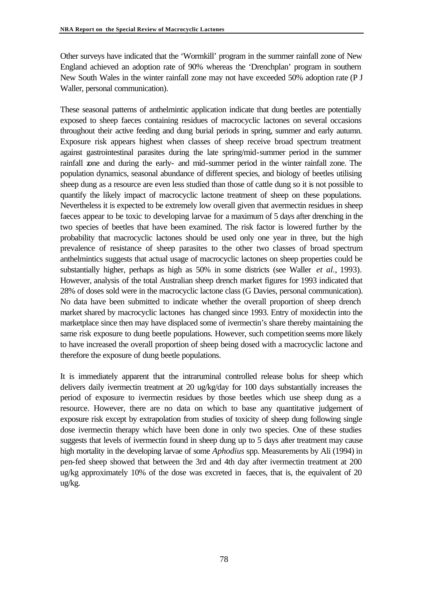Other surveys have indicated that the 'Wormkill' program in the summer rainfall zone of New England achieved an adoption rate of 90% whereas the 'Drenchplan' program in southern New South Wales in the winter rainfall zone may not have exceeded 50% adoption rate (P J Waller, personal communication).

These seasonal patterns of anthelmintic application indicate that dung beetles are potentially exposed to sheep faeces containing residues of macrocyclic lactones on several occasions throughout their active feeding and dung burial periods in spring, summer and early autumn. Exposure risk appears highest when classes of sheep receive broad spectrum treatment against gastrointestinal parasites during the late spring/mid-summer period in the summer rainfall zone and during the early- and mid-summer period in the winter rainfall zone. The population dynamics, seasonal abundance of different species, and biology of beetles utilising sheep dung as a resource are even less studied than those of cattle dung so it is not possible to quantify the likely impact of macrocyclic lactone treatment of sheep on these populations. Nevertheless it is expected to be extremely low overall given that avermectin residues in sheep faeces appear to be toxic to developing larvae for a maximum of 5 days after drenching in the two species of beetles that have been examined. The risk factor is lowered further by the probability that macrocyclic lactones should be used only one year in three, but the high prevalence of resistance of sheep parasites to the other two classes of broad spectrum anthelmintics suggests that actual usage of macrocyclic lactones on sheep properties could be substantially higher, perhaps as high as 50% in some districts (see Waller *et al*., 1993). However, analysis of the total Australian sheep drench market figures for 1993 indicated that 28% of doses sold were in the macrocyclic lactone class (G Davies, personal communication). No data have been submitted to indicate whether the overall proportion of sheep drench market shared by macrocyclic lactones has changed since 1993. Entry of moxidectin into the marketplace since then may have displaced some of ivermectin's share thereby maintaining the same risk exposure to dung beetle populations. However, such competition seems more likely to have increased the overall proportion of sheep being dosed with a macrocyclic lactone and therefore the exposure of dung beetle populations.

It is immediately apparent that the intraruminal controlled release bolus for sheep which delivers daily ivermectin treatment at 20 ug/kg/day for 100 days substantially increases the period of exposure to ivermectin residues by those beetles which use sheep dung as a resource. However, there are no data on which to base any quantitative judgement of exposure risk except by extrapolation from studies of toxicity of sheep dung following single dose ivermectin therapy which have been done in only two species. One of these studies suggests that levels of ivermectin found in sheep dung up to 5 days after treatment may cause high mortality in the developing larvae of some *Aphodius* spp. Measurements by Ali (1994) in pen-fed sheep showed that between the 3rd and 4th day after ivermectin treatment at 200 ug/kg approximately 10% of the dose was excreted in faeces, that is, the equivalent of 20 ug/kg.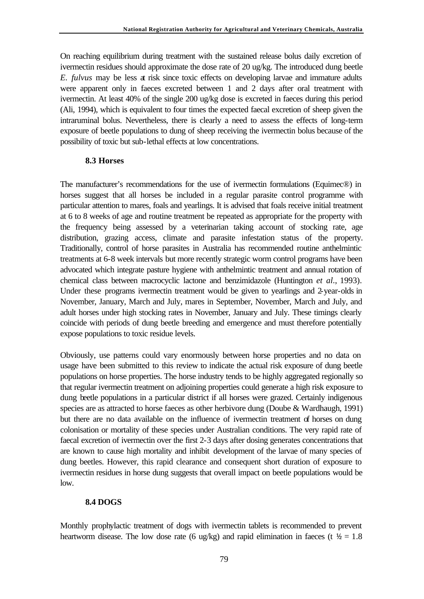On reaching equilibrium during treatment with the sustained release bolus daily excretion of ivermectin residues should approximate the dose rate of 20 ug/kg. The introduced dung beetle *E. fulvus* may be less at risk since toxic effects on developing larvae and immature adults were apparent only in faeces excreted between 1 and 2 days after oral treatment with ivermectin. At least 40% of the single 200 ug/kg dose is excreted in faeces during this period (Ali, 1994), which is equivalent to four times the expected faecal excretion of sheep given the intraruminal bolus. Nevertheless, there is clearly a need to assess the effects of long-term exposure of beetle populations to dung of sheep receiving the ivermectin bolus because of the possibility of toxic but sub-lethal effects at low concentrations.

### **8.3 Horses**

The manufacturer's recommendations for the use of ivermectin formulations (Equimec®) in horses suggest that all horses be included in a regular parasite control programme with particular attention to mares, foals and yearlings. It is advised that foals receive initial treatment at 6 to 8 weeks of age and routine treatment be repeated as appropriate for the property with the frequency being assessed by a veterinarian taking account of stocking rate, age distribution, grazing access, climate and parasite infestation status of the property. Traditionally, control of horse parasites in Australia has recommended routine anthelmintic treatments at 6-8 week intervals but more recently strategic worm control programs have been advocated which integrate pasture hygiene with anthelmintic treatment and annual rotation of chemical class between macrocyclic lactone and benzimidazole (Huntington *et al*., 1993). Under these programs ivermectin treatment would be given to yearlings and 2-year-olds in November, January, March and July, mares in September, November, March and July, and adult horses under high stocking rates in November, January and July. These timings clearly coincide with periods of dung beetle breeding and emergence and must therefore potentially expose populations to toxic residue levels.

Obviously, use patterns could vary enormously between horse properties and no data on usage have been submitted to this review to indicate the actual risk exposure of dung beetle populations on horse properties. The horse industry tends to be highly aggregated regionally so that regular ivermectin treatment on adjoining properties could generate a high risk exposure to dung beetle populations in a particular district if all horses were grazed. Certainly indigenous species are as attracted to horse faeces as other herbivore dung (Doube & Wardhaugh, 1991) but there are no data available on the influence of ivermectin treatment of horses on dung colonisation or mortality of these species under Australian conditions. The very rapid rate of faecal excretion of ivermectin over the first 2-3 days after dosing generates concentrations that are known to cause high mortality and inhibit development of the larvae of many species of dung beetles. However, this rapid clearance and consequent short duration of exposure to ivermectin residues in horse dung suggests that overall impact on beetle populations would be low.

## **8.4 DOGS**

Monthly prophylactic treatment of dogs with ivermectin tablets is recommended to prevent heartworm disease. The low dose rate (6 ug/kg) and rapid elimination in faeces (t  $\frac{1}{2} = 1.8$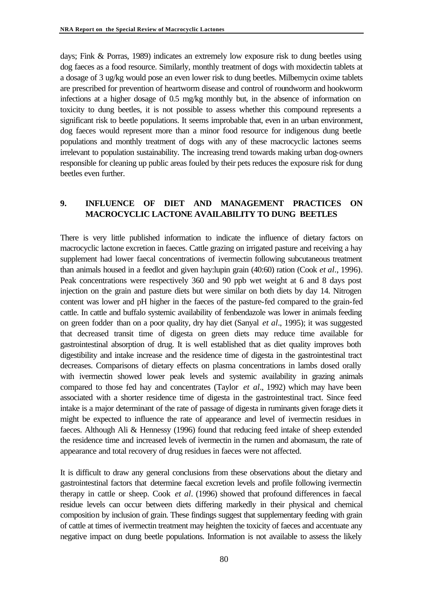days; Fink & Porras, 1989) indicates an extremely low exposure risk to dung beetles using dog faeces as a food resource. Similarly, monthly treatment of dogs with moxidectin tablets at a dosage of 3 ug/kg would pose an even lower risk to dung beetles. Milbemycin oxime tablets are prescribed for prevention of heartworm disease and control of roundworm and hookworm infections at a higher dosage of 0.5 mg/kg monthly but, in the absence of information on toxicity to dung beetles, it is not possible to assess whether this compound represents a significant risk to beetle populations. It seems improbable that, even in an urban environment, dog faeces would represent more than a minor food resource for indigenous dung beetle populations and monthly treatment of dogs with any of these macrocyclic lactones seems irrelevant to population sustainability. The increasing trend towards making urban dog-owners responsible for cleaning up public areas fouled by their pets reduces the exposure risk for dung beetles even further.

## **9. INFLUENCE OF DIET AND MANAGEMENT PRACTICES ON MACROCYCLIC LACTONE AVAILABILITY TO DUNG BEETLES**

There is very little published information to indicate the influence of dietary factors on macrocyclic lactone excretion in faeces. Cattle grazing on irrigated pasture and receiving a hay supplement had lower faecal concentrations of ivermectin following subcutaneous treatment than animals housed in a feedlot and given hay:lupin grain (40:60) ration (Cook *et al*., 1996). Peak concentrations were respectively 360 and 90 ppb wet weight at 6 and 8 days post injection on the grain and pasture diets but were similar on both diets by day 14. Nitrogen content was lower and pH higher in the faeces of the pasture-fed compared to the grain-fed cattle. In cattle and buffalo systemic availability of fenbendazole was lower in animals feeding on green fodder than on a poor quality, dry hay diet (Sanyal *et al*., 1995); it was suggested that decreased transit time of digesta on green diets may reduce time available for gastrointestinal absorption of drug. It is well established that as diet quality improves both digestibility and intake increase and the residence time of digesta in the gastrointestinal tract decreases. Comparisons of dietary effects on plasma concentrations in lambs dosed orally with ivermectin showed lower peak levels and systemic availability in grazing animals compared to those fed hay and concentrates (Taylor *et al*., 1992) which may have been associated with a shorter residence time of digesta in the gastrointestinal tract. Since feed intake is a major determinant of the rate of passage of digesta in ruminants given forage diets it might be expected to influence the rate of appearance and level of ivermectin residues in faeces. Although Ali & Hennessy (1996) found that reducing feed intake of sheep extended the residence time and increased levels of ivermectin in the rumen and abomasum, the rate of appearance and total recovery of drug residues in faeces were not affected.

It is difficult to draw any general conclusions from these observations about the dietary and gastrointestinal factors that determine faecal excretion levels and profile following ivermectin therapy in cattle or sheep. Cook *et al*. (1996) showed that profound differences in faecal residue levels can occur between diets differing markedly in their physical and chemical composition by inclusion of grain. These findings suggest that supplementary feeding with grain of cattle at times of ivermectin treatment may heighten the toxicity of faeces and accentuate any negative impact on dung beetle populations. Information is not available to assess the likely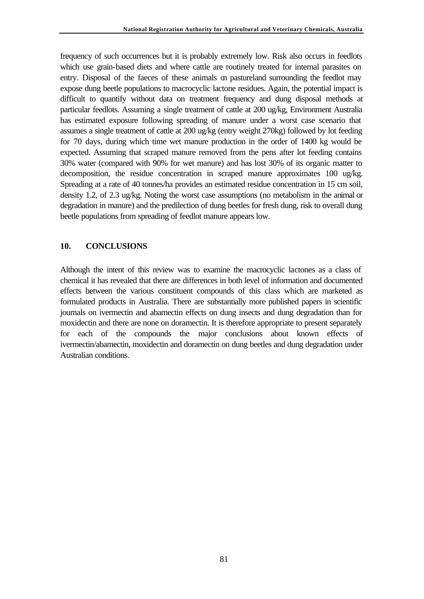frequency of such occurrences but it is probably extremely low. Risk also occurs in feedlots which use grain-based diets and where cattle are routinely treated for internal parasites on entry. Disposal of the faeces of these animals on pastureland surrounding the feedlot may expose dung beetle populations to macrocyclic lactone residues. Again, the potential impact is difficult to quantify without data on treatment frequency and dung disposal methods at particular feedlots. Assuming a single treatment of cattle at 200 ug/kg, Environment Australia has estimated exposure following spreading of manure under a worst case scenario that assumes a single treatment of cattle at 200 ug/kg (entry weight 270kg) followed by lot feeding for 70 days, during which time wet manure production in the order of 1400 kg would be expected. Assuming that scraped manure removed from the pens after lot feeding contains 30% water (compared with 90% for wet manure) and has lost 30% of its organic matter to decomposition, the residue concentration in scraped manure approximates 100 ug/kg. Spreading at a rate of 40 tonnes/ha provides an estimated residue concentration in 15 cm soil, density 1.2, of 2.3 ug/kg. Noting the worst case assumptions (no metabolism in the animal or degradation in manure) and the predilection of dung beetles for fresh dung, risk to overall dung beetle populations from spreading of feedlot manure appears low.

### **10. CONCLUSIONS**

Although the intent of this review was to examine the macrocyclic lactones as a class of chemical it has revealed that there are differences in both level of information and documented effects between the various constituent compounds of this class which are marketed as formulated products in Australia. There are substantially more published papers in scientific journals on ivermectin and abamectin effects on dung insects and dung degradation than for moxidectin and there are none on doramectin. It is therefore appropriate to present separately for each of the compounds the major conclusions about known effects of ivermectin/abamectin, moxidectin and doramectin on dung beetles and dung degradation under Australian conditions.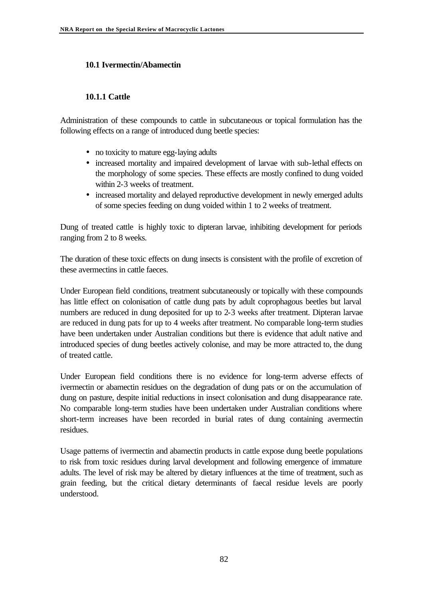# **10.1 Ivermectin/Abamectin**

# **10.1.1 Cattle**

Administration of these compounds to cattle in subcutaneous or topical formulation has the following effects on a range of introduced dung beetle species:

- no toxicity to mature egg-laying adults
- increased mortality and impaired development of larvae with sub-lethal effects on the morphology of some species. These effects are mostly confined to dung voided within 2-3 weeks of treatment.
- increased mortality and delayed reproductive development in newly emerged adults of some species feeding on dung voided within 1 to 2 weeks of treatment.

Dung of treated cattle is highly toxic to dipteran larvae, inhibiting development for periods ranging from 2 to 8 weeks.

The duration of these toxic effects on dung insects is consistent with the profile of excretion of these avermectins in cattle faeces.

Under European field conditions, treatment subcutaneously or topically with these compounds has little effect on colonisation of cattle dung pats by adult coprophagous beetles but larval numbers are reduced in dung deposited for up to 2-3 weeks after treatment. Dipteran larvae are reduced in dung pats for up to 4 weeks after treatment. No comparable long-term studies have been undertaken under Australian conditions but there is evidence that adult native and introduced species of dung beetles actively colonise, and may be more attracted to, the dung of treated cattle.

Under European field conditions there is no evidence for long-term adverse effects of ivermectin or abamectin residues on the degradation of dung pats or on the accumulation of dung on pasture, despite initial reductions in insect colonisation and dung disappearance rate. No comparable long-term studies have been undertaken under Australian conditions where short-term increases have been recorded in burial rates of dung containing avermectin residues.

Usage patterns of ivermectin and abamectin products in cattle expose dung beetle populations to risk from toxic residues during larval development and following emergence of immature adults. The level of risk may be altered by dietary influences at the time of treatment, such as grain feeding, but the critical dietary determinants of faecal residue levels are poorly understood.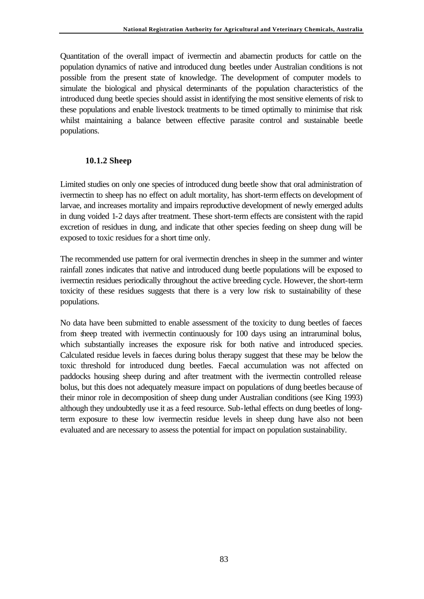Quantitation of the overall impact of ivermectin and abamectin products for cattle on the population dynamics of native and introduced dung beetles under Australian conditions is not possible from the present state of knowledge. The development of computer models to simulate the biological and physical determinants of the population characteristics of the introduced dung beetle species should assist in identifying the most sensitive elements of risk to these populations and enable livestock treatments to be timed optimally to minimise that risk whilst maintaining a balance between effective parasite control and sustainable beetle populations.

### **10.1.2 Sheep**

Limited studies on only one species of introduced dung beetle show that oral administration of ivermectin to sheep has no effect on adult mortality, has short-term effects on development of larvae, and increases mortality and impairs reproductive development of newly emerged adults in dung voided 1-2 days after treatment. These short-term effects are consistent with the rapid excretion of residues in dung, and indicate that other species feeding on sheep dung will be exposed to toxic residues for a short time only.

The recommended use pattern for oral ivermectin drenches in sheep in the summer and winter rainfall zones indicates that native and introduced dung beetle populations will be exposed to ivermectin residues periodically throughout the active breeding cycle. However, the short-term toxicity of these residues suggests that there is a very low risk to sustainability of these populations.

No data have been submitted to enable assessment of the toxicity to dung beetles of faeces from sheep treated with ivermectin continuously for 100 days using an intraruminal bolus, which substantially increases the exposure risk for both native and introduced species. Calculated residue levels in faeces during bolus therapy suggest that these may be below the toxic threshold for introduced dung beetles. Faecal accumulation was not affected on paddocks housing sheep during and after treatment with the ivermectin controlled release bolus, but this does not adequately measure impact on populations of dung beetles because of their minor role in decomposition of sheep dung under Australian conditions (see King 1993) although they undoubtedly use it as a feed resource. Sub-lethal effects on dung beetles of longterm exposure to these low ivermectin residue levels in sheep dung have also not been evaluated and are necessary to assess the potential for impact on population sustainability.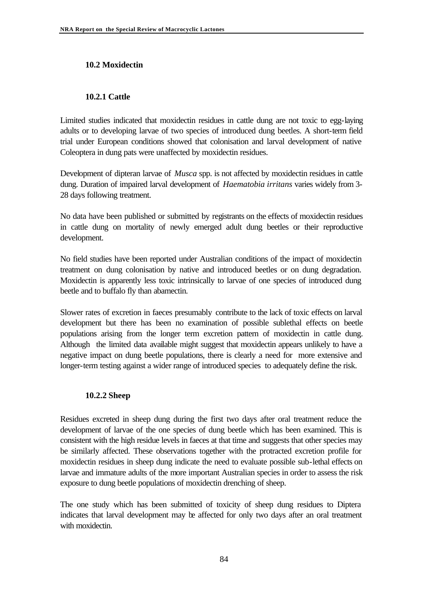# **10.2 Moxidectin**

## **10.2.1 Cattle**

Limited studies indicated that moxidectin residues in cattle dung are not toxic to egg-laying adults or to developing larvae of two species of introduced dung beetles. A short-term field trial under European conditions showed that colonisation and larval development of native Coleoptera in dung pats were unaffected by moxidectin residues.

Development of dipteran larvae of *Musca* spp. is not affected by moxidectin residues in cattle dung. Duration of impaired larval development of *Haematobia irritans* varies widely from 3- 28 days following treatment.

No data have been published or submitted by registrants on the effects of moxidectin residues in cattle dung on mortality of newly emerged adult dung beetles or their reproductive development.

No field studies have been reported under Australian conditions of the impact of moxidectin treatment on dung colonisation by native and introduced beetles or on dung degradation. Moxidectin is apparently less toxic intrinsically to larvae of one species of introduced dung beetle and to buffalo fly than abamectin.

Slower rates of excretion in faeces presumably contribute to the lack of toxic effects on larval development but there has been no examination of possible sublethal effects on beetle populations arising from the longer term excretion pattern of moxidectin in cattle dung. Although the limited data available might suggest that moxidectin appears unlikely to have a negative impact on dung beetle populations, there is clearly a need for more extensive and longer-term testing against a wider range of introduced species to adequately define the risk.

## **10.2.2 Sheep**

Residues excreted in sheep dung during the first two days after oral treatment reduce the development of larvae of the one species of dung beetle which has been examined. This is consistent with the high residue levels in faeces at that time and suggests that other species may be similarly affected. These observations together with the protracted excretion profile for moxidectin residues in sheep dung indicate the need to evaluate possible sub-lethal effects on larvae and immature adults of the more important Australian species in order to assess the risk exposure to dung beetle populations of moxidectin drenching of sheep.

The one study which has been submitted of toxicity of sheep dung residues to Diptera indicates that larval development may be affected for only two days after an oral treatment with moxidectin.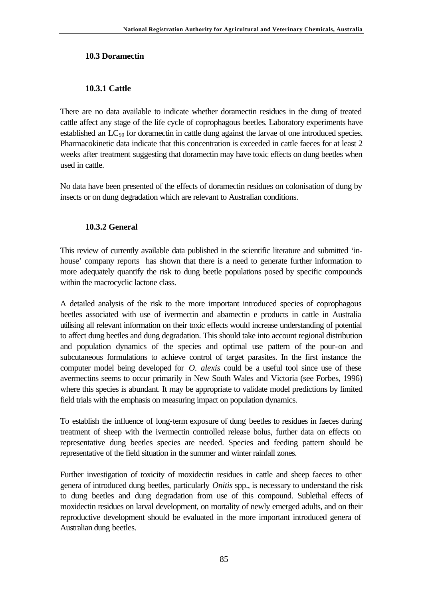#### **10.3 Doramectin**

### **10.3.1 Cattle**

There are no data available to indicate whether doramectin residues in the dung of treated cattle affect any stage of the life cycle of coprophagous beetles. Laboratory experiments have established an  $LC_{90}$  for doramectin in cattle dung against the larvae of one introduced species. Pharmacokinetic data indicate that this concentration is exceeded in cattle faeces for at least 2 weeks after treatment suggesting that doramectin may have toxic effects on dung beetles when used in cattle.

No data have been presented of the effects of doramectin residues on colonisation of dung by insects or on dung degradation which are relevant to Australian conditions.

## **10.3.2 General**

This review of currently available data published in the scientific literature and submitted 'inhouse' company reports has shown that there is a need to generate further information to more adequately quantify the risk to dung beetle populations posed by specific compounds within the macrocyclic lactone class.

A detailed analysis of the risk to the more important introduced species of coprophagous beetles associated with use of ivermectin and abamectin e products in cattle in Australia utilising all relevant information on their toxic effects would increase understanding of potential to affect dung beetles and dung degradation. This should take into account regional distribution and population dynamics of the species and optimal use pattern of the pour-on and subcutaneous formulations to achieve control of target parasites. In the first instance the computer model being developed for *O. alexis* could be a useful tool since use of these avermectins seems to occur primarily in New South Wales and Victoria (see Forbes, 1996) where this species is abundant. It may be appropriate to validate model predictions by limited field trials with the emphasis on measuring impact on population dynamics.

To establish the influence of long-term exposure of dung beetles to residues in faeces during treatment of sheep with the ivermectin controlled release bolus, further data on effects on representative dung beetles species are needed. Species and feeding pattern should be representative of the field situation in the summer and winter rainfall zones.

Further investigation of toxicity of moxidectin residues in cattle and sheep faeces to other genera of introduced dung beetles, particularly *Onitis* spp., is necessary to understand the risk to dung beetles and dung degradation from use of this compound. Sublethal effects of moxidectin residues on larval development, on mortality of newly emerged adults, and on their reproductive development should be evaluated in the more important introduced genera of Australian dung beetles.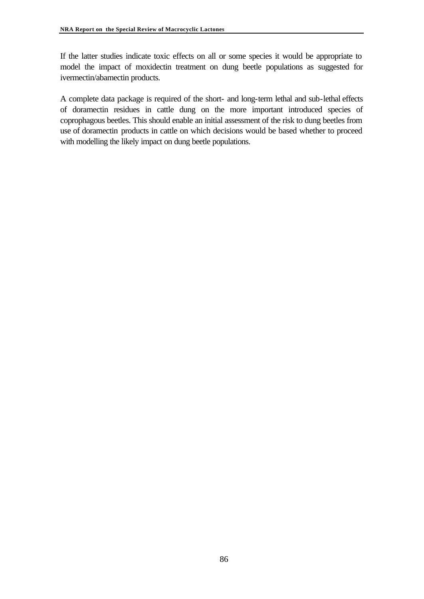If the latter studies indicate toxic effects on all or some species it would be appropriate to model the impact of moxidectin treatment on dung beetle populations as suggested for ivermectin/abamectin products.

A complete data package is required of the short- and long-term lethal and sub-lethal effects of doramectin residues in cattle dung on the more important introduced species of coprophagous beetles. This should enable an initial assessment of the risk to dung beetles from use of doramectin products in cattle on which decisions would be based whether to proceed with modelling the likely impact on dung beetle populations.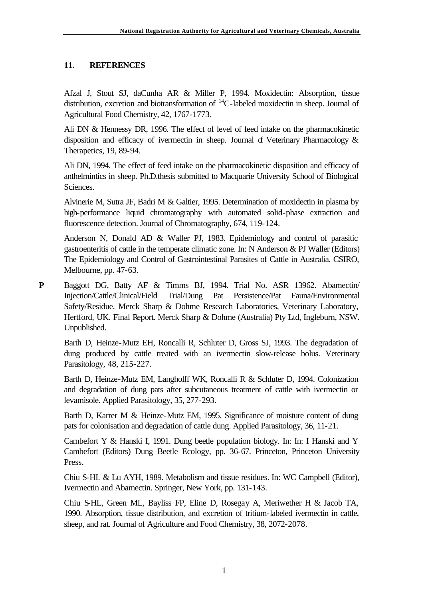# **11. REFERENCES**

Afzal J, Stout SJ, daCunha AR & Miller P, 1994. Moxidectin: Absorption, tissue distribution, excretion and biotransformation of <sup>14</sup>C-labeled moxidectin in sheep. Journal of Agricultural Food Chemistry, 42, 1767-1773.

Ali DN & Hennessy DR, 1996. The effect of level of feed intake on the pharmacokinetic disposition and efficacy of ivermectin in sheep. Journal of Veterinary Pharmacology  $\&$ Therapetics, 19, 89-94.

Ali DN, 1994. The effect of feed intake on the pharmacokinetic disposition and efficacy of anthelmintics in sheep. Ph.D.thesis submitted to Macquarie University School of Biological Sciences.

Alvinerie M, Sutra JF, Badri M & Galtier, 1995. Determination of moxidectin in plasma by high-performance liquid chromatography with automated solid-phase extraction and fluorescence detection. Journal of Chromatography, 674, 119-124.

Anderson N, Donald AD & Waller PJ, 1983. Epidemiology and control of parasitic gastroenteritis of cattle in the temperate climatic zone. In: N Anderson & PJ Waller (Editors) The Epidemiology and Control of Gastrointestinal Parasites of Cattle in Australia. CSIRO, Melbourne, pp. 47-63.

**P** Baggott DG, Batty AF & Timms BJ, 1994. Trial No. ASR 13962. Abamectin/ Injection/Cattle/Clinical/Field Trial/Dung Pat Persistence/Pat Fauna/Environmental Safety/Residue. Merck Sharp & Dohme Research Laboratories, Veterinary Laboratory, Hertford, UK. Final Report. Merck Sharp & Dohme (Australia) Pty Ltd, Ingleburn, NSW. Unpublished.

Barth D, Heinze-Mutz EH, Roncalli R, Schluter D, Gross SJ, 1993. The degradation of dung produced by cattle treated with an ivermectin slow-release bolus. Veterinary Parasitology, 48, 215-227.

Barth D, Heinze-Mutz EM, Langholff WK, Roncalli R & Schluter D, 1994. Colonization and degradation of dung pats after subcutaneous treatment of cattle with ivermectin or levamisole. Applied Parasitology, 35, 277-293.

Barth D, Karrer M & Heinze-Mutz EM, 1995. Significance of moisture content of dung pats for colonisation and degradation of cattle dung. Applied Parasitology, 36, 11-21.

Cambefort Y & Hanski I, 1991. Dung beetle population biology. In: In: I Hanski and Y Cambefort (Editors) Dung Beetle Ecology, pp. 36-67. Princeton, Princeton University Press.

Chiu S-HL & Lu AYH, 1989. Metabolism and tissue residues. In: WC Campbell (Editor), Ivermectin and Abamectin. Springer, New York, pp. 131-143.

Chiu S-HL, Green ML, Bayliss FP, Eline D, Rosegay A, Meriwether H & Jacob TA, 1990. Absorption, tissue distribution, and excretion of tritium-labeled ivermectin in cattle, sheep, and rat. Journal of Agriculture and Food Chemistry, 38, 2072-2078.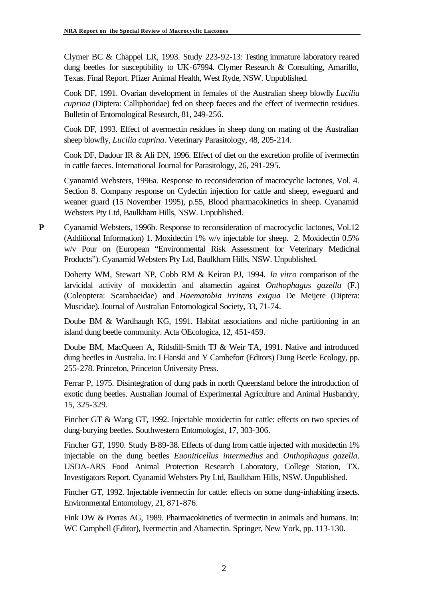Clymer BC & Chappel LR, 1993. Study 223-92-13: Testing immature laboratory reared dung beetles for susceptibility to UK-67994. Clymer Research & Consulting, Amarillo, Texas. Final Report. Pfizer Animal Health, West Ryde, NSW. Unpublished.

Cook DF, 1991. Ovarian development in females of the Australian sheep blowfly *Lucilia cuprina* (Diptera: Calliphoridae) fed on sheep faeces and the effect of ivermectin residues. Bulletin of Entomological Research, 81, 249-256.

Cook DF, 1993. Effect of avermectin residues in sheep dung on mating of the Australian sheep blowfly, *Lucilia cuprina*. Veterinary Parasitology, 48, 205-214.

Cook DF, Dadour IR & Ali DN, 1996. Effect of diet on the excretion profile of ivermectin in cattle faeces. International Journal for Parasitology, 26, 291-295.

Cyanamid Websters, 1996a. Response to reconsideration of macrocyclic lactones, Vol. 4. Section 8. Company response on Cydectin injection for cattle and sheep, eweguard and weaner guard (15 November 1995), p.55, Blood pharmacokinetics in sheep. Cyanamid Websters Pty Ltd, Baulkham Hills, NSW. Unpublished.

**P** Cyanamid Websters, 1996b. Response to reconsideration of macrocyclic lactones, Vol.12 (Additional Information) 1. Moxidectin 1% w/v injectable for sheep. 2. Moxidectin 0.5% w/v Pour on (European "Environmental Risk Assessment for Veterinary Medicinal Products"). Cyanamid Websters Pty Ltd, Baulkham Hills, NSW. Unpublished.

Doherty WM, Stewart NP, Cobb RM & Keiran PJ, 1994. *In vitro* comparison of the larvicidal activity of moxidectin and abamectin against *Onthophagus gazella* (F.) (Coleoptera: Scarabaeidae) and *Haematobia irritans exigua* De Meijere (Diptera: Muscidae). Journal of Australian Entomological Society, 33, 71-74.

Doube BM & Wardhaugh KG, 1991. Habitat associations and niche partitioning in an island dung beetle community. Acta OEcologica, 12, 451-459.

Doube BM, MacQueen A, Ridsdill-Smith TJ & Weir TA, 1991. Native and introduced dung beetles in Australia. In: I Hanski and Y Cambefort (Editors) Dung Beetle Ecology, pp. 255-278. Princeton, Princeton University Press.

Ferrar P, 1975. Disintegration of dung pads in north Queensland before the introduction of exotic dung beetles. Australian Journal of Experimental Agriculture and Animal Husbandry, 15, 325-329.

Fincher GT & Wang GT, 1992. Injectable moxidectin for cattle: effects on two species of dung-burying beetles. Southwestern Entomologist, 17, 303-306.

Fincher GT, 1990. Study B-89-38. Effects of dung from cattle injected with moxidectin 1% injectable on the dung beetles *Euoniticellus intermedius* and *Onthophagus gazella*. USDA-ARS Food Animal Protection Research Laboratory, College Station, TX. Investigators Report. Cyanamid Websters Pty Ltd, Baulkham Hills, NSW. Unpublished.

Fincher GT, 1992. Injectable ivermectin for cattle: effects on some dung-inhabiting insects. Environmental Entomology, 21, 871-876.

Fink DW & Porras AG, 1989. Pharmacokinetics of ivermectin in animals and humans. In: WC Campbell (Editor), Ivermectin and Abamectin. Springer, New York, pp. 113-130.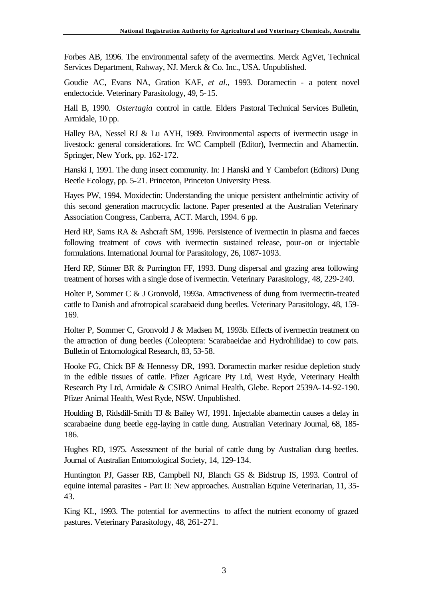Forbes AB, 1996. The environmental safety of the avermectins. Merck AgVet, Technical Services Department, Rahway, NJ. Merck & Co. Inc., USA. Unpublished.

Goudie AC, Evans NA, Gration KAF, *et al*., 1993. Doramectin - a potent novel endectocide. Veterinary Parasitology, 49, 5-15.

Hall B, 1990. *Ostertagia* control in cattle. Elders Pastoral Technical Services Bulletin, Armidale, 10 pp.

Halley BA, Nessel RJ & Lu AYH, 1989. Environmental aspects of ivermectin usage in livestock: general considerations. In: WC Campbell (Editor), Ivermectin and Abamectin. Springer, New York, pp. 162-172.

Hanski I, 1991. The dung insect community. In: I Hanski and Y Cambefort (Editors) Dung Beetle Ecology, pp. 5-21. Princeton, Princeton University Press.

Hayes PW, 1994. Moxidectin: Understanding the unique persistent anthelmintic activity of this second generation macrocyclic lactone. Paper presented at the Australian Veterinary Association Congress, Canberra, ACT. March, 1994. 6 pp.

Herd RP, Sams RA & Ashcraft SM, 1996. Persistence of ivermectin in plasma and faeces following treatment of cows with ivermectin sustained release, pour-on or injectable formulations. International Journal for Parasitology, 26, 1087-1093.

Herd RP, Stinner BR & Purrington FF, 1993. Dung dispersal and grazing area following treatment of horses with a single dose of ivermectin. Veterinary Parasitology, 48, 229-240.

Holter P, Sommer C & J Gronvold, 1993a. Attractiveness of dung from ivermectin-treated cattle to Danish and afrotropical scarabaeid dung beetles. Veterinary Parasitology, 48, 159- 169.

Holter P, Sommer C, Gronvold J & Madsen M, 1993b. Effects of ivermectin treatment on the attraction of dung beetles (Coleoptera: Scarabaeidae and Hydrohilidae) to cow pats. Bulletin of Entomological Research, 83, 53-58.

Hooke FG, Chick BF & Hennessy DR, 1993. Doramectin marker residue depletion study in the edible tissues of cattle. Pfizer Agricare Pty Ltd, West Ryde, Veterinary Health Research Pty Ltd, Armidale & CSIRO Animal Health, Glebe. Report 2539A-14-92-190. Pfizer Animal Health, West Ryde, NSW. Unpublished.

Houlding B, Ridsdill-Smith TJ & Bailey WJ, 1991. Injectable abamectin causes a delay in scarabaeine dung beetle egg-laying in cattle dung. Australian Veterinary Journal, 68, 185- 186.

Hughes RD, 1975. Assessment of the burial of cattle dung by Australian dung beetles. Journal of Australian Entomological Society, 14, 129-134.

Huntington PJ, Gasser RB, Campbell NJ, Blanch GS & Bidstrup IS, 1993. Control of equine internal parasites - Part II: New approaches. Australian Equine Veterinarian, 11, 35- 43.

King KL, 1993. The potential for avermectins to affect the nutrient economy of grazed pastures. Veterinary Parasitology, 48, 261-271.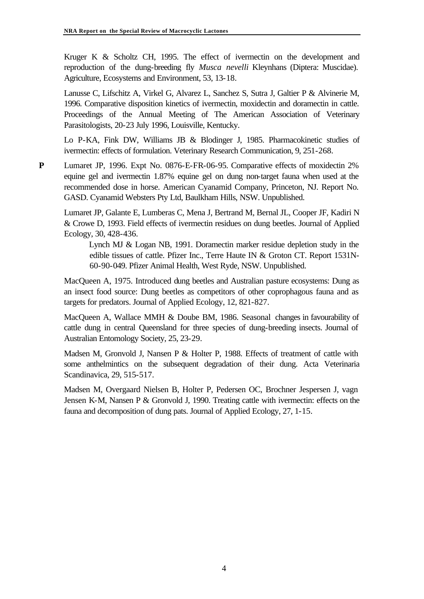Kruger K & Scholtz CH, 1995. The effect of ivermectin on the development and reproduction of the dung-breeding fly *Musca nevelli* Kleynhans (Diptera: Muscidae). Agriculture, Ecosystems and Environment, 53, 13-18.

Lanusse C, Lifschitz A, Virkel G, Alvarez L, Sanchez S, Sutra J, Galtier P & Alvinerie M, 1996. Comparative disposition kinetics of ivermectin, moxidectin and doramectin in cattle. Proceedings of the Annual Meeting of The American Association of Veterinary Parasitologists, 20-23 July 1996, Louisville, Kentucky.

Lo P-KA, Fink DW, Williams JB & Blodinger J, 1985. Pharmacokinetic studies of ivermectin: effects of formulation. Veterinary Research Communication, 9, 251-268.

**P** Lumaret JP, 1996. Expt No. 0876-E-FR-06-95. Comparative effects of moxidectin 2% equine gel and ivermectin 1.87% equine gel on dung non-target fauna when used at the recommended dose in horse. American Cyanamid Company, Princeton, NJ. Report No. GASD. Cyanamid Websters Pty Ltd, Baulkham Hills, NSW. Unpublished.

Lumaret JP, Galante E, Lumberas C, Mena J, Bertrand M, Bernal JL, Cooper JF, Kadiri N & Crowe D, 1993. Field effects of ivermectin residues on dung beetles. Journal of Applied Ecology, 30, 428-436.

Lynch MJ & Logan NB, 1991. Doramectin marker residue depletion study in the edible tissues of cattle. Pfizer Inc., Terre Haute IN & Groton CT. Report 1531N-60-90-049. Pfizer Animal Health, West Ryde, NSW. Unpublished.

MacQueen A, 1975. Introduced dung beetles and Australian pasture ecosystems: Dung as an insect food source: Dung beetles as competitors of other coprophagous fauna and as targets for predators. Journal of Applied Ecology, 12, 821-827.

MacQueen A, Wallace MMH & Doube BM, 1986. Seasonal changes in favourability of cattle dung in central Queensland for three species of dung-breeding insects. Journal of Australian Entomology Society, 25, 23-29.

Madsen M, Gronvold J, Nansen P & Holter P, 1988. Effects of treatment of cattle with some anthelmintics on the subsequent degradation of their dung. Acta Veterinaria Scandinavica, 29, 515-517.

Madsen M, Overgaard Nielsen B, Holter P, Pedersen OC, Brochner Jespersen J, vagn Jensen K-M, Nansen P & Gronvold J, 1990. Treating cattle with ivermectin: effects on the fauna and decomposition of dung pats. Journal of Applied Ecology, 27, 1-15.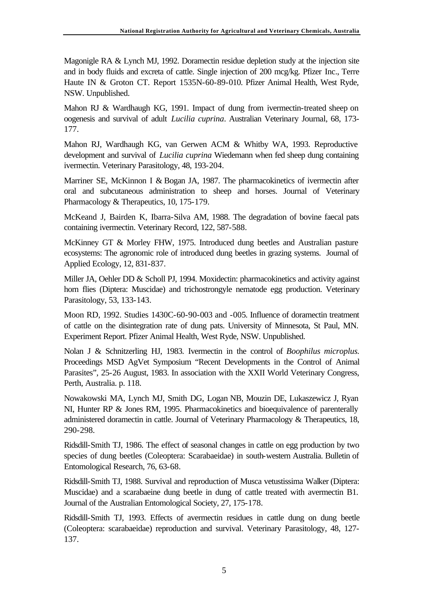Magonigle RA & Lynch MJ, 1992. Doramectin residue depletion study at the injection site and in body fluids and excreta of cattle. Single injection of 200 mcg/kg. Pfizer Inc., Terre Haute IN & Groton CT. Report 1535N-60-89-010. Pfizer Animal Health, West Ryde, NSW. Unpublished.

Mahon RJ & Wardhaugh KG, 1991. Impact of dung from ivermectin-treated sheep on oogenesis and survival of adult *Lucilia cuprina*. Australian Veterinary Journal, 68, 173- 177.

Mahon RJ, Wardhaugh KG, van Gerwen ACM & Whitby WA, 1993. Reproductive development and survival of *Lucilia cuprina* Wiedemann when fed sheep dung containing ivermectin. Veterinary Parasitology, 48, 193-204.

Marriner SE, McKinnon I & Bogan JA, 1987. The pharmacokinetics of ivermectin after oral and subcutaneous administration to sheep and horses. Journal of Veterinary Pharmacology & Therapeutics, 10, 175-179.

McKeand J, Bairden K, Ibarra-Silva AM, 1988. The degradation of bovine faecal pats containing ivermectin. Veterinary Record, 122, 587-588.

McKinney GT & Morley FHW, 1975. Introduced dung beetles and Australian pasture ecosystems: The agronomic role of introduced dung beetles in grazing systems. Journal of Applied Ecology, 12, 831-837.

Miller JA, Oehler DD & Scholl PJ, 1994. Moxidectin: pharmacokinetics and activity against horn flies (Diptera: Muscidae) and trichostrongyle nematode egg production. Veterinary Parasitology, 53, 133-143.

Moon RD, 1992. Studies 1430C-60-90-003 and -005. Influence of doramectin treatment of cattle on the disintegration rate of dung pats. University of Minnesota, St Paul, MN. Experiment Report. Pfizer Animal Health, West Ryde, NSW. Unpublished.

Nolan J & Schnitzerling HJ, 1983. Ivermectin in the control of *Boophilus microplus.* Proceedings MSD AgVet Symposium "Recent Developments in the Control of Animal Parasites", 25-26 August, 1983. In association with the XXII World Veterinary Congress, Perth, Australia. p. 118.

Nowakowski MA, Lynch MJ, Smith DG, Logan NB, Mouzin DE, Lukaszewicz J, Ryan NI, Hunter RP & Jones RM, 1995. Pharmacokinetics and bioequivalence of parenterally administered doramectin in cattle. Journal of Veterinary Pharmacology & Therapeutics, 18, 290-298.

Ridsdill-Smith TJ, 1986. The effect of seasonal changes in cattle on egg production by two species of dung beetles (Coleoptera: Scarabaeidae) in south-western Australia. Bulletin of Entomological Research, 76, 63-68.

Ridsdill-Smith TJ, 1988. Survival and reproduction of Musca vetustissima Walker (Diptera: Muscidae) and a scarabaeine dung beetle in dung of cattle treated with avermectin B1. Journal of the Australian Entomological Society, 27, 175-178.

Ridsdill-Smith TJ, 1993. Effects of avermectin residues in cattle dung on dung beetle (Coleoptera: scarabaeidae) reproduction and survival. Veterinary Parasitology, 48, 127- 137.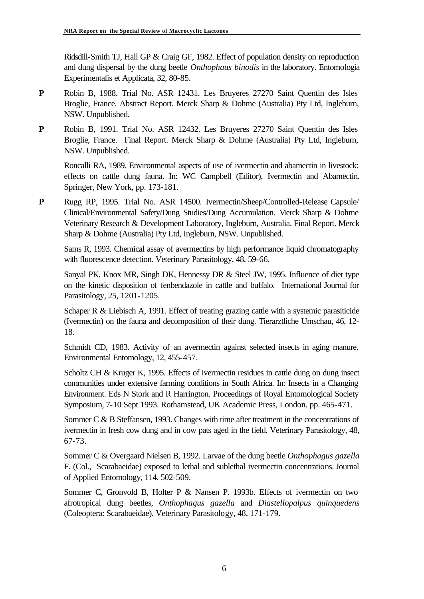Ridsdill-Smith TJ, Hall GP & Craig GF, 1982. Effect of population density on reproduction and dung dispersal by the dung beetle *Onthophaus binodis* in the laboratory. Entomologia Experimentalis et Applicata, 32, 80-85.

- **P** Robin B, 1988. Trial No. ASR 12431. Les Bruyeres 27270 Saint Quentin des Isles Broglie, France. Abstract Report. Merck Sharp & Dohme (Australia) Pty Ltd, Ingleburn, NSW. Unpublished.
- **P** Robin B, 1991. Trial No. ASR 12432. Les Bruyeres 27270 Saint Quentin des Isles Broglie, France. Final Report. Merck Sharp & Dohme (Australia) Pty Ltd, Ingleburn, NSW. Unpublished.

Roncalli RA, 1989. Environmental aspects of use of ivermectin and abamectin in livestock: effects on cattle dung fauna. In: WC Campbell (Editor), Ivermectin and Abamectin. Springer, New York, pp. 173-181.

**P** Rugg RP, 1995. Trial No. ASR 14500. Ivermectin/Sheep/Controlled-Release Capsule/ Clinical/Environmental Safety/Dung Studies/Dung Accumulation. Merck Sharp & Dohme Veterinary Research & Development Laboratory, Ingleburn, Australia. Final Report. Merck Sharp & Dohme (Australia) Pty Ltd, Ingleburn, NSW. Unpublished.

Sams R, 1993. Chemical assay of avermectins by high performance liquid chromatography with fluorescence detection. Veterinary Parasitology, 48, 59-66.

Sanyal PK, Knox MR, Singh DK, Hennessy DR & Steel JW, 1995. Influence of diet type on the kinetic disposition of fenbendazole in cattle and buffalo. International Journal for Parasitology, 25, 1201-1205.

Schaper R & Liebisch A, 1991. Effect of treating grazing cattle with a systemic parasiticide (Ivermectin) on the fauna and decomposition of their dung. Tierarztliche Umschau, 46, 12- 18.

Schmidt CD, 1983. Activity of an avermectin against selected insects in aging manure. Environmental Entomology, 12, 455-457.

Scholtz CH & Kruger K, 1995. Effects of ivermectin residues in cattle dung on dung insect communities under extensive farming conditions in South Africa. In: Insects in a Changing Environment. Eds N Stork and R Harrington. Proceedings of Royal Entomological Society Symposium, 7-10 Sept 1993. Rothamstead, UK Academic Press, London. pp. 465-471.

Sommer C & B Steffansen, 1993. Changes with time after treatment in the concentrations of ivermectin in fresh cow dung and in cow pats aged in the field. Veterinary Parasitology, 48, 67-73.

Sommer C & Overgaard Nielsen B, 1992. Larvae of the dung beetle *Onthophagus gazella* F. (Col., Scarabaeidae) exposed to lethal and sublethal ivermectin concentrations. Journal of Applied Entomology, 114, 502-509.

Sommer C, Gronvold B, Holter P & Nansen P. 1993b. Effects of ivermectin on two afrotropical dung beetles, *Onthophagus gazella* and *Diastellopalpus quinquedens* (Coleoptera: Scarabaeidae). Veterinary Parasitology, 48, 171-179.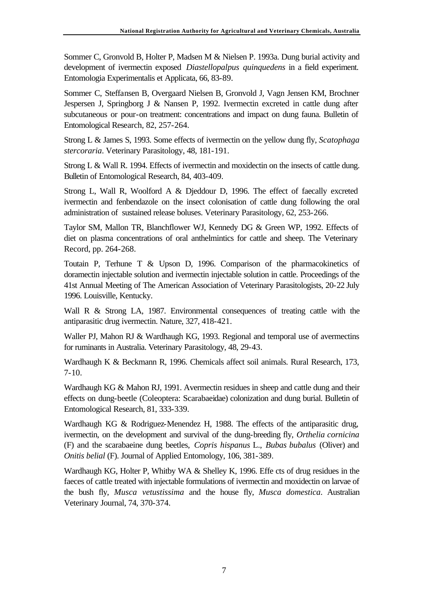Sommer C, Gronvold B, Holter P, Madsen M & Nielsen P. 1993a. Dung burial activity and development of ivermectin exposed *Diastellopalpus quinquedens* in a field experiment. Entomologia Experimentalis et Applicata, 66, 83-89.

Sommer C, Steffansen B, Overgaard Nielsen B, Gronvold J, Vagn Jensen KM, Brochner Jespersen J, Springborg J & Nansen P, 1992. Ivermectin excreted in cattle dung after subcutaneous or pour-on treatment: concentrations and impact on dung fauna. Bulletin of Entomological Research, 82, 257-264.

Strong L & James S, 1993. Some effects of ivermectin on the yellow dung fly, *Scatophaga stercoraria*. Veterinary Parasitology, 48, 181-191.

Strong L & Wall R. 1994. Effects of ivermectin and moxidectin on the insects of cattle dung. Bulletin of Entomological Research, 84, 403-409.

Strong L, Wall R, Woolford A & Djeddour D, 1996. The effect of faecally excreted ivermectin and fenbendazole on the insect colonisation of cattle dung following the oral administration of sustained release boluses. Veterinary Parasitology, 62, 253-266.

Taylor SM, Mallon TR, Blanchflower WJ, Kennedy DG & Green WP, 1992. Effects of diet on plasma concentrations of oral anthelmintics for cattle and sheep. The Veterinary Record, pp. 264-268.

Toutain P, Terhune T & Upson D, 1996. Comparison of the pharmacokinetics of doramectin injectable solution and ivermectin injectable solution in cattle. Proceedings of the 41st Annual Meeting of The American Association of Veterinary Parasitologists, 20-22 July 1996. Louisville, Kentucky.

Wall R & Strong LA, 1987. Environmental consequences of treating cattle with the antiparasitic drug ivermectin. Nature, 327, 418-421.

Waller PJ, Mahon RJ & Wardhaugh KG, 1993. Regional and temporal use of avermectins for ruminants in Australia. Veterinary Parasitology, 48, 29-43.

Wardhaugh K & Beckmann R, 1996. Chemicals affect soil animals. Rural Research, 173,  $7-10.$ 

Wardhaugh KG & Mahon RJ, 1991. Avermectin residues in sheep and cattle dung and their effects on dung-beetle (Coleoptera: Scarabaeidae) colonization and dung burial. Bulletin of Entomological Research, 81, 333-339.

Wardhaugh KG & Rodriguez-Menendez H, 1988. The effects of the antiparasitic drug, ivermectin, on the development and survival of the dung-breeding fly, *Orthelia cornicina*  (F) and the scarabaeine dung beetles, *Copris hispanus* L., *Bubas bubalus* (Oliver) and *Onitis belial* (F). Journal of Applied Entomology, 106, 381-389.

Wardhaugh KG, Holter P, Whitby WA & Shelley K, 1996. Effe cts of drug residues in the faeces of cattle treated with injectable formulations of ivermectin and moxidectin on larvae of the bush fly, *Musca vetustissima* and the house fly, *Musca domestica*. Australian Veterinary Journal, 74, 370-374.